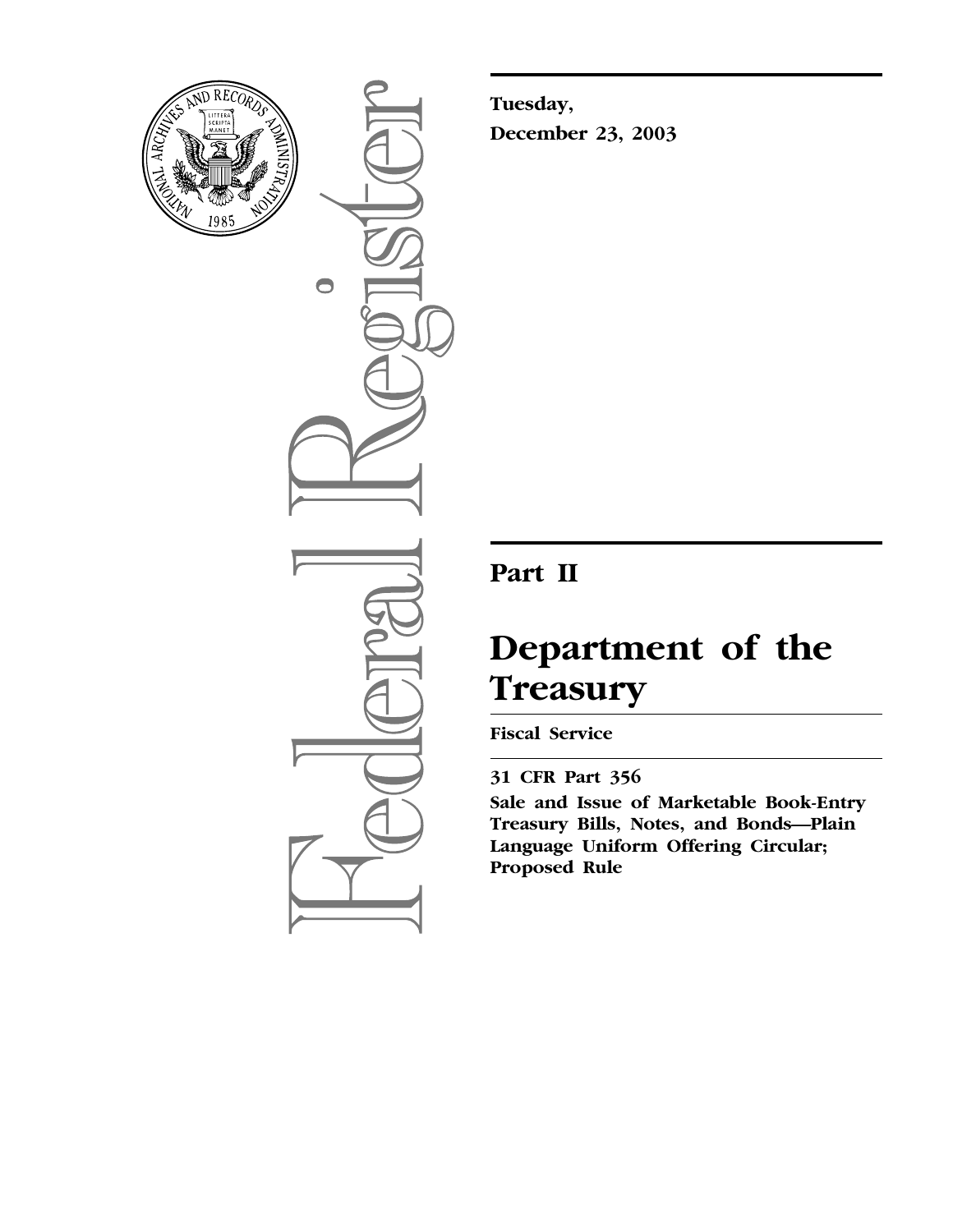

 $\bigcirc$ 

**Tuesday, December 23, 2003**

# **Part II**

# **Department of the Treasury**

# **Fiscal Service**

# **31 CFR Part 356**

**Sale and Issue of Marketable Book-Entry Treasury Bills, Notes, and Bonds—Plain Language Uniform Offering Circular; Proposed Rule**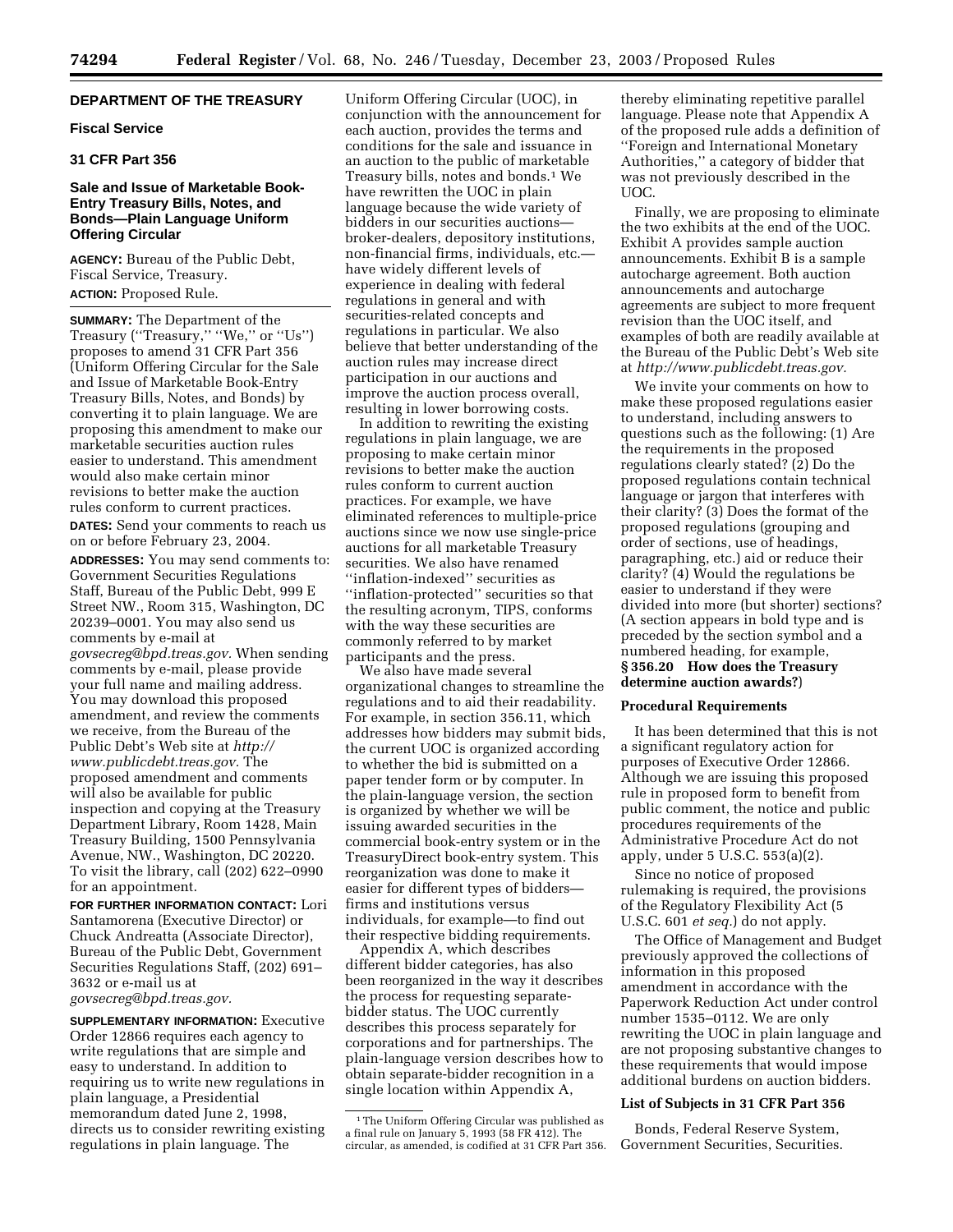# **DEPARTMENT OF THE TREASURY**

#### **Fiscal Service**

#### **31 CFR Part 356**

# **Sale and Issue of Marketable Book-Entry Treasury Bills, Notes, and Bonds—Plain Language Uniform Offering Circular**

**AGENCY:** Bureau of the Public Debt, Fiscal Service, Treasury. **ACTION:** Proposed Rule.

**SUMMARY:** The Department of the Treasury (''Treasury,'' ''We,'' or ''Us'') proposes to amend 31 CFR Part 356 (Uniform Offering Circular for the Sale and Issue of Marketable Book-Entry Treasury Bills, Notes, and Bonds) by converting it to plain language. We are proposing this amendment to make our marketable securities auction rules easier to understand. This amendment would also make certain minor revisions to better make the auction rules conform to current practices.

**DATES:** Send your comments to reach us on or before February 23, 2004.

**ADDRESSES:** You may send comments to: Government Securities Regulations Staff, Bureau of the Public Debt, 999 E Street NW., Room 315, Washington, DC 20239–0001. You may also send us comments by e-mail at *[govsecreg@bpd.treas.gov.](mailto:govsecreg@bpd.treas.gov)* When sending comments by e-mail, please provide your full name and mailing address. You may download this proposed amendment, and review the comments we receive, from the Bureau of the Public Debt's Web site at *http:// [www.publicdebt.treas.gov.](http://www.publicdebt.treas.gov)* The proposed amendment and comments will also be available for public inspection and copying at the Treasury Department Library, Room 1428, Main Treasury Building, 1500 Pennsylvania Avenue, NW., Washington, DC 20220. To visit the library, call (202) 622–0990 for an appointment.

**FOR FURTHER INFORMATION CONTACT:** Lori Santamorena (Executive Director) or Chuck Andreatta (Associate Director), Bureau of the Public Debt, Government Securities Regulations Staff, (202) 691– 3632 or e-mail us at *[govsecreg@bpd.treas.gov.](mailto:govsecreg@bpd.treas.gov)*

**SUPPLEMENTARY INFORMATION:** Executive Order 12866 requires each agency to write regulations that are simple and easy to understand. In addition to requiring us to write new regulations in plain language, a Presidential memorandum dated June 2, 1998, directs us to consider rewriting existing regulations in plain language. The

Uniform Offering Circular (UOC), in conjunction with the announcement for each auction, provides the terms and conditions for the sale and issuance in an auction to the public of marketable Treasury bills, notes and bonds.<sup>1</sup> We have rewritten the UOC in plain language because the wide variety of bidders in our securities auctions broker-dealers, depository institutions, non-financial firms, individuals, etc. have widely different levels of experience in dealing with federal regulations in general and with securities-related concepts and regulations in particular. We also believe that better understanding of the auction rules may increase direct participation in our auctions and improve the auction process overall, resulting in lower borrowing costs.

In addition to rewriting the existing regulations in plain language, we are proposing to make certain minor revisions to better make the auction rules conform to current auction practices. For example, we have eliminated references to multiple-price auctions since we now use single-price auctions for all marketable Treasury securities. We also have renamed ''inflation-indexed'' securities as ''inflation-protected'' securities so that the resulting acronym, TIPS, conforms with the way these securities are commonly referred to by market participants and the press.

We also have made several organizational changes to streamline the regulations and to aid their readability. For example, in section 356.11, which addresses how bidders may submit bids, the current UOC is organized according to whether the bid is submitted on a paper tender form or by computer. In the plain-language version, the section is organized by whether we will be issuing awarded securities in the commercial book-entry system or in the TreasuryDirect book-entry system. This reorganization was done to make it easier for different types of bidders firms and institutions versus individuals, for example—to find out their respective bidding requirements.

Appendix A, which describes different bidder categories, has also been reorganized in the way it describes the process for requesting separatebidder status. The UOC currently describes this process separately for corporations and for partnerships. The plain-language version describes how to obtain separate-bidder recognition in a single location within Appendix A,

thereby eliminating repetitive parallel language. Please note that Appendix A of the proposed rule adds a definition of ''Foreign and International Monetary Authorities,'' a category of bidder that was not previously described in the UOC.

Finally, we are proposing to eliminate the two exhibits at the end of the UOC. Exhibit A provides sample auction announcements. Exhibit B is a sample autocharge agreement. Both auction announcements and autocharge agreements are subject to more frequent revision than the UOC itself, and examples of both are readily available at the Bureau of the Public Debt's Web site at *[http://www.publicdebt.treas.gov.](http://www.publicdebt.treas.gov)*

We invite your comments on how to make these proposed regulations easier to understand, including answers to questions such as the following: (1) Are the requirements in the proposed regulations clearly stated? (2) Do the proposed regulations contain technical language or jargon that interferes with their clarity? (3) Does the format of the proposed regulations (grouping and order of sections, use of headings, paragraphing, etc.) aid or reduce their clarity? (4) Would the regulations be easier to understand if they were divided into more (but shorter) sections? (A section appears in bold type and is preceded by the section symbol and a numbered heading, for example, **§ 356.20 How does the Treasury determine auction awards?**)

#### **Procedural Requirements**

It has been determined that this is not a significant regulatory action for purposes of Executive Order 12866. Although we are issuing this proposed rule in proposed form to benefit from public comment, the notice and public procedures requirements of the Administrative Procedure Act do not apply, under 5 U.S.C. 553(a)(2).

Since no notice of proposed rulemaking is required, the provisions of the Regulatory Flexibility Act (5 U.S.C. 601 *et seq.*) do not apply.

The Office of Management and Budget previously approved the collections of information in this proposed amendment in accordance with the Paperwork Reduction Act under control number 1535–0112. We are only rewriting the UOC in plain language and are not proposing substantive changes to these requirements that would impose additional burdens on auction bidders.

#### **List of Subjects in 31 CFR Part 356**

Bonds, Federal Reserve System, Government Securities, Securities.

<sup>&</sup>lt;sup>1</sup>The Uniform Offering Circular was published as a final rule on January 5, 1993 (58 FR 412). The circular, as amended, is codified at 31 CFR Part 356.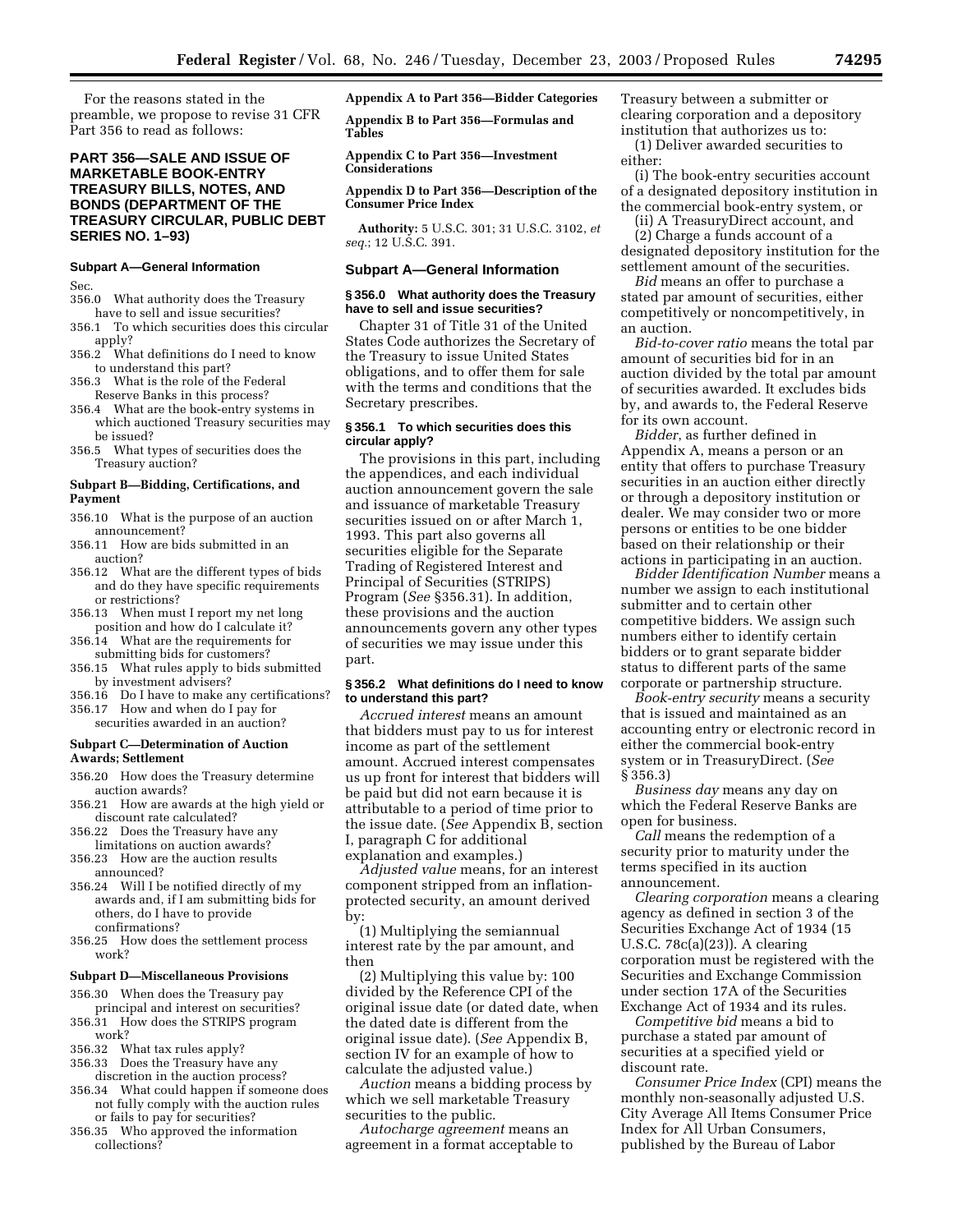For the reasons stated in the preamble, we propose to revise 31 CFR Part 356 to read as follows:

# **PART 356—SALE AND ISSUE OF MARKETABLE BOOK-ENTRY TREASURY BILLS, NOTES, AND BONDS (DEPARTMENT OF THE TREASURY CIRCULAR, PUBLIC DEBT SERIES NO. 1–93)**

#### **Subpart A—General Information**

Sec.

- 356.0 What authority does the Treasury have to sell and issue securities?
- 356.1 To which securities does this circular apply?
- 356.2 What definitions do I need to know to understand this part?
- 356.3 What is the role of the Federal Reserve Banks in this process?
- 356.4 What are the book-entry systems in which auctioned Treasury securities may be issued?
- 356.5 What types of securities does the Treasury auction?

#### **Subpart B—Bidding, Certifications, and Payment**

- 356.10 What is the purpose of an auction announcement?
- 356.11 How are bids submitted in an auction?
- 356.12 What are the different types of bids and do they have specific requirements or restrictions?
- 356.13 When must I report my net long position and how do I calculate it?
- 356.14 What are the requirements for submitting bids for customers?
- 356.15 What rules apply to bids submitted by investment advisers?
- 356.16 Do I have to make any certifications?
- 356.17 How and when do I pay for securities awarded in an auction?

# **Subpart C—Determination of Auction Awards; Settlement**

- 356.20 How does the Treasury determine auction awards?
- 356.21 How are awards at the high yield or discount rate calculated?
- 356.22 Does the Treasury have any limitations on auction awards?
- 356.23 How are the auction results announced?
- 356.24 Will I be notified directly of my awards and, if I am submitting bids for others, do I have to provide confirmations?
- 356.25 How does the settlement process work?

#### **Subpart D—Miscellaneous Provisions**

- 356.30 When does the Treasury pay principal and interest on securities? 356.31 How does the STRIPS program
- work?
- 356.32 What tax rules apply?
- 356.33 Does the Treasury have any discretion in the auction process?
- 356.34 What could happen if someone does not fully comply with the auction rules or fails to pay for securities?
- 356.35 Who approved the information collections?

# **Appendix A to Part 356—Bidder Categories**

**Appendix B to Part 356—Formulas and Tables** 

**Appendix C to Part 356—Investment Considerations** 

**Appendix D to Part 356—Description of the Consumer Price Index**

**Authority:** 5 U.S.C. 301; 31 U.S.C. 3102, *et seq.*; 12 U.S.C. 391.

#### **Subpart A—General Information**

#### **§ 356.0 What authority does the Treasury have to sell and issue securities?**

Chapter 31 of Title 31 of the United States Code authorizes the Secretary of the Treasury to issue United States obligations, and to offer them for sale with the terms and conditions that the Secretary prescribes.

#### **§ 356.1 To which securities does this circular apply?**

The provisions in this part, including the appendices, and each individual auction announcement govern the sale and issuance of marketable Treasury securities issued on or after March 1, 1993. This part also governs all securities eligible for the Separate Trading of Registered Interest and Principal of Securities (STRIPS) Program (*See* §356.31). In addition, these provisions and the auction announcements govern any other types of securities we may issue under this part.

#### **§ 356.2 What definitions do I need to know to understand this part?**

*Accrued interest* means an amount that bidders must pay to us for interest income as part of the settlement amount. Accrued interest compensates us up front for interest that bidders will be paid but did not earn because it is attributable to a period of time prior to the issue date. (*See* Appendix B, section I, paragraph C for additional explanation and examples.)

*Adjusted value* means, for an interest component stripped from an inflationprotected security, an amount derived by:

(1) Multiplying the semiannual interest rate by the par amount, and then

(2) Multiplying this value by: 100 divided by the Reference CPI of the original issue date (or dated date, when the dated date is different from the original issue date). (*See* Appendix B, section IV for an example of how to calculate the adjusted value.)

*Auction* means a bidding process by which we sell marketable Treasury securities to the public.

*Autocharge agreement* means an agreement in a format acceptable to Treasury between a submitter or clearing corporation and a depository institution that authorizes us to:

(1) Deliver awarded securities to either:

(i) The book-entry securities account of a designated depository institution in the commercial book-entry system, or

(ii) A TreasuryDirect account, and (2) Charge a funds account of a designated depository institution for the settlement amount of the securities.

*Bid* means an offer to purchase a stated par amount of securities, either competitively or noncompetitively, in an auction.

*Bid-to-cover ratio* means the total par amount of securities bid for in an auction divided by the total par amount of securities awarded. It excludes bids by, and awards to, the Federal Reserve for its own account.

*Bidder*, as further defined in Appendix A, means a person or an entity that offers to purchase Treasury securities in an auction either directly or through a depository institution or dealer. We may consider two or more persons or entities to be one bidder based on their relationship or their actions in participating in an auction.

*Bidder Identification Number* means a number we assign to each institutional submitter and to certain other competitive bidders. We assign such numbers either to identify certain bidders or to grant separate bidder status to different parts of the same corporate or partnership structure.

*Book-entry security* means a security that is issued and maintained as an accounting entry or electronic record in either the commercial book-entry system or in TreasuryDirect. (*See* § 356.3)

*Business day* means any day on which the Federal Reserve Banks are open for business.

*Call* means the redemption of a security prior to maturity under the terms specified in its auction announcement.

*Clearing corporation* means a clearing agency as defined in section 3 of the Securities Exchange Act of 1934 (15 U.S.C. 78c(a)(23)). A clearing corporation must be registered with the Securities and Exchange Commission under section 17A of the Securities Exchange Act of 1934 and its rules.

*Competitive bid* means a bid to purchase a stated par amount of securities at a specified yield or discount rate.

*Consumer Price Index* (CPI) means the monthly non-seasonally adjusted U.S. City Average All Items Consumer Price Index for All Urban Consumers, published by the Bureau of Labor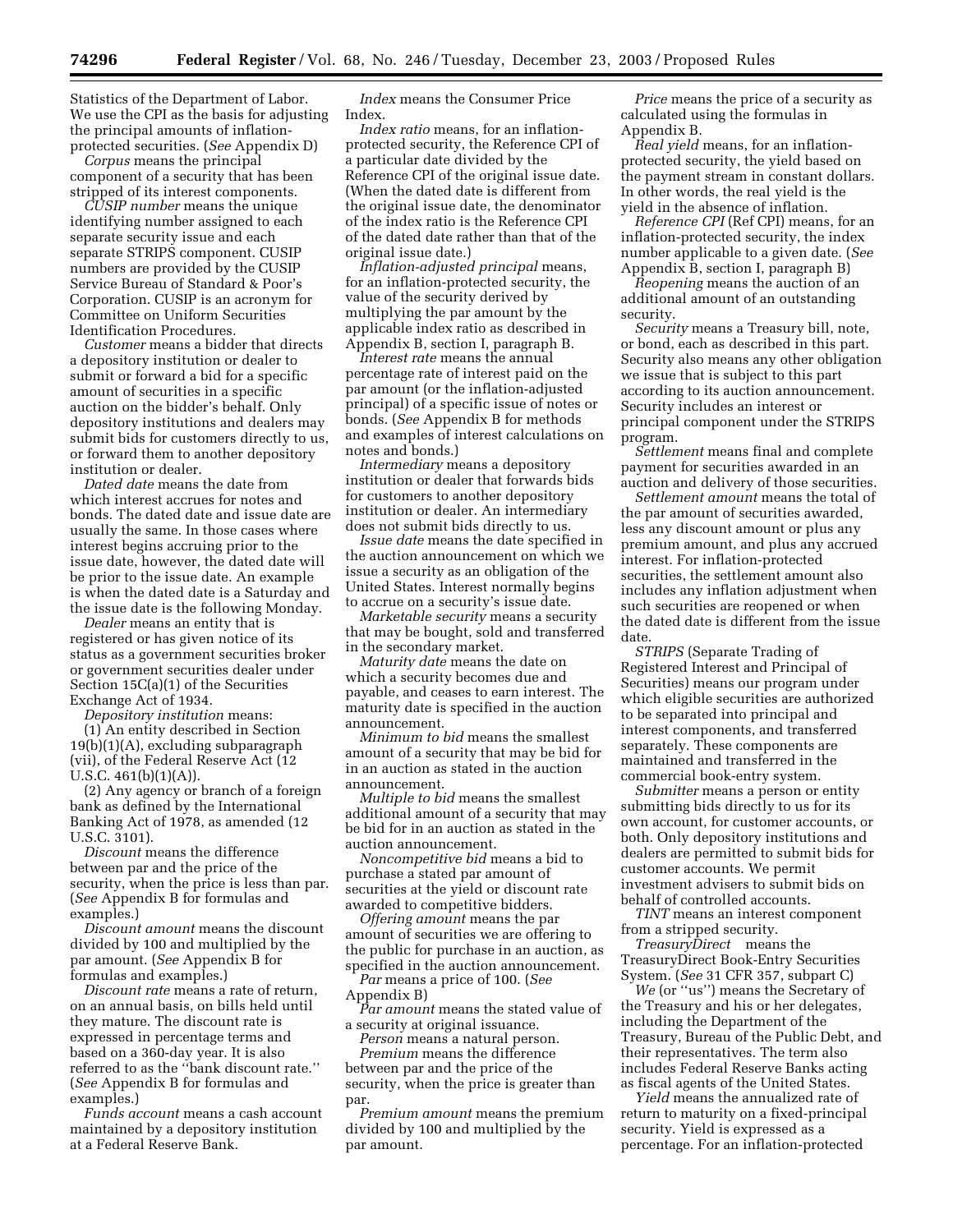Statistics of the Department of Labor. We use the CPI as the basis for adjusting the principal amounts of inflationprotected securities. (*See* Appendix D)

*Corpus* means the principal component of a security that has been stripped of its interest components.

*CUSIP number* means the unique identifying number assigned to each separate security issue and each separate STRIPS component. CUSIP numbers are provided by the CUSIP Service Bureau of Standard & Poor's Corporation. CUSIP is an acronym for Committee on Uniform Securities Identification Procedures.

*Customer* means a bidder that directs a depository institution or dealer to submit or forward a bid for a specific amount of securities in a specific auction on the bidder's behalf. Only depository institutions and dealers may submit bids for customers directly to us, or forward them to another depository institution or dealer.

*Dated date* means the date from which interest accrues for notes and bonds. The dated date and issue date are usually the same. In those cases where interest begins accruing prior to the issue date, however, the dated date will be prior to the issue date. An example is when the dated date is a Saturday and the issue date is the following Monday.

*Dealer* means an entity that is registered or has given notice of its status as a government securities broker or government securities dealer under Section 15C(a)(1) of the Securities Exchange Act of 1934.

*Depository institution* means:

(1) An entity described in Section 19(b)(1)(A), excluding subparagraph (vii), of the Federal Reserve Act (12 U.S.C. 461(b)(1)(A)).

(2) Any agency or branch of a foreign bank as defined by the International Banking Act of 1978, as amended (12 U.S.C. 3101).

*Discount* means the difference between par and the price of the security, when the price is less than par. (*See* Appendix B for formulas and examples.)

*Discount amount* means the discount divided by 100 and multiplied by the par amount. (*See* Appendix B for formulas and examples.)

*Discount rate* means a rate of return, on an annual basis, on bills held until they mature. The discount rate is expressed in percentage terms and based on a 360-day year. It is also referred to as the ''bank discount rate.'' (*See* Appendix B for formulas and examples.)

*Funds account* means a cash account maintained by a depository institution at a Federal Reserve Bank.

*Index* means the Consumer Price Index.

*Index ratio* means, for an inflationprotected security, the Reference CPI of a particular date divided by the Reference CPI of the original issue date. (When the dated date is different from the original issue date, the denominator of the index ratio is the Reference CPI of the dated date rather than that of the original issue date.)

*Inflation-adjusted principal* means, for an inflation-protected security, the value of the security derived by multiplying the par amount by the applicable index ratio as described in Appendix B, section I, paragraph B.

*Interest rate* means the annual percentage rate of interest paid on the par amount (or the inflation-adjusted principal) of a specific issue of notes or bonds. (*See* Appendix B for methods and examples of interest calculations on notes and bonds.)

*Intermediary* means a depository institution or dealer that forwards bids for customers to another depository institution or dealer. An intermediary does not submit bids directly to us.

*Issue date* means the date specified in the auction announcement on which we issue a security as an obligation of the United States. Interest normally begins to accrue on a security's issue date.

*Marketable security* means a security that may be bought, sold and transferred in the secondary market.

*Maturity date* means the date on which a security becomes due and payable, and ceases to earn interest. The maturity date is specified in the auction announcement.

*Minimum to bid* means the smallest amount of a security that may be bid for in an auction as stated in the auction announcement.

*Multiple to bid* means the smallest additional amount of a security that may be bid for in an auction as stated in the auction announcement.

*Noncompetitive bid* means a bid to purchase a stated par amount of securities at the yield or discount rate awarded to competitive bidders.

*Offering amount* means the par amount of securities we are offering to the public for purchase in an auction, as specified in the auction announcement. *Par* means a price of 100. (*See*

Appendix B)

*Par amount* means the stated value of a security at original issuance.

*Person* means a natural person. *Premium* means the difference between par and the price of the security, when the price is greater than

par. *Premium amount* means the premium divided by 100 and multiplied by the par amount.

*Price* means the price of a security as calculated using the formulas in Appendix B.

*Real yield* means, for an inflationprotected security, the yield based on the payment stream in constant dollars. In other words, the real yield is the yield in the absence of inflation.

*Reference CPI* (Ref CPI) means, for an inflation-protected security, the index number applicable to a given date. (*See* Appendix B, section I, paragraph B)

*Reopening* means the auction of an additional amount of an outstanding security.

*Security* means a Treasury bill, note, or bond, each as described in this part. Security also means any other obligation we issue that is subject to this part according to its auction announcement. Security includes an interest or principal component under the STRIPS program.

*Settlement* means final and complete payment for securities awarded in an auction and delivery of those securities.

*Settlement amount* means the total of the par amount of securities awarded, less any discount amount or plus any premium amount, and plus any accrued interest. For inflation-protected securities, the settlement amount also includes any inflation adjustment when such securities are reopened or when the dated date is different from the issue date.

*STRIPS* (Separate Trading of Registered Interest and Principal of Securities) means our program under which eligible securities are authorized to be separated into principal and interest components, and transferred separately. These components are maintained and transferred in the commercial book-entry system.

*Submitter* means a person or entity submitting bids directly to us for its own account, for customer accounts, or both. Only depository institutions and dealers are permitted to submit bids for customer accounts. We permit investment advisers to submit bids on behalf of controlled accounts.

*TINT* means an interest component from a stripped security.

*TreasuryDirect*<sup>®</sup> means the TreasuryDirect Book-Entry Securities System. (*See* 31 CFR 357, subpart C)

*We* (or ''us'') means the Secretary of the Treasury and his or her delegates, including the Department of the Treasury, Bureau of the Public Debt, and their representatives. The term also includes Federal Reserve Banks acting as fiscal agents of the United States.

*Yield* means the annualized rate of return to maturity on a fixed-principal security. Yield is expressed as a percentage. For an inflation-protected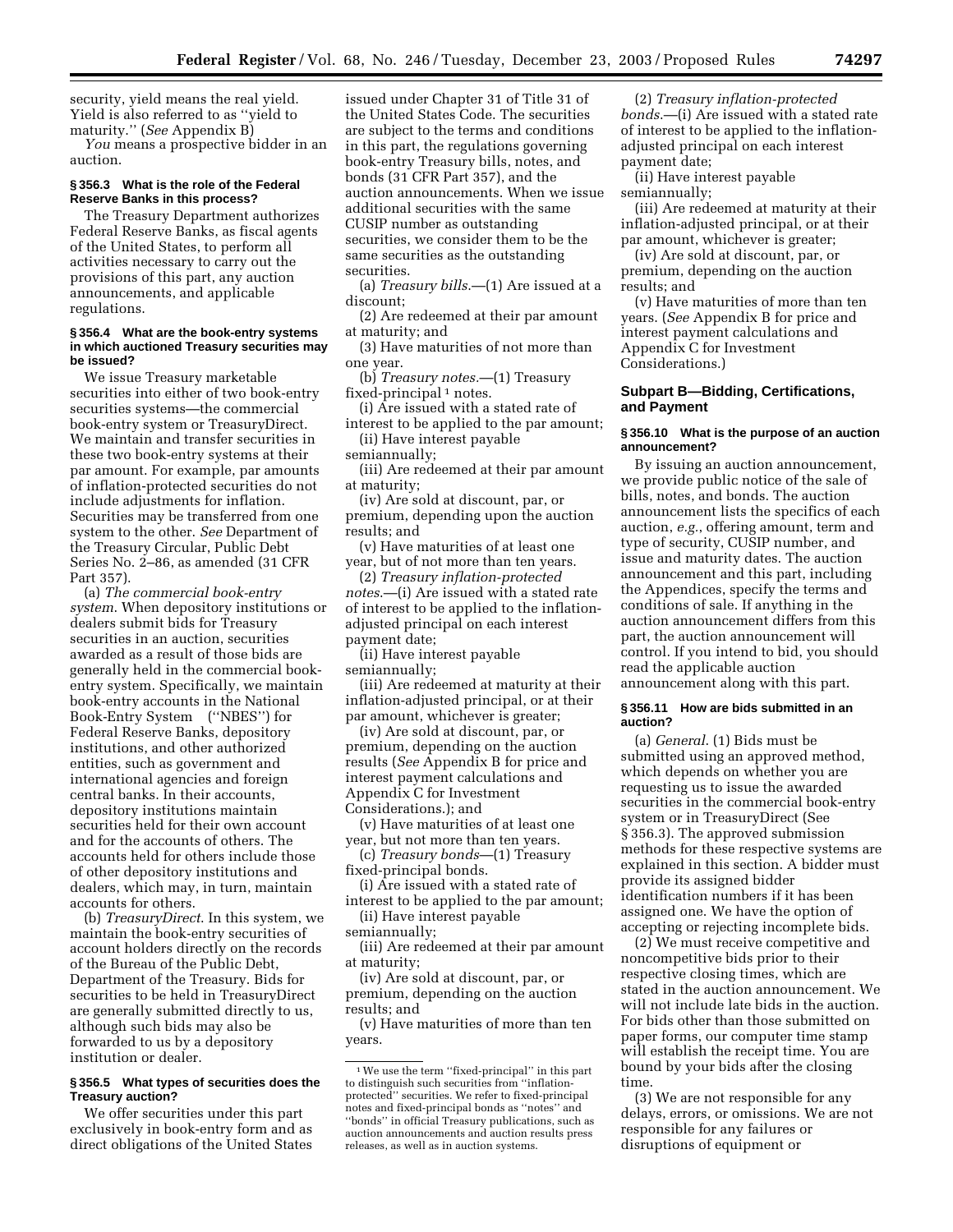security, yield means the real yield. Yield is also referred to as ''yield to maturity.'' (*See* Appendix B)

*You* means a prospective bidder in an auction.

# **§ 356.3 What is the role of the Federal Reserve Banks in this process?**

The Treasury Department authorizes Federal Reserve Banks, as fiscal agents of the United States, to perform all activities necessary to carry out the provisions of this part, any auction announcements, and applicable regulations.

#### **§ 356.4 What are the book-entry systems in which auctioned Treasury securities may be issued?**

We issue Treasury marketable securities into either of two book-entry securities systems—the commercial book-entry system or TreasuryDirect. We maintain and transfer securities in these two book-entry systems at their par amount. For example, par amounts of inflation-protected securities do not include adjustments for inflation. Securities may be transferred from one system to the other. *See* Department of the Treasury Circular, Public Debt Series No. 2–86, as amended (31 CFR Part 357).

(a) *The commercial book-entry system*. When depository institutions or dealers submit bids for Treasury securities in an auction, securities awarded as a result of those bids are generally held in the commercial bookentry system. Specifically, we maintain book-entry accounts in the National Book-Entry System<sup>®</sup> ("NBES") for Federal Reserve Banks, depository institutions, and other authorized entities, such as government and international agencies and foreign central banks. In their accounts, depository institutions maintain securities held for their own account and for the accounts of others. The accounts held for others include those of other depository institutions and dealers, which may, in turn, maintain accounts for others.

(b) *TreasuryDirect*. In this system, we maintain the book-entry securities of account holders directly on the records of the Bureau of the Public Debt, Department of the Treasury. Bids for securities to be held in TreasuryDirect are generally submitted directly to us, although such bids may also be forwarded to us by a depository institution or dealer.

#### **§ 356.5 What types of securities does the Treasury auction?**

We offer securities under this part exclusively in book-entry form and as direct obligations of the United States

issued under Chapter 31 of Title 31 of the United States Code. The securities are subject to the terms and conditions in this part, the regulations governing book-entry Treasury bills, notes, and bonds (31 CFR Part 357), and the auction announcements. When we issue additional securities with the same CUSIP number as outstanding securities, we consider them to be the same securities as the outstanding securities.

(a) *Treasury bills*.—(1) Are issued at a discount;

(2) Are redeemed at their par amount at maturity; and

(3) Have maturities of not more than one year.

(b) *Treasury notes.*—(1) Treasury fixed-principal<sup>1</sup> notes.

(i) Are issued with a stated rate of interest to be applied to the par amount;

(ii) Have interest payable semiannually;

(iii) Are redeemed at their par amount at maturity;

(iv) Are sold at discount, par, or premium, depending upon the auction results; and

(v) Have maturities of at least one year, but of not more than ten years.

(2) *Treasury inflation-protected notes*.—(i) Are issued with a stated rate of interest to be applied to the inflationadjusted principal on each interest payment date;

(ii) Have interest payable semiannually;

(iii) Are redeemed at maturity at their inflation-adjusted principal, or at their par amount, whichever is greater;

(iv) Are sold at discount, par, or premium, depending on the auction results (*See* Appendix B for price and interest payment calculations and Appendix C for Investment Considerations.); and

(v) Have maturities of at least one year, but not more than ten years.

(c) *Treasury bonds*—(1) Treasury fixed-principal bonds.

(i) Are issued with a stated rate of interest to be applied to the par amount;

(ii) Have interest payable semiannually;

(iii) Are redeemed at their par amount at maturity;

(iv) Are sold at discount, par, or premium, depending on the auction results; and

(v) Have maturities of more than ten years.

(2) *Treasury inflation-protected bonds*.—(i) Are issued with a stated rate of interest to be applied to the inflationadjusted principal on each interest payment date;

(ii) Have interest payable semiannually;

(iii) Are redeemed at maturity at their inflation-adjusted principal, or at their par amount, whichever is greater;

(iv) Are sold at discount, par, or premium, depending on the auction results; and

(v) Have maturities of more than ten years. (*See* Appendix B for price and interest payment calculations and Appendix C for Investment Considerations.)

## **Subpart B—Bidding, Certifications, and Payment**

#### **§ 356.10 What is the purpose of an auction announcement?**

By issuing an auction announcement, we provide public notice of the sale of bills, notes, and bonds. The auction announcement lists the specifics of each auction, *e.g.*, offering amount, term and type of security, CUSIP number, and issue and maturity dates. The auction announcement and this part, including the Appendices, specify the terms and conditions of sale. If anything in the auction announcement differs from this part, the auction announcement will control. If you intend to bid, you should read the applicable auction announcement along with this part.

#### **§ 356.11 How are bids submitted in an auction?**

(a) *General*. (1) Bids must be submitted using an approved method, which depends on whether you are requesting us to issue the awarded securities in the commercial book-entry system or in TreasuryDirect (See § 356.3). The approved submission methods for these respective systems are explained in this section. A bidder must provide its assigned bidder identification numbers if it has been assigned one. We have the option of accepting or rejecting incomplete bids.

(2) We must receive competitive and noncompetitive bids prior to their respective closing times, which are stated in the auction announcement. We will not include late bids in the auction. For bids other than those submitted on paper forms, our computer time stamp will establish the receipt time. You are bound by your bids after the closing time.

(3) We are not responsible for any delays, errors, or omissions. We are not responsible for any failures or disruptions of equipment or

<sup>1</sup>We use the term ''fixed-principal'' in this part to distinguish such securities from ''inflationprotected'' securities. We refer to fixed-principal notes and fixed-principal bonds as ''notes'' and ''bonds'' in official Treasury publications, such as auction announcements and auction results press releases, as well as in auction systems.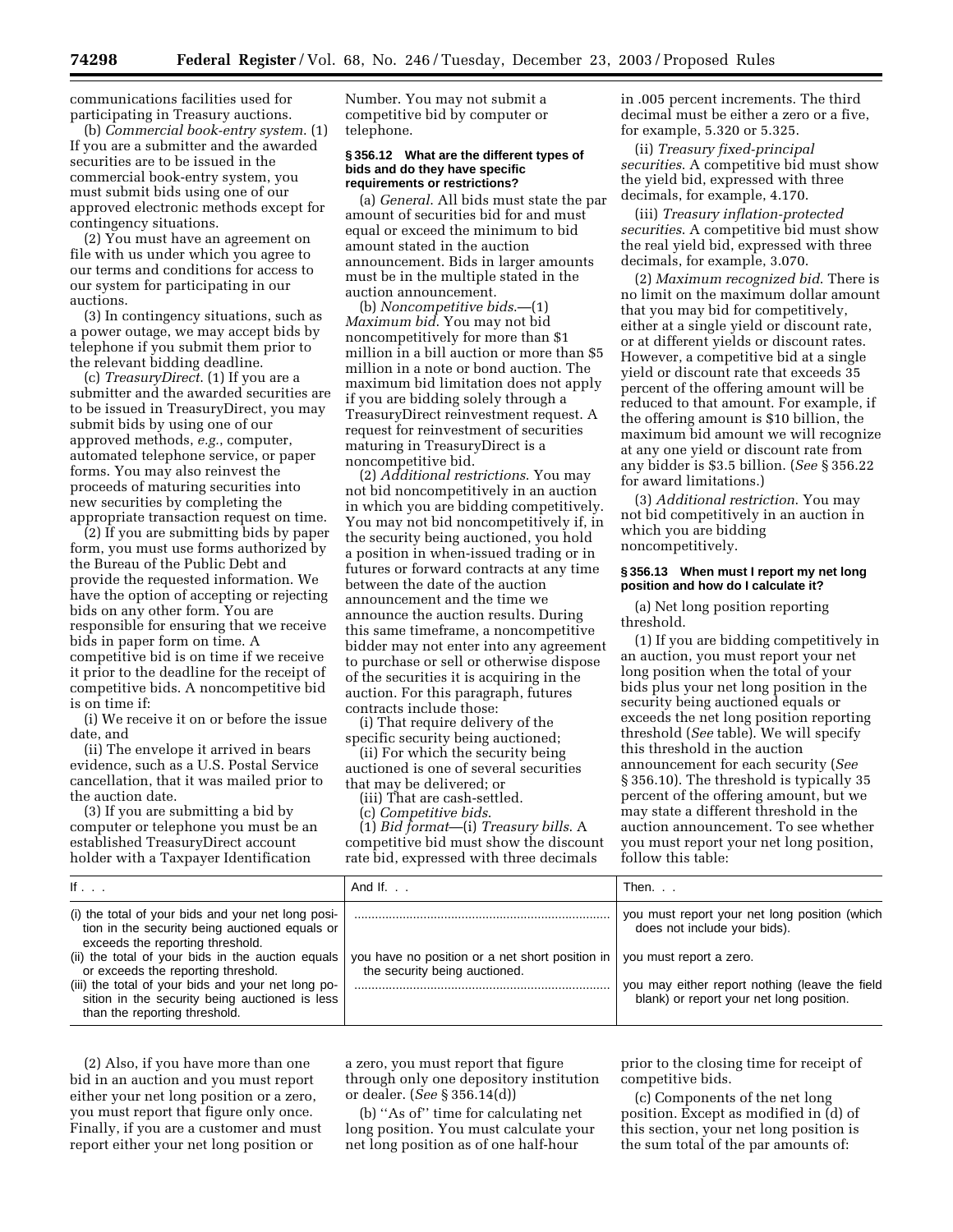communications facilities used for participating in Treasury auctions.

(b) *Commercial book-entry system*. (1) If you are a submitter and the awarded securities are to be issued in the commercial book-entry system, you must submit bids using one of our approved electronic methods except for contingency situations.

(2) You must have an agreement on file with us under which you agree to our terms and conditions for access to our system for participating in our auctions.

(3) In contingency situations, such as a power outage, we may accept bids by telephone if you submit them prior to the relevant bidding deadline.

(c) *TreasuryDirect*. (1) If you are a submitter and the awarded securities are to be issued in TreasuryDirect, you may submit bids by using one of our approved methods, *e.g.*, computer, automated telephone service, or paper forms. You may also reinvest the proceeds of maturing securities into new securities by completing the appropriate transaction request on time.

(2) If you are submitting bids by paper form, you must use forms authorized by the Bureau of the Public Debt and provide the requested information. We have the option of accepting or rejecting bids on any other form. You are responsible for ensuring that we receive bids in paper form on time. A competitive bid is on time if we receive it prior to the deadline for the receipt of competitive bids. A noncompetitive bid is on time if:

(i) We receive it on or before the issue date, and

(ii) The envelope it arrived in bears evidence, such as a U.S. Postal Service cancellation, that it was mailed prior to the auction date.

(3) If you are submitting a bid by computer or telephone you must be an established TreasuryDirect account holder with a Taxpayer Identification

Number. You may not submit a competitive bid by computer or telephone.

#### **§ 356.12 What are the different types of bids and do they have specific requirements or restrictions?**

(a) *General*. All bids must state the par amount of securities bid for and must equal or exceed the minimum to bid amount stated in the auction announcement. Bids in larger amounts must be in the multiple stated in the auction announcement.

(b) *Noncompetitive bids*.—(1) *Maximum bid*. You may not bid noncompetitively for more than \$1 million in a bill auction or more than \$5 million in a note or bond auction. The maximum bid limitation does not apply if you are bidding solely through a TreasuryDirect reinvestment request. A request for reinvestment of securities maturing in TreasuryDirect is a noncompetitive bid.

(2) *Additional restrictions*. You may not bid noncompetitively in an auction in which you are bidding competitively. You may not bid noncompetitively if, in the security being auctioned, you hold a position in when-issued trading or in futures or forward contracts at any time between the date of the auction announcement and the time we announce the auction results. During this same timeframe, a noncompetitive bidder may not enter into any agreement to purchase or sell or otherwise dispose of the securities it is acquiring in the auction. For this paragraph, futures contracts include those:

(i) That require delivery of the specific security being auctioned;

(ii) For which the security being

auctioned is one of several securities that may be delivered; or

(iii) That are cash-settled.

(c) *Competitive bids*.

(1) *Bid format*—(i) *Treasury bills*. A competitive bid must show the discount rate bid, expressed with three decimals

in .005 percent increments. The third decimal must be either a zero or a five, for example, 5.320 or 5.325.

(ii) *Treasury fixed-principal securities*. A competitive bid must show the yield bid, expressed with three decimals, for example, 4.170.

(iii) *Treasury inflation-protected securities*. A competitive bid must show the real yield bid, expressed with three decimals, for example, 3.070.

(2) *Maximum recognized bid*. There is no limit on the maximum dollar amount that you may bid for competitively, either at a single yield or discount rate, or at different yields or discount rates. However, a competitive bid at a single yield or discount rate that exceeds 35 percent of the offering amount will be reduced to that amount. For example, if the offering amount is \$10 billion, the maximum bid amount we will recognize at any one yield or discount rate from any bidder is \$3.5 billion. (*See* § 356.22 for award limitations.)

(3) *Additional restriction*. You may not bid competitively in an auction in which you are bidding noncompetitively.

#### **§ 356.13 When must I report my net long position and how do I calculate it?**

(a) Net long position reporting threshold.

(1) If you are bidding competitively in an auction, you must report your net long position when the total of your bids plus your net long position in the security being auctioned equals or exceeds the net long position reporting threshold (*See* table). We will specify this threshold in the auction announcement for each security (*See* § 356.10). The threshold is typically 35 percent of the offering amount, but we may state a different threshold in the auction announcement. To see whether you must report your net long position, follow this table:

| If $\ldots$                                                                                                                                                                                                                                                                                                                                                                   | And If. $\ldots$                                                                 | Then                                                                                                                                                                                                   |
|-------------------------------------------------------------------------------------------------------------------------------------------------------------------------------------------------------------------------------------------------------------------------------------------------------------------------------------------------------------------------------|----------------------------------------------------------------------------------|--------------------------------------------------------------------------------------------------------------------------------------------------------------------------------------------------------|
| (i) the total of your bids and your net long posi-<br>tion in the security being auctioned equals or<br>exceeds the reporting threshold.<br>(ii) the total of your bids in the auction equals<br>or exceeds the reporting threshold.<br>(iii) the total of your bids and your net long po-<br>sition in the security being auctioned is less<br>than the reporting threshold. | you have no position or a net short position in<br>the security being auctioned. | you must report your net long position (which<br>does not include your bids).<br>you must report a zero.<br>you may either report nothing (leave the field<br>blank) or report your net long position. |

(2) Also, if you have more than one bid in an auction and you must report either your net long position or a zero, you must report that figure only once. Finally, if you are a customer and must report either your net long position or

a zero, you must report that figure through only one depository institution or dealer. (*See* § 356.14(d))

(b) ''As of'' time for calculating net long position. You must calculate your net long position as of one half-hour

prior to the closing time for receipt of competitive bids.

(c) Components of the net long position. Except as modified in (d) of this section, your net long position is the sum total of the par amounts of: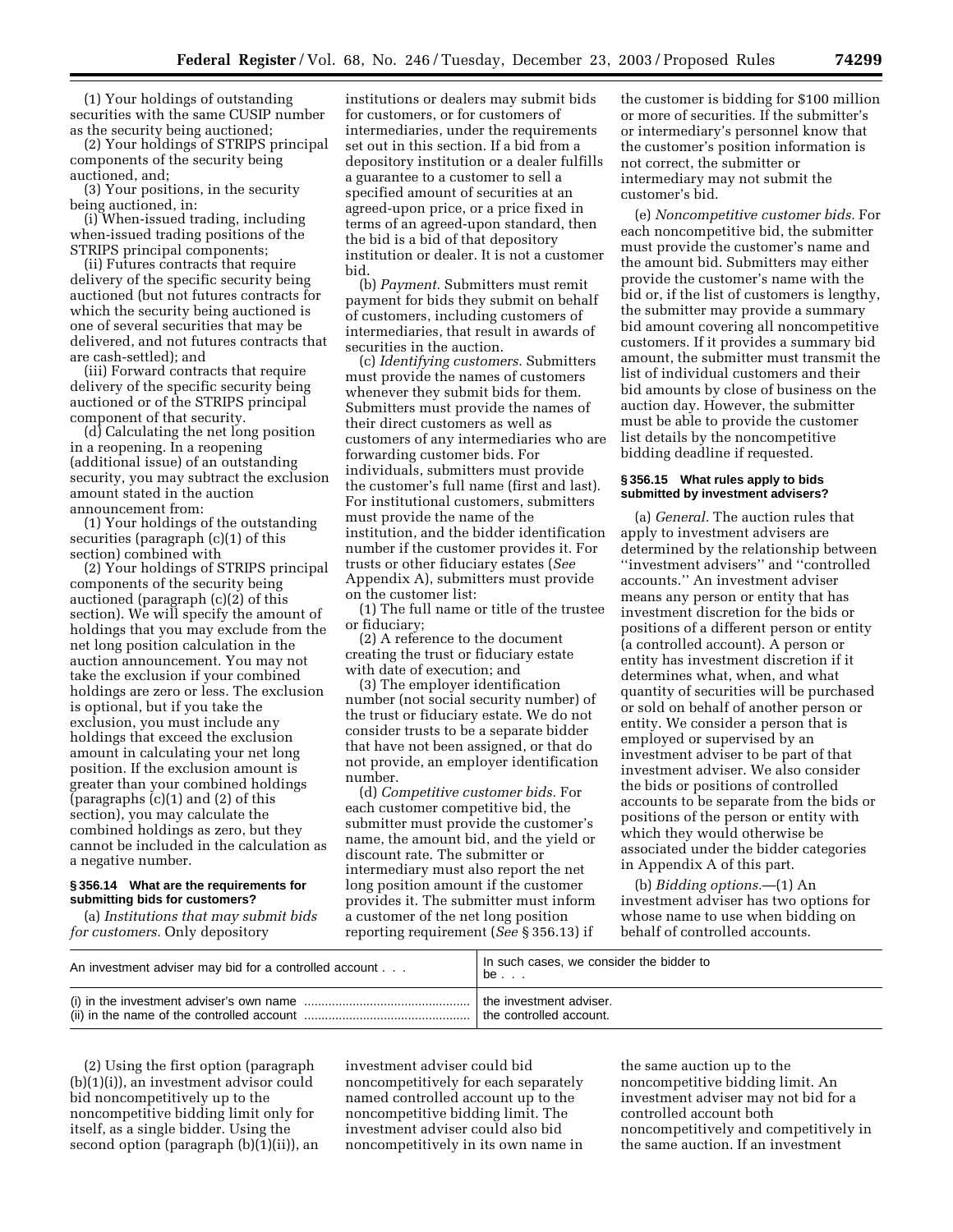(1) Your holdings of outstanding securities with the same CUSIP number as the security being auctioned;

(2) Your holdings of STRIPS principal components of the security being auctioned, and;

(3) Your positions, in the security being auctioned, in:

(i) When-issued trading, including when-issued trading positions of the STRIPS principal components;

(ii) Futures contracts that require delivery of the specific security being auctioned (but not futures contracts for which the security being auctioned is one of several securities that may be delivered, and not futures contracts that are cash-settled); and

(iii) Forward contracts that require delivery of the specific security being auctioned or of the STRIPS principal component of that security.

(d) Calculating the net long position in a reopening. In a reopening (additional issue) of an outstanding security, you may subtract the exclusion amount stated in the auction announcement from:

(1) Your holdings of the outstanding securities (paragraph (c)(1) of this section) combined with

(2) Your holdings of STRIPS principal components of the security being auctioned (paragraph (c)(2) of this section). We will specify the amount of holdings that you may exclude from the net long position calculation in the auction announcement. You may not take the exclusion if your combined holdings are zero or less. The exclusion is optional, but if you take the exclusion, you must include any holdings that exceed the exclusion amount in calculating your net long position. If the exclusion amount is greater than your combined holdings (paragraphs (c)(1) and (2) of this section), you may calculate the combined holdings as zero, but they cannot be included in the calculation as a negative number.

#### **§ 356.14 What are the requirements for submitting bids for customers?**

(a) *Institutions that may submit bids for customers.* Only depository

institutions or dealers may submit bids for customers, or for customers of intermediaries, under the requirements set out in this section. If a bid from a depository institution or a dealer fulfills a guarantee to a customer to sell a specified amount of securities at an agreed-upon price, or a price fixed in terms of an agreed-upon standard, then the bid is a bid of that depository institution or dealer. It is not a customer bid.

(b) *Payment.* Submitters must remit payment for bids they submit on behalf of customers, including customers of intermediaries, that result in awards of securities in the auction.

(c) *Identifying customers.* Submitters must provide the names of customers whenever they submit bids for them. Submitters must provide the names of their direct customers as well as customers of any intermediaries who are forwarding customer bids. For individuals, submitters must provide the customer's full name (first and last). For institutional customers, submitters must provide the name of the institution, and the bidder identification number if the customer provides it. For trusts or other fiduciary estates (*See* Appendix A), submitters must provide on the customer list:

(1) The full name or title of the trustee or fiduciary;

(2) A reference to the document creating the trust or fiduciary estate with date of execution; and

(3) The employer identification number (not social security number) of the trust or fiduciary estate. We do not consider trusts to be a separate bidder that have not been assigned, or that do not provide, an employer identification number.

(d) *Competitive customer bids.* For each customer competitive bid, the submitter must provide the customer's name, the amount bid, and the yield or discount rate. The submitter or intermediary must also report the net long position amount if the customer provides it. The submitter must inform a customer of the net long position reporting requirement (*See* § 356.13) if

the customer is bidding for \$100 million or more of securities. If the submitter's or intermediary's personnel know that the customer's position information is not correct, the submitter or intermediary may not submit the customer's bid.

(e) *Noncompetitive customer bids.* For each noncompetitive bid, the submitter must provide the customer's name and the amount bid. Submitters may either provide the customer's name with the bid or, if the list of customers is lengthy, the submitter may provide a summary bid amount covering all noncompetitive customers. If it provides a summary bid amount, the submitter must transmit the list of individual customers and their bid amounts by close of business on the auction day. However, the submitter must be able to provide the customer list details by the noncompetitive bidding deadline if requested.

#### **§ 356.15 What rules apply to bids submitted by investment advisers?**

(a) *General.* The auction rules that apply to investment advisers are determined by the relationship between ''investment advisers'' and ''controlled accounts.'' An investment adviser means any person or entity that has investment discretion for the bids or positions of a different person or entity (a controlled account). A person or entity has investment discretion if it determines what, when, and what quantity of securities will be purchased or sold on behalf of another person or entity. We consider a person that is employed or supervised by an investment adviser to be part of that investment adviser. We also consider the bids or positions of controlled accounts to be separate from the bids or positions of the person or entity with which they would otherwise be associated under the bidder categories in Appendix A of this part.

(b) *Bidding options.*—(1) An investment adviser has two options for whose name to use when bidding on behalf of controlled accounts.

| An investment adviser may bid for a controlled account                                                                                            | In such cases, we consider the bidder to<br>be |
|---------------------------------------------------------------------------------------------------------------------------------------------------|------------------------------------------------|
| (i) in the investment adviser's own name $\ldots$ $\ldots$ $\ldots$ $\ldots$ $\ldots$ $\ldots$ $\ldots$ $\ldots$ $\ldots$ the investment adviser. | the controlled account.                        |

(2) Using the first option (paragraph (b)(1)(i)), an investment advisor could bid noncompetitively up to the noncompetitive bidding limit only for itself, as a single bidder. Using the second option (paragraph (b)(1)(ii)), an

investment adviser could bid noncompetitively for each separately named controlled account up to the noncompetitive bidding limit. The investment adviser could also bid noncompetitively in its own name in

the same auction up to the noncompetitive bidding limit. An investment adviser may not bid for a controlled account both noncompetitively and competitively in the same auction. If an investment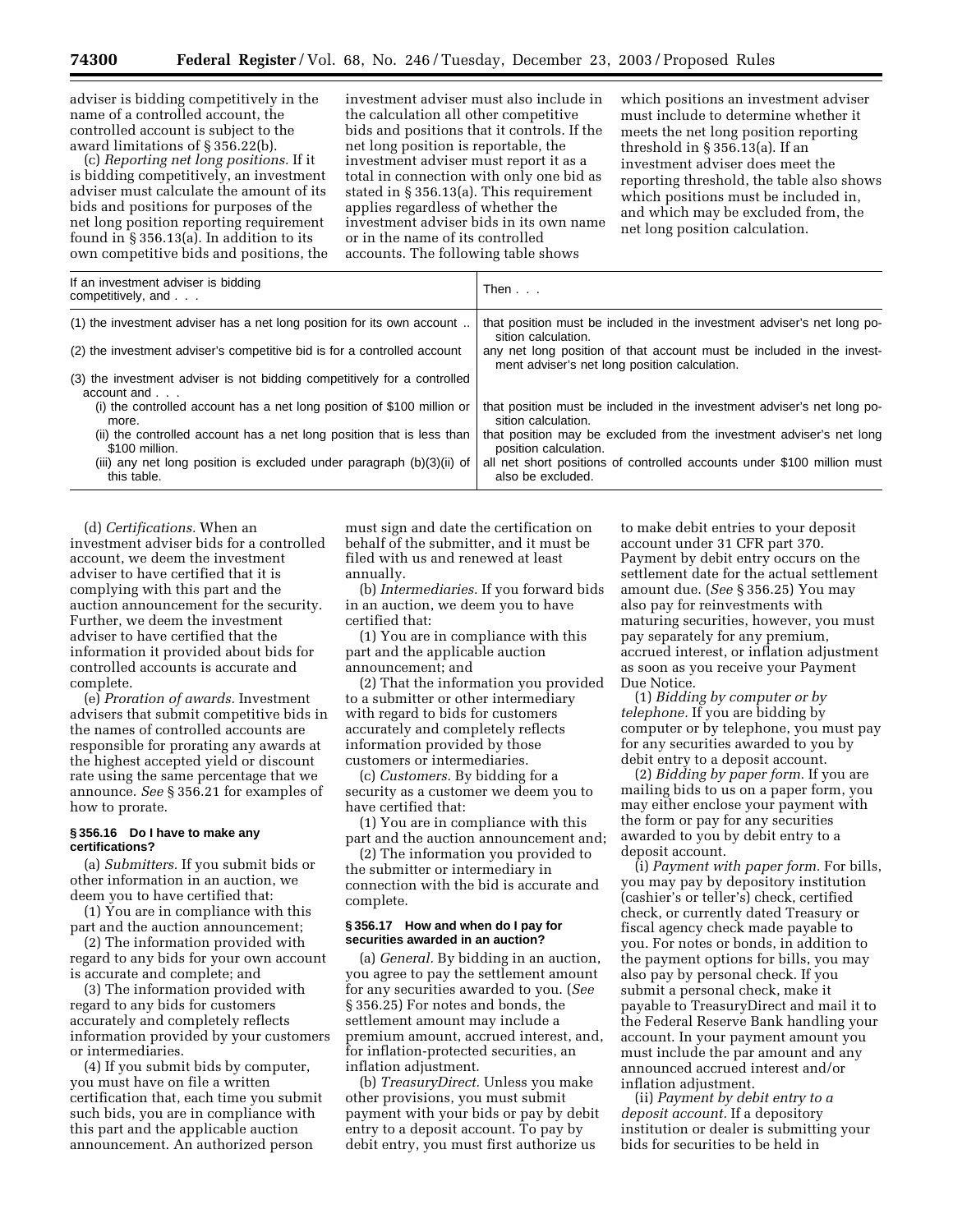adviser is bidding competitively in the name of a controlled account, the controlled account is subject to the award limitations of § 356.22(b).

(c) *Reporting net long positions.* If it is bidding competitively, an investment adviser must calculate the amount of its bids and positions for purposes of the net long position reporting requirement found in § 356.13(a). In addition to its own competitive bids and positions, the

investment adviser must also include in the calculation all other competitive bids and positions that it controls. If the net long position is reportable, the investment adviser must report it as a total in connection with only one bid as stated in § 356.13(a). This requirement applies regardless of whether the investment adviser bids in its own name or in the name of its controlled accounts. The following table shows

which positions an investment adviser must include to determine whether it meets the net long position reporting threshold in § 356.13(a). If an investment adviser does meet the reporting threshold, the table also shows which positions must be included in, and which may be excluded from, the net long position calculation.

| If an investment adviser is bidding<br>competitively, and                                                                                                          | Then $\ldots$                                                                                                                                                            |
|--------------------------------------------------------------------------------------------------------------------------------------------------------------------|--------------------------------------------------------------------------------------------------------------------------------------------------------------------------|
| (1) the investment adviser has a net long position for its own account                                                                                             | that position must be included in the investment adviser's net long po-<br>sition calculation.                                                                           |
| (2) the investment adviser's competitive bid is for a controlled account                                                                                           | any net long position of that account must be included in the invest-<br>ment adviser's net long position calculation.                                                   |
| (3) the investment adviser is not bidding competitively for a controlled<br>$account$ and $\ldots$                                                                 |                                                                                                                                                                          |
| (i) the controlled account has a net long position of \$100 million or<br>more.                                                                                    | that position must be included in the investment adviser's net long po-<br>sition calculation.                                                                           |
| (ii) the controlled account has a net long position that is less than<br>\$100 million.<br>(iii) any net long position is excluded under paragraph $(b)(3)(ii)$ of | that position may be excluded from the investment adviser's net long<br>position calculation.<br>all net short positions of controlled accounts under \$100 million must |
| this table.                                                                                                                                                        | also be excluded.                                                                                                                                                        |

(d) *Certifications.* When an investment adviser bids for a controlled account, we deem the investment adviser to have certified that it is complying with this part and the auction announcement for the security. Further, we deem the investment adviser to have certified that the information it provided about bids for controlled accounts is accurate and complete.

(e) *Proration of awards.* Investment advisers that submit competitive bids in the names of controlled accounts are responsible for prorating any awards at the highest accepted yield or discount rate using the same percentage that we announce. *See* § 356.21 for examples of how to prorate.

#### **§ 356.16 Do I have to make any certifications?**

(a) *Submitters.* If you submit bids or other information in an auction, we deem you to have certified that:

(1) You are in compliance with this part and the auction announcement;

(2) The information provided with regard to any bids for your own account is accurate and complete; and

(3) The information provided with regard to any bids for customers accurately and completely reflects information provided by your customers or intermediaries.

(4) If you submit bids by computer, you must have on file a written certification that, each time you submit such bids, you are in compliance with this part and the applicable auction announcement. An authorized person

must sign and date the certification on behalf of the submitter, and it must be filed with us and renewed at least annually.

(b) *Intermediaries.* If you forward bids in an auction, we deem you to have certified that:

(1) You are in compliance with this part and the applicable auction announcement; and

(2) That the information you provided to a submitter or other intermediary with regard to bids for customers accurately and completely reflects information provided by those customers or intermediaries.

(c) *Customers.* By bidding for a security as a customer we deem you to have certified that:

(1) You are in compliance with this part and the auction announcement and;

(2) The information you provided to the submitter or intermediary in connection with the bid is accurate and complete.

#### **§ 356.17 How and when do I pay for securities awarded in an auction?**

(a) *General.* By bidding in an auction, you agree to pay the settlement amount for any securities awarded to you. (*See* § 356.25) For notes and bonds, the settlement amount may include a premium amount, accrued interest, and, for inflation-protected securities, an inflation adjustment.

(b) *TreasuryDirect.* Unless you make other provisions, you must submit payment with your bids or pay by debit entry to a deposit account. To pay by debit entry, you must first authorize us

to make debit entries to your deposit account under 31 CFR part 370. Payment by debit entry occurs on the settlement date for the actual settlement amount due. (*See* § 356.25) You may also pay for reinvestments with maturing securities, however, you must pay separately for any premium, accrued interest, or inflation adjustment as soon as you receive your Payment Due Notice.

(1) *Bidding by computer or by telephone.* If you are bidding by computer or by telephone, you must pay for any securities awarded to you by debit entry to a deposit account.

(2) *Bidding by paper form.* If you are mailing bids to us on a paper form, you may either enclose your payment with the form or pay for any securities awarded to you by debit entry to a deposit account.

(i) *Payment with paper form.* For bills, you may pay by depository institution (cashier's or teller's) check, certified check, or currently dated Treasury or fiscal agency check made payable to you. For notes or bonds, in addition to the payment options for bills, you may also pay by personal check. If you submit a personal check, make it payable to TreasuryDirect and mail it to the Federal Reserve Bank handling your account. In your payment amount you must include the par amount and any announced accrued interest and/or inflation adjustment.

(ii) *Payment by debit entry to a deposit account.* If a depository institution or dealer is submitting your bids for securities to be held in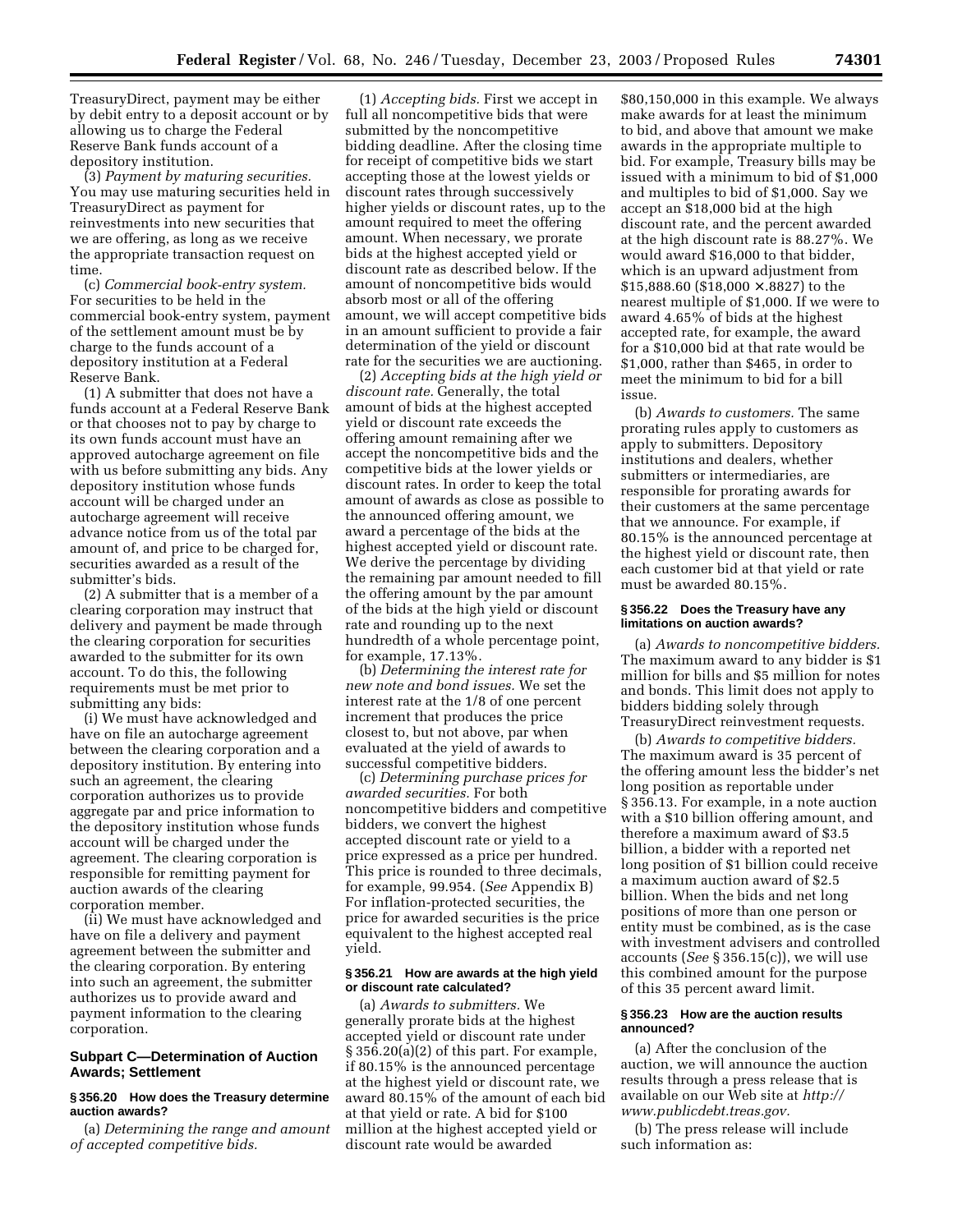TreasuryDirect, payment may be either by debit entry to a deposit account or by allowing us to charge the Federal Reserve Bank funds account of a depository institution.

(3) *Payment by maturing securities.* You may use maturing securities held in TreasuryDirect as payment for reinvestments into new securities that we are offering, as long as we receive the appropriate transaction request on time.

(c) *Commercial book-entry system.* For securities to be held in the commercial book-entry system, payment of the settlement amount must be by charge to the funds account of a depository institution at a Federal Reserve Bank.

(1) A submitter that does not have a funds account at a Federal Reserve Bank or that chooses not to pay by charge to its own funds account must have an approved autocharge agreement on file with us before submitting any bids. Any depository institution whose funds account will be charged under an autocharge agreement will receive advance notice from us of the total par amount of, and price to be charged for, securities awarded as a result of the submitter's bids.

(2) A submitter that is a member of a clearing corporation may instruct that delivery and payment be made through the clearing corporation for securities awarded to the submitter for its own account. To do this, the following requirements must be met prior to submitting any bids:

(i) We must have acknowledged and have on file an autocharge agreement between the clearing corporation and a depository institution. By entering into such an agreement, the clearing corporation authorizes us to provide aggregate par and price information to the depository institution whose funds account will be charged under the agreement. The clearing corporation is responsible for remitting payment for auction awards of the clearing corporation member.

(ii) We must have acknowledged and have on file a delivery and payment agreement between the submitter and the clearing corporation. By entering into such an agreement, the submitter authorizes us to provide award and payment information to the clearing corporation.

# **Subpart C—Determination of Auction Awards; Settlement**

#### **§ 356.20 How does the Treasury determine auction awards?**

(a) *Determining the range and amount of accepted competitive bids.*

(1) *Accepting bids.* First we accept in full all noncompetitive bids that were submitted by the noncompetitive bidding deadline. After the closing time for receipt of competitive bids we start accepting those at the lowest yields or discount rates through successively higher yields or discount rates, up to the amount required to meet the offering amount. When necessary, we prorate bids at the highest accepted yield or discount rate as described below. If the amount of noncompetitive bids would absorb most or all of the offering amount, we will accept competitive bids in an amount sufficient to provide a fair determination of the yield or discount rate for the securities we are auctioning.

(2) *Accepting bids at the high yield or discount rate.* Generally, the total amount of bids at the highest accepted yield or discount rate exceeds the offering amount remaining after we accept the noncompetitive bids and the competitive bids at the lower yields or discount rates. In order to keep the total amount of awards as close as possible to the announced offering amount, we award a percentage of the bids at the highest accepted yield or discount rate. We derive the percentage by dividing the remaining par amount needed to fill the offering amount by the par amount of the bids at the high yield or discount rate and rounding up to the next hundredth of a whole percentage point, for example, 17.13%.

(b) *Determining the interest rate for new note and bond issues.* We set the interest rate at the 1/8 of one percent increment that produces the price closest to, but not above, par when evaluated at the yield of awards to successful competitive bidders.

(c) *Determining purchase prices for awarded securities.* For both noncompetitive bidders and competitive bidders, we convert the highest accepted discount rate or yield to a price expressed as a price per hundred. This price is rounded to three decimals, for example, 99.954. (*See* Appendix B) For inflation-protected securities, the price for awarded securities is the price equivalent to the highest accepted real yield.

#### **§ 356.21 How are awards at the high yield or discount rate calculated?**

(a) *Awards to submitters.* We generally prorate bids at the highest accepted yield or discount rate under § 356.20(a)(2) of this part. For example, if 80.15% is the announced percentage at the highest yield or discount rate, we award 80.15% of the amount of each bid at that yield or rate. A bid for \$100 million at the highest accepted yield or discount rate would be awarded

\$80,150,000 in this example. We always make awards for at least the minimum to bid, and above that amount we make awards in the appropriate multiple to bid. For example, Treasury bills may be issued with a minimum to bid of \$1,000 and multiples to bid of \$1,000. Say we accept an \$18,000 bid at the high discount rate, and the percent awarded at the high discount rate is 88.27%. We would award \$16,000 to that bidder, which is an upward adjustment from \$15,888.60 (\$18,000 × .8827) to the nearest multiple of \$1,000. If we were to award 4.65% of bids at the highest accepted rate, for example, the award for a \$10,000 bid at that rate would be \$1,000, rather than \$465, in order to meet the minimum to bid for a bill issue.

(b) *Awards to customers.* The same prorating rules apply to customers as apply to submitters. Depository institutions and dealers, whether submitters or intermediaries, are responsible for prorating awards for their customers at the same percentage that we announce. For example, if 80.15% is the announced percentage at the highest yield or discount rate, then each customer bid at that yield or rate must be awarded 80.15%.

#### **§ 356.22 Does the Treasury have any limitations on auction awards?**

(a) *Awards to noncompetitive bidders.* The maximum award to any bidder is \$1 million for bills and \$5 million for notes and bonds. This limit does not apply to bidders bidding solely through TreasuryDirect reinvestment requests.

(b) *Awards to competitive bidders.* The maximum award is 35 percent of the offering amount less the bidder's net long position as reportable under § 356.13. For example, in a note auction with a \$10 billion offering amount, and therefore a maximum award of \$3.5 billion, a bidder with a reported net long position of \$1 billion could receive a maximum auction award of \$2.5 billion. When the bids and net long positions of more than one person or entity must be combined, as is the case with investment advisers and controlled accounts (*See* § 356.15(c)), we will use this combined amount for the purpose of this 35 percent award limit.

# **§ 356.23 How are the auction results announced?**

(a) After the conclusion of the auction, we will announce the auction results through a press release that is [available on our Web site at](http://www.publicdebt.treas.gov) *http:// www.publicdebt.treas.gov.*

(b) The press release will include such information as: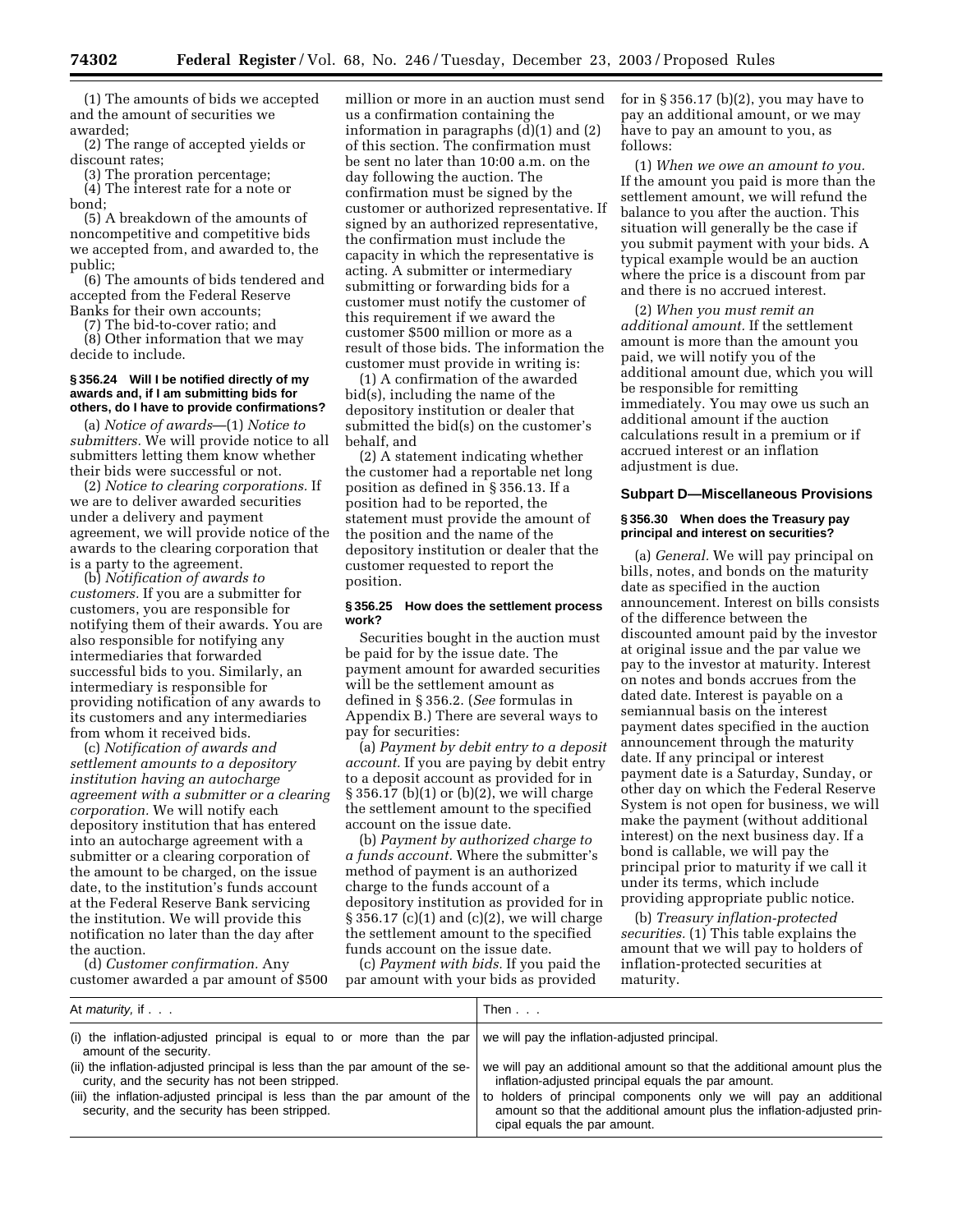(1) The amounts of bids we accepted and the amount of securities we awarded;

(2) The range of accepted yields or discount rates;

(3) The proration percentage;

(4) The interest rate for a note or bond;

(5) A breakdown of the amounts of noncompetitive and competitive bids we accepted from, and awarded to, the public;

(6) The amounts of bids tendered and accepted from the Federal Reserve Banks for their own accounts;

(7) The bid-to-cover ratio; and

(8) Other information that we may decide to include.

#### **§ 356.24 Will I be notified directly of my awards and, if I am submitting bids for others, do I have to provide confirmations?**

(a) *Notice of awards*—(1) *Notice to submitters.* We will provide notice to all submitters letting them know whether their bids were successful or not.

(2) *Notice to clearing corporations.* If we are to deliver awarded securities under a delivery and payment agreement, we will provide notice of the awards to the clearing corporation that is a party to the agreement.

(b) *Notification of awards to customers.* If you are a submitter for customers, you are responsible for notifying them of their awards. You are also responsible for notifying any intermediaries that forwarded successful bids to you. Similarly, an intermediary is responsible for providing notification of any awards to its customers and any intermediaries from whom it received bids.

(c) *Notification of awards and settlement amounts to a depository institution having an autocharge agreement with a submitter or a clearing corporation.* We will notify each depository institution that has entered into an autocharge agreement with a submitter or a clearing corporation of the amount to be charged, on the issue date, to the institution's funds account at the Federal Reserve Bank servicing the institution. We will provide this notification no later than the day after the auction.

(d) *Customer confirmation.* Any customer awarded a par amount of \$500

million or more in an auction must send us a confirmation containing the information in paragraphs (d)(1) and (2) of this section. The confirmation must be sent no later than 10:00 a.m. on the day following the auction. The confirmation must be signed by the customer or authorized representative. If signed by an authorized representative, the confirmation must include the capacity in which the representative is acting. A submitter or intermediary submitting or forwarding bids for a customer must notify the customer of this requirement if we award the customer \$500 million or more as a result of those bids. The information the customer must provide in writing is:

(1) A confirmation of the awarded bid(s), including the name of the depository institution or dealer that submitted the bid(s) on the customer's behalf, and

(2) A statement indicating whether the customer had a reportable net long position as defined in § 356.13. If a position had to be reported, the statement must provide the amount of the position and the name of the depository institution or dealer that the customer requested to report the position.

#### **§ 356.25 How does the settlement process work?**

Securities bought in the auction must be paid for by the issue date. The payment amount for awarded securities will be the settlement amount as defined in § 356.2. (*See* formulas in Appendix B.) There are several ways to pay for securities:

(a) *Payment by debit entry to a deposit account.* If you are paying by debit entry to a deposit account as provided for in § 356.17 (b)(1) or (b)(2), we will charge the settlement amount to the specified account on the issue date.

(b) *Payment by authorized charge to a funds account.* Where the submitter's method of payment is an authorized charge to the funds account of a depository institution as provided for in § 356.17 (c)(1) and (c)(2), we will charge the settlement amount to the specified funds account on the issue date.

(c) *Payment with bids.* If you paid the par amount with your bids as provided

for in  $\S 356.17$  (b)(2), you may have to pay an additional amount, or we may have to pay an amount to you, as follows:

(1) *When we owe an amount to you.* If the amount you paid is more than the settlement amount, we will refund the balance to you after the auction. This situation will generally be the case if you submit payment with your bids. A typical example would be an auction where the price is a discount from par and there is no accrued interest.

(2) *When you must remit an additional amount.* If the settlement amount is more than the amount you paid, we will notify you of the additional amount due, which you will be responsible for remitting immediately. You may owe us such an additional amount if the auction calculations result in a premium or if accrued interest or an inflation adjustment is due.

#### **Subpart D—Miscellaneous Provisions**

#### **§ 356.30 When does the Treasury pay principal and interest on securities?**

(a) *General.* We will pay principal on bills, notes, and bonds on the maturity date as specified in the auction announcement. Interest on bills consists of the difference between the discounted amount paid by the investor at original issue and the par value we pay to the investor at maturity. Interest on notes and bonds accrues from the dated date. Interest is payable on a semiannual basis on the interest payment dates specified in the auction announcement through the maturity date. If any principal or interest payment date is a Saturday, Sunday, or other day on which the Federal Reserve System is not open for business, we will make the payment (without additional interest) on the next business day. If a bond is callable, we will pay the principal prior to maturity if we call it under its terms, which include providing appropriate public notice.

(b) *Treasury inflation-protected securities.* (1) This table explains the amount that we will pay to holders of inflation-protected securities at maturity.

| At <i>maturity</i> , if                                                                                                         | Then $\ldots$                                                                                                                                                               |
|---------------------------------------------------------------------------------------------------------------------------------|-----------------------------------------------------------------------------------------------------------------------------------------------------------------------------|
| (i) the inflation-adjusted principal is equal to or more than the par $\vert$<br>amount of the security.                        | we will pay the inflation-adjusted principal.                                                                                                                               |
| (ii) the inflation-adjusted principal is less than the par amount of the se-<br>curity, and the security has not been stripped. | we will pay an additional amount so that the additional amount plus the<br>inflation-adjusted principal equals the par amount.                                              |
| (iii) the inflation-adjusted principal is less than the par amount of the<br>security, and the security has been stripped.      | to holders of principal components only we will pay an additional<br>amount so that the additional amount plus the inflation-adjusted prin-<br>cipal equals the par amount. |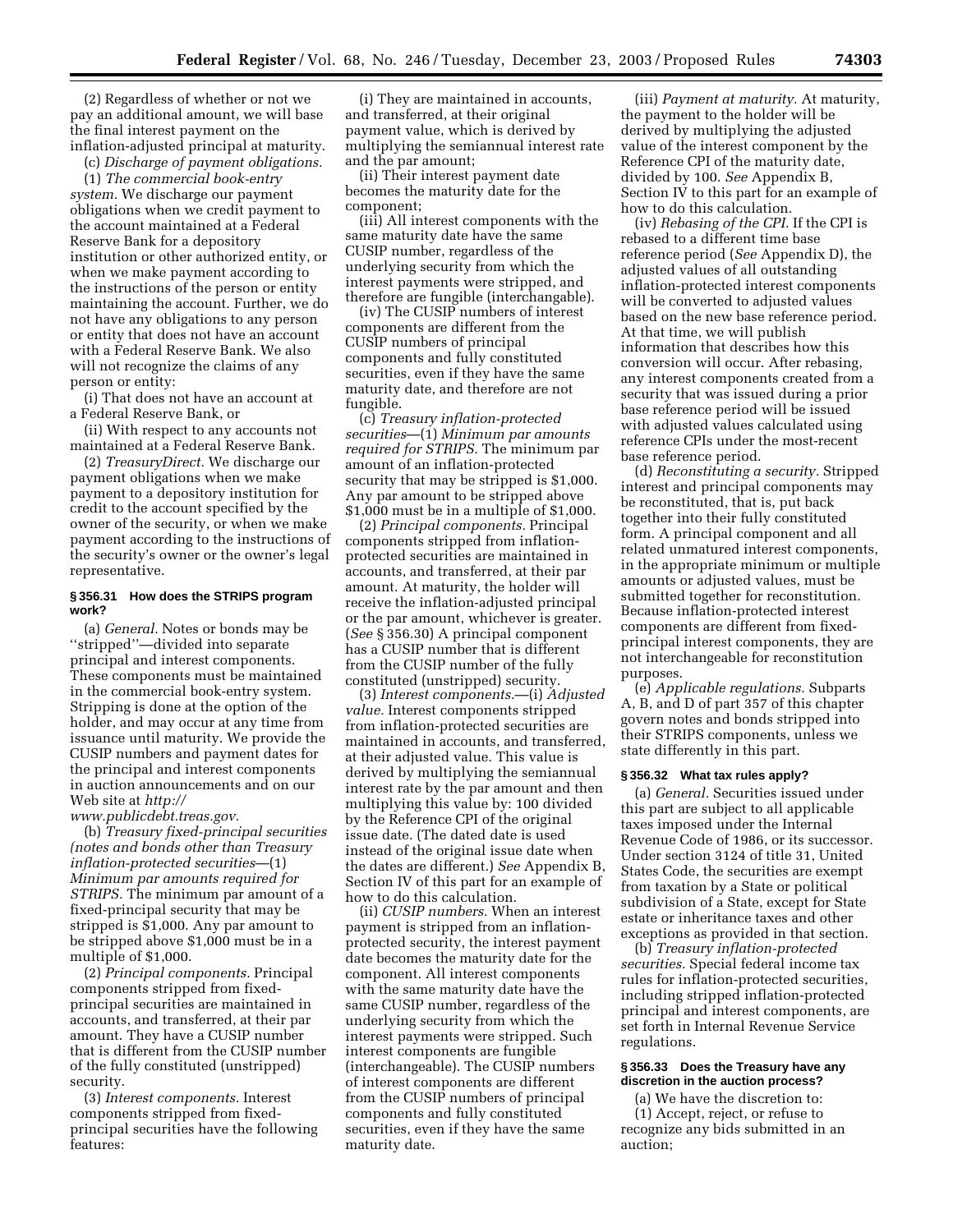(2) Regardless of whether or not we pay an additional amount, we will base the final interest payment on the inflation-adjusted principal at maturity.

(c) *Discharge of payment obligations.*

(1) *The commercial book-entry system.* We discharge our payment obligations when we credit payment to the account maintained at a Federal Reserve Bank for a depository institution or other authorized entity, or when we make payment according to the instructions of the person or entity maintaining the account. Further, we do not have any obligations to any person or entity that does not have an account with a Federal Reserve Bank. We also will not recognize the claims of any person or entity:

(i) That does not have an account at a Federal Reserve Bank, or

(ii) With respect to any accounts not maintained at a Federal Reserve Bank.

(2) *TreasuryDirect.* We discharge our payment obligations when we make payment to a depository institution for credit to the account specified by the owner of the security, or when we make payment according to the instructions of the security's owner or the owner's legal representative.

#### **§ 356.31 How does the STRIPS program work?**

(a) *General.* Notes or bonds may be ''stripped''—divided into separate principal and interest components. These components must be maintained in the commercial book-entry system. Stripping is done at the option of the holder, and may occur at any time from issuance until maturity. We provide the CUSIP numbers and payment dates for the principal and interest components in auction announcements and on our Web site at *http://*

*[www.publicdebt.treas.gov.](http://www.publicdebt.treas.gov)*

(b) *Treasury fixed-principal securities (notes and bonds other than Treasury inflation-protected securities*—(1) *Minimum par amounts required for STRIPS.* The minimum par amount of a fixed-principal security that may be stripped is \$1,000. Any par amount to be stripped above \$1,000 must be in a multiple of \$1,000.

(2) *Principal components.* Principal components stripped from fixedprincipal securities are maintained in accounts, and transferred, at their par amount. They have a CUSIP number that is different from the CUSIP number of the fully constituted (unstripped) security.

(3) *Interest components.* Interest components stripped from fixedprincipal securities have the following features:

(i) They are maintained in accounts, and transferred, at their original payment value, which is derived by multiplying the semiannual interest rate and the par amount;

(ii) Their interest payment date becomes the maturity date for the component;

(iii) All interest components with the same maturity date have the same CUSIP number, regardless of the underlying security from which the interest payments were stripped, and therefore are fungible (interchangable).

(iv) The CUSIP numbers of interest components are different from the CUSIP numbers of principal components and fully constituted securities, even if they have the same maturity date, and therefore are not fungible.

(c) *Treasury inflation-protected securities*—(1) *Minimum par amounts required for STRIPS.* The minimum par amount of an inflation-protected security that may be stripped is \$1,000. Any par amount to be stripped above \$1,000 must be in a multiple of \$1,000.

(2) *Principal components.* Principal components stripped from inflationprotected securities are maintained in accounts, and transferred, at their par amount. At maturity, the holder will receive the inflation-adjusted principal or the par amount, whichever is greater. (*See* § 356.30) A principal component has a CUSIP number that is different from the CUSIP number of the fully constituted (unstripped) security.

(3) *Interest components.*—(i) *Adjusted value.* Interest components stripped from inflation-protected securities are maintained in accounts, and transferred, at their adjusted value. This value is derived by multiplying the semiannual interest rate by the par amount and then multiplying this value by: 100 divided by the Reference CPI of the original issue date. (The dated date is used instead of the original issue date when the dates are different.) *See* Appendix B, Section IV of this part for an example of how to do this calculation.

(ii) *CUSIP numbers.* When an interest payment is stripped from an inflationprotected security, the interest payment date becomes the maturity date for the component. All interest components with the same maturity date have the same CUSIP number, regardless of the underlying security from which the interest payments were stripped. Such interest components are fungible (interchangeable). The CUSIP numbers of interest components are different from the CUSIP numbers of principal components and fully constituted securities, even if they have the same maturity date.

(iii) *Payment at maturity.* At maturity, the payment to the holder will be derived by multiplying the adjusted value of the interest component by the Reference CPI of the maturity date, divided by 100. *See* Appendix B, Section IV to this part for an example of how to do this calculation.

(iv) *Rebasing of the CPI.* If the CPI is rebased to a different time base reference period (*See* Appendix D), the adjusted values of all outstanding inflation-protected interest components will be converted to adjusted values based on the new base reference period. At that time, we will publish information that describes how this conversion will occur. After rebasing, any interest components created from a security that was issued during a prior base reference period will be issued with adjusted values calculated using reference CPIs under the most-recent base reference period.

(d) *Reconstituting a security.* Stripped interest and principal components may be reconstituted, that is, put back together into their fully constituted form. A principal component and all related unmatured interest components, in the appropriate minimum or multiple amounts or adjusted values, must be submitted together for reconstitution. Because inflation-protected interest components are different from fixedprincipal interest components, they are not interchangeable for reconstitution purposes.

(e) *Applicable regulations.* Subparts A, B, and D of part 357 of this chapter govern notes and bonds stripped into their STRIPS components, unless we state differently in this part.

#### **§ 356.32 What tax rules apply?**

(a) *General.* Securities issued under this part are subject to all applicable taxes imposed under the Internal Revenue Code of 1986, or its successor. Under section 3124 of title 31, United States Code, the securities are exempt from taxation by a State or political subdivision of a State, except for State estate or inheritance taxes and other exceptions as provided in that section.

(b) *Treasury inflation-protected securities.* Special federal income tax rules for inflation-protected securities, including stripped inflation-protected principal and interest components, are set forth in Internal Revenue Service regulations.

#### **§ 356.33 Does the Treasury have any discretion in the auction process?**

(a) We have the discretion to: (1) Accept, reject, or refuse to recognize any bids submitted in an auction;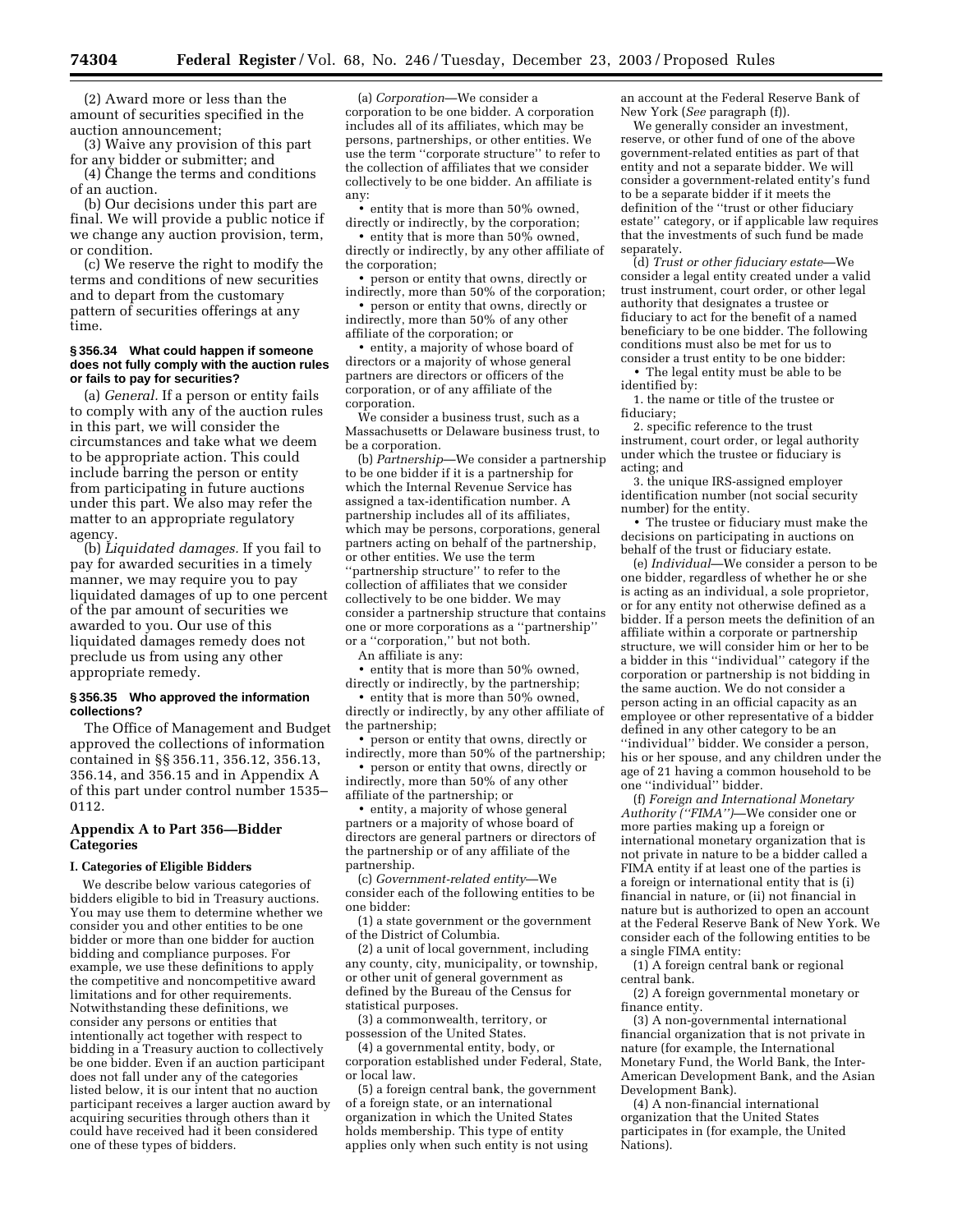(2) Award more or less than the amount of securities specified in the auction announcement;

(3) Waive any provision of this part for any bidder or submitter; and (4) Change the terms and conditions

of an auction.

(b) Our decisions under this part are final. We will provide a public notice if we change any auction provision, term, or condition.

(c) We reserve the right to modify the terms and conditions of new securities and to depart from the customary pattern of securities offerings at any time.

#### **§ 356.34 What could happen if someone does not fully comply with the auction rules or fails to pay for securities?**

(a) *General.* If a person or entity fails to comply with any of the auction rules in this part, we will consider the circumstances and take what we deem to be appropriate action. This could include barring the person or entity from participating in future auctions under this part. We also may refer the matter to an appropriate regulatory agency.

(b) *Liquidated damages.* If you fail to pay for awarded securities in a timely manner, we may require you to pay liquidated damages of up to one percent of the par amount of securities we awarded to you. Our use of this liquidated damages remedy does not preclude us from using any other appropriate remedy.

#### **§ 356.35 Who approved the information collections?**

The Office of Management and Budget approved the collections of information contained in §§ 356.11, 356.12, 356.13, 356.14, and 356.15 and in Appendix A of this part under control number 1535– 0112.

#### **Appendix A to Part 356—Bidder Categories**

#### **I. Categories of Eligible Bidders**

We describe below various categories of bidders eligible to bid in Treasury auctions. You may use them to determine whether we consider you and other entities to be one bidder or more than one bidder for auction bidding and compliance purposes. For example, we use these definitions to apply the competitive and noncompetitive award limitations and for other requirements. Notwithstanding these definitions, we consider any persons or entities that intentionally act together with respect to bidding in a Treasury auction to collectively be one bidder. Even if an auction participant does not fall under any of the categories listed below, it is our intent that no auction participant receives a larger auction award by acquiring securities through others than it could have received had it been considered one of these types of bidders.

(a) *Corporation*—We consider a corporation to be one bidder. A corporation includes all of its affiliates, which may be persons, partnerships, or other entities. We use the term ''corporate structure'' to refer to the collection of affiliates that we consider collectively to be one bidder. An affiliate is any:

• entity that is more than 50% owned, directly or indirectly, by the corporation;

• entity that is more than 50% owned, directly or indirectly, by any other affiliate of the corporation;

• person or entity that owns, directly or indirectly, more than 50% of the corporation;

• person or entity that owns, directly or indirectly, more than 50% of any other affiliate of the corporation; or

• entity, a majority of whose board of directors or a majority of whose general partners are directors or officers of the corporation, or of any affiliate of the corporation.

We consider a business trust, such as a Massachusetts or Delaware business trust, to be a corporation.

(b) *Partnership*—We consider a partnership to be one bidder if it is a partnership for which the Internal Revenue Service has assigned a tax-identification number. A partnership includes all of its affiliates, which may be persons, corporations, general partners acting on behalf of the partnership, or other entities. We use the term ''partnership structure'' to refer to the collection of affiliates that we consider collectively to be one bidder. We may consider a partnership structure that contains one or more corporations as a ''partnership'' or a ''corporation,'' but not both.

An affiliate is any:

• entity that is more than 50% owned, directly or indirectly, by the partnership;

• entity that is more than 50% owned, directly or indirectly, by any other affiliate of the partnership;

• person or entity that owns, directly or indirectly, more than 50% of the partnership;

• person or entity that owns, directly or indirectly, more than 50% of any other affiliate of the partnership; or

• entity, a majority of whose general partners or a majority of whose board of directors are general partners or directors of the partnership or of any affiliate of the partnership.

(c) *Government-related entity*—We consider each of the following entities to be one bidder:

(1) a state government or the government of the District of Columbia.

(2) a unit of local government, including any county, city, municipality, or township, or other unit of general government as defined by the Bureau of the Census for statistical purposes.

(3) a commonwealth, territory, or possession of the United States.

(4) a governmental entity, body, or corporation established under Federal, State, or local law.

(5) a foreign central bank, the government of a foreign state, or an international organization in which the United States holds membership. This type of entity applies only when such entity is not using

an account at the Federal Reserve Bank of New York (*See* paragraph (f)).

We generally consider an investment, reserve, or other fund of one of the above government-related entities as part of that entity and not a separate bidder. We will consider a government-related entity's fund to be a separate bidder if it meets the definition of the ''trust or other fiduciary estate'' category, or if applicable law requires that the investments of such fund be made separately.

(d) *Trust or other fiduciary estate*—We consider a legal entity created under a valid trust instrument, court order, or other legal authority that designates a trustee or fiduciary to act for the benefit of a named beneficiary to be one bidder. The following conditions must also be met for us to consider a trust entity to be one bidder:

• The legal entity must be able to be identified by: 1. the name or title of the trustee or

fiduciary;

2. specific reference to the trust instrument, court order, or legal authority under which the trustee or fiduciary is acting; and

3. the unique IRS-assigned employer identification number (not social security number) for the entity.

• The trustee or fiduciary must make the decisions on participating in auctions on behalf of the trust or fiduciary estate.

(e) *Individual*—We consider a person to be one bidder, regardless of whether he or she is acting as an individual, a sole proprietor, or for any entity not otherwise defined as a bidder. If a person meets the definition of an affiliate within a corporate or partnership structure, we will consider him or her to be a bidder in this ''individual'' category if the corporation or partnership is not bidding in the same auction. We do not consider a person acting in an official capacity as an employee or other representative of a bidder defined in any other category to be an ''individual'' bidder. We consider a person, his or her spouse, and any children under the age of 21 having a common household to be one ''individual'' bidder.

(f) *Foreign and International Monetary Authority (''FIMA'')*—We consider one or more parties making up a foreign or international monetary organization that is not private in nature to be a bidder called a FIMA entity if at least one of the parties is a foreign or international entity that is (i) financial in nature, or (ii) not financial in nature but is authorized to open an account at the Federal Reserve Bank of New York. We consider each of the following entities to be a single FIMA entity:

(1) A foreign central bank or regional central bank.

(2) A foreign governmental monetary or finance entity.

(3) A non-governmental international financial organization that is not private in nature (for example, the International Monetary Fund, the World Bank, the Inter-American Development Bank, and the Asian Development Bank).

(4)  $\widehat{A}$  non-financial international organization that the United States participates in (for example, the United Nations).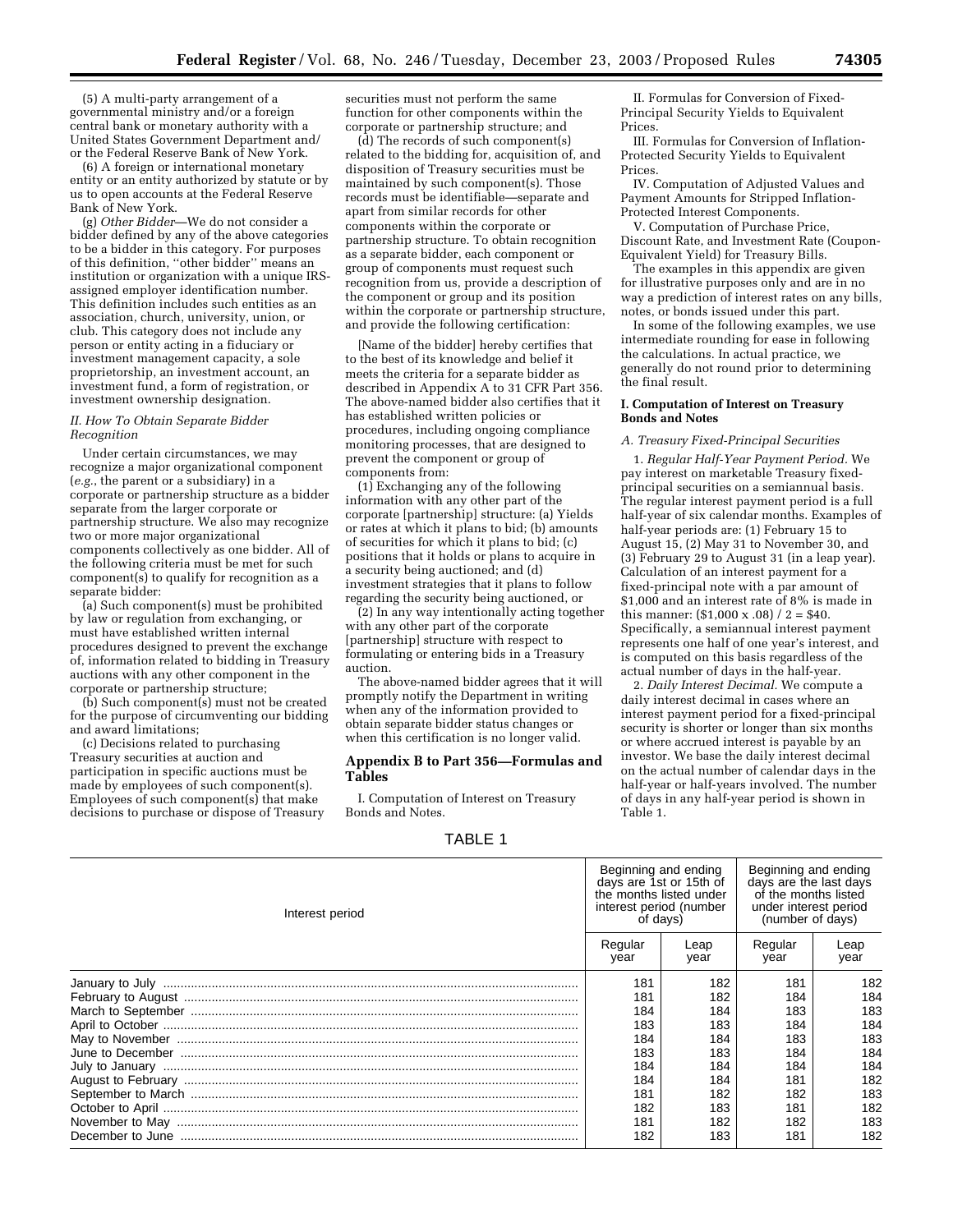(5) A multi-party arrangement of a governmental ministry and/or a foreign central bank or monetary authority with a United States Government Department and/ or the Federal Reserve Bank of New York.

(6) A foreign or international monetary entity or an entity authorized by statute or by us to open accounts at the Federal Reserve Bank of New York.

(g) *Other Bidder*—We do not consider a bidder defined by any of the above categories to be a bidder in this category. For purposes of this definition, ''other bidder'' means an institution or organization with a unique IRSassigned employer identification number. This definition includes such entities as an association, church, university, union, or club. This category does not include any person or entity acting in a fiduciary or investment management capacity, a sole proprietorship, an investment account, an investment fund, a form of registration, or investment ownership designation.

#### *II. How To Obtain Separate Bidder Recognition*

Under certain circumstances, we may recognize a major organizational component (*e.g.*, the parent or a subsidiary) in a corporate or partnership structure as a bidder separate from the larger corporate or partnership structure. We also may recognize two or more major organizational components collectively as one bidder. All of the following criteria must be met for such component(s) to qualify for recognition as a separate bidder:

(a) Such component(s) must be prohibited by law or regulation from exchanging, or must have established written internal procedures designed to prevent the exchange of, information related to bidding in Treasury auctions with any other component in the corporate or partnership structure;

(b) Such component(s) must not be created for the purpose of circumventing our bidding and award limitations;

(c) Decisions related to purchasing Treasury securities at auction and participation in specific auctions must be made by employees of such component(s). Employees of such component(s) that make decisions to purchase or dispose of Treasury securities must not perform the same function for other components within the corporate or partnership structure; and

(d) The records of such component(s) related to the bidding for, acquisition of, and disposition of Treasury securities must be maintained by such component(s). Those records must be identifiable—separate and apart from similar records for other components within the corporate or partnership structure. To obtain recognition as a separate bidder, each component or group of components must request such recognition from us, provide a description of the component or group and its position within the corporate or partnership structure, and provide the following certification:

[Name of the bidder] hereby certifies that to the best of its knowledge and belief it meets the criteria for a separate bidder as described in Appendix A to 31 CFR Part 356. The above-named bidder also certifies that it has established written policies or procedures, including ongoing compliance monitoring processes, that are designed to prevent the component or group of components from:

(1) Exchanging any of the following information with any other part of the corporate [partnership] structure: (a) Yields or rates at which it plans to bid; (b) amounts of securities for which it plans to bid; (c) positions that it holds or plans to acquire in a security being auctioned; and (d) investment strategies that it plans to follow regarding the security being auctioned, or

(2) In any way intentionally acting together with any other part of the corporate [partnership] structure with respect to formulating or entering bids in a Treasury auction.

The above-named bidder agrees that it will promptly notify the Department in writing when any of the information provided to obtain separate bidder status changes or when this certification is no longer valid.

# **Appendix B to Part 356—Formulas and Tables**

I. Computation of Interest on Treasury Bonds and Notes.

# TABLE 1

II. Formulas for Conversion of Fixed-Principal Security Yields to Equivalent Prices.

III. Formulas for Conversion of Inflation-Protected Security Yields to Equivalent Prices.

IV. Computation of Adjusted Values and Payment Amounts for Stripped Inflation-Protected Interest Components.

V. Computation of Purchase Price, Discount Rate, and Investment Rate (Coupon-Equivalent Yield) for Treasury Bills.

The examples in this appendix are given for illustrative purposes only and are in no way a prediction of interest rates on any bills, notes, or bonds issued under this part.

In some of the following examples, we use intermediate rounding for ease in following the calculations. In actual practice, we generally do not round prior to determining the final result.

#### **I. Computation of Interest on Treasury Bonds and Notes**

#### *A. Treasury Fixed-Principal Securities*

1. *Regular Half-Year Payment Period.* We pay interest on marketable Treasury fixedprincipal securities on a semiannual basis. The regular interest payment period is a full half-year of six calendar months. Examples of half-year periods are: (1) February 15 to August 15, (2) May 31 to November 30, and (3) February 29 to August 31 (in a leap year). Calculation of an interest payment for a fixed-principal note with a par amount of \$1,000 and an interest rate of 8% is made in this manner:  $(\$1,000 \times .08) / 2 = \$40$ . Specifically, a semiannual interest payment represents one half of one year's interest, and is computed on this basis regardless of the actual number of days in the half-year.

2. *Daily Interest Decimal.* We compute a daily interest decimal in cases where an interest payment period for a fixed-principal security is shorter or longer than six months or where accrued interest is payable by an investor. We base the daily interest decimal on the actual number of calendar days in the half-year or half-years involved. The number of days in any half-year period is shown in Table 1.

| Interest period |                 | Beginning and ending<br>days are 1st or 15th of<br>the months listed under<br>interest period (number<br>of days) |                 | Beginning and ending<br>days are the last days<br>of the months listed<br>under interest period<br>(number of days) |  |
|-----------------|-----------------|-------------------------------------------------------------------------------------------------------------------|-----------------|---------------------------------------------------------------------------------------------------------------------|--|
|                 | Regular<br>year | Leap<br>vear                                                                                                      | Regular<br>year | Leap<br>year                                                                                                        |  |
|                 | 181             | 182                                                                                                               | 181             | 182                                                                                                                 |  |
|                 | 181             | 182                                                                                                               | 184             | 184                                                                                                                 |  |
|                 | 184             | 184                                                                                                               | 183             | 183                                                                                                                 |  |
|                 | 183             | 183                                                                                                               | 184             | 184                                                                                                                 |  |
|                 | 184             | 184                                                                                                               | 183             | 183                                                                                                                 |  |
|                 | 183             | 183                                                                                                               | 184             | 184                                                                                                                 |  |
|                 | 184             | 184                                                                                                               | 184             | 184                                                                                                                 |  |
|                 | 184             | 184                                                                                                               | 181             | 182                                                                                                                 |  |
|                 | 181             | 182                                                                                                               | 182             | 183                                                                                                                 |  |
|                 | 182             | 183                                                                                                               | 181             | 182                                                                                                                 |  |
|                 | 181             | 182                                                                                                               | 182             | 183                                                                                                                 |  |
|                 | 182             | 183                                                                                                               | 181             | 182                                                                                                                 |  |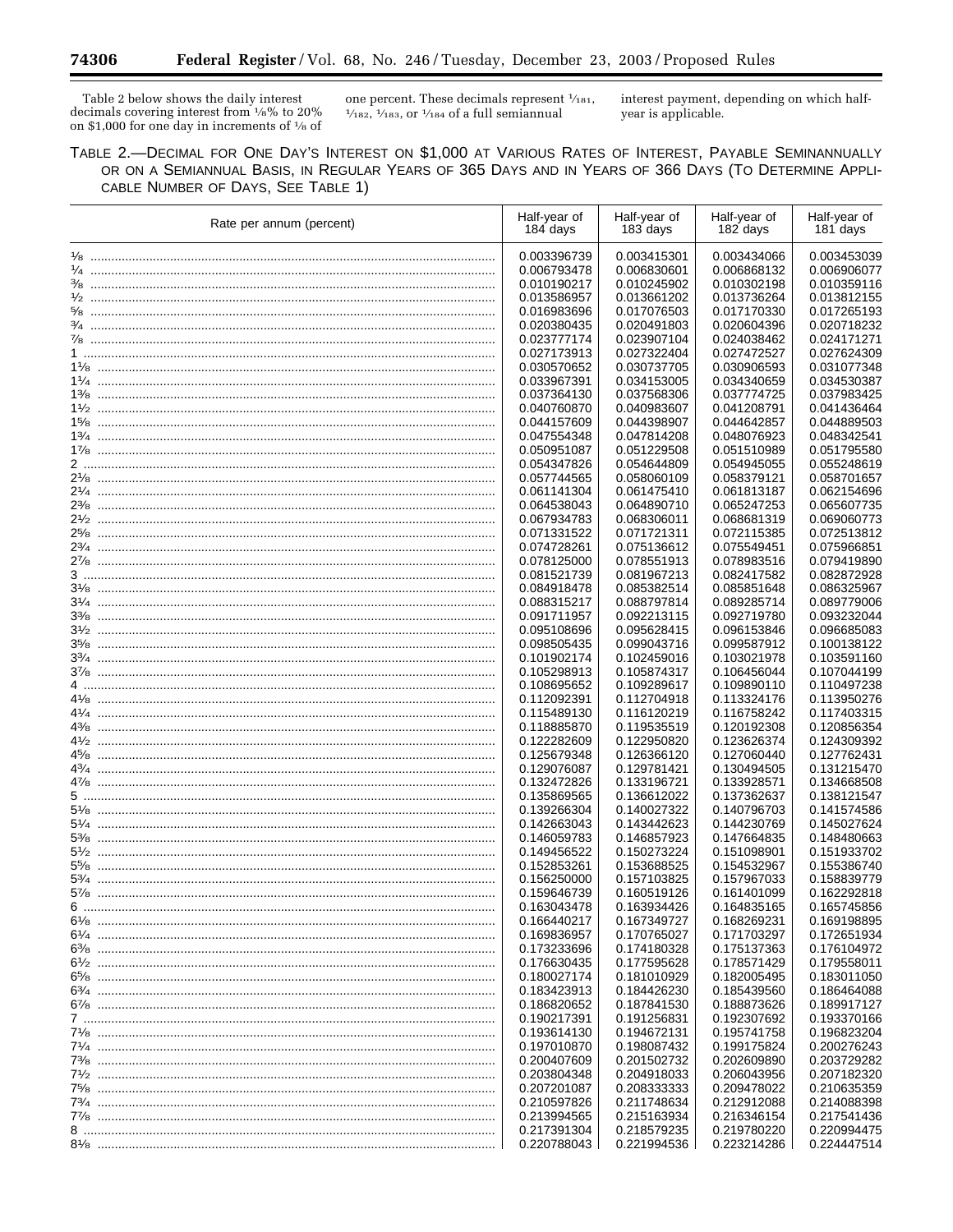Ξ

Table 2 below shows the daily interest decimals covering interest from 1⁄8% to 20% on \$1,000 for one day in increments of 1⁄8 of

one percent. These decimals represent  $\frac{1}{183}$ ,  $\frac{1}{182}$ ,  $\frac{1}{183}$ , or  $\frac{1}{184}$  of a full semiannual

interest payment, depending on which halfyear is applicable.

٠

TABLE 2.—DECIMAL FOR ONE DAY'S INTEREST ON \$1,000 AT VARIOUS RATES OF INTEREST, PAYABLE SEMINANNUALLY OR ON A SEMIANNUAL BASIS, IN REGULAR YEARS OF 365 DAYS AND IN YEARS OF 366 DAYS (TO DETERMINE APPLI-CABLE NUMBER OF DAYS, SEE TABLE 1)

| Rate per annum (percent) | Half-year of<br>184 days   | Half-year of<br>183 days   | Half-year of<br>182 days   | Half-year of<br>181 days   |
|--------------------------|----------------------------|----------------------------|----------------------------|----------------------------|
|                          | 0.003396739                | 0.003415301                | 0.003434066                | 0.003453039                |
|                          | 0.006793478                | 0.006830601                | 0.006868132                | 0.006906077                |
|                          | 0.010190217                | 0.010245902                | 0.010302198                | 0.010359116                |
|                          | 0.013586957                | 0.013661202                | 0.013736264                | 0.013812155                |
|                          | 0.016983696                | 0.017076503                | 0.017170330                | 0.017265193                |
|                          | 0.020380435                | 0.020491803                | 0.020604396                | 0.020718232                |
|                          | 0.023777174                | 0.023907104                | 0.024038462                | 0.024171271                |
|                          | 0.027173913                | 0.027322404                | 0.027472527                | 0.027624309                |
|                          | 0.030570652                | 0.030737705                | 0.030906593                | 0.031077348                |
|                          | 0.033967391                | 0.034153005                | 0.034340659                | 0.034530387                |
|                          | 0.037364130                | 0.037568306                | 0.037774725                | 0.037983425                |
|                          | 0.040760870                | 0.040983607                | 0.041208791                | 0.041436464                |
|                          | 0.044157609                | 0.044398907                | 0.044642857                | 0.044889503                |
|                          | 0.047554348                | 0.047814208                | 0.048076923                | 0.048342541                |
|                          | 0.050951087                | 0.051229508                | 0.051510989                | 0.051795580                |
|                          | 0.054347826                | 0.054644809                | 0.054945055                | 0.055248619                |
|                          | 0.057744565                | 0.058060109                | 0.058379121                | 0.058701657                |
|                          | 0.061141304                | 0.061475410                | 0.061813187                | 0.062154696                |
|                          | 0.064538043                | 0.064890710                | 0.065247253                | 0.065607735                |
|                          | 0.067934783                | 0.068306011                | 0.068681319                | 0.069060773                |
|                          | 0.071331522                | 0.071721311                | 0.072115385                | 0.072513812                |
|                          | 0.074728261                | 0.075136612                | 0.075549451                | 0.075966851                |
|                          | 0.078125000                | 0.078551913                | 0.078983516                | 0.079419890                |
|                          | 0.081521739                | 0.081967213                | 0.082417582                | 0.082872928                |
|                          | 0.084918478                | 0.085382514                | 0.085851648                | 0.086325967                |
|                          | 0.088315217                | 0.088797814                | 0.089285714                | 0.089779006                |
|                          | 0.091711957                | 0.092213115                | 0.092719780                | 0.093232044                |
|                          | 0.095108696                | 0.095628415                | 0.096153846                | 0.096685083                |
|                          | 0.098505435                | 0.099043716                | 0.099587912                | 0.100138122                |
|                          | 0.101902174                | 0.102459016                | 0.103021978                | 0.103591160                |
|                          | 0.105298913                | 0.105874317                | 0.106456044                | 0.107044199                |
|                          | 0.108695652                | 0.109289617                | 0.109890110                | 0.110497238                |
|                          | 0.112092391                | 0.112704918                | 0.113324176                | 0.113950276                |
|                          | 0.115489130                | 0.116120219                | 0.116758242                | 0.117403315                |
|                          | 0.118885870                | 0.119535519                | 0.120192308                | 0.120856354                |
|                          | 0.122282609                | 0.122950820                | 0.123626374                | 0.124309392                |
|                          | 0.125679348                | 0.126366120                | 0.127060440                | 0.127762431                |
|                          | 0.129076087                | 0.129781421                | 0.130494505                | 0.131215470                |
|                          | 0.132472826                | 0.133196721                | 0.133928571                | 0.134668508                |
|                          | 0.135869565                | 0.136612022                | 0.137362637                | 0.138121547                |
|                          | 0.139266304                | 0.140027322                | 0.140796703                | 0.141574586                |
|                          | 0.142663043                | 0.143442623                | 0.144230769                | 0.145027624                |
|                          | 0.146059783                | 0.146857923                | 0.147664835                | 0.148480663                |
|                          | 0.149456522                | 0.150273224                | 0.151098901                | 0.151933702                |
|                          | 0.152853261                | 0.153688525                | 0.154532967                | 0.155386740                |
|                          | 0.156250000                | 0.157103825                | 0.157967033                | 0.158839779<br>0.162292818 |
|                          | 0.159646739                | 0.160519126                | 0.161401099                |                            |
|                          | 0.163043478                | 0.163934426                | 0.164835165                | 0.165745856                |
|                          | 0.166440217                | 0.167349727<br>0.170765027 | 0.168269231                | 0.169198895                |
|                          | 0.169836957<br>0.173233696 | 0.174180328                | 0.171703297<br>0.175137363 | 0.172651934<br>0.176104972 |
|                          | 0.176630435                | 0.177595628                | 0.178571429                | 0.179558011                |
|                          | 0.180027174                | 0.181010929                | 0.182005495                | 0.183011050                |
|                          | 0.183423913                | 0.184426230                | 0.185439560                | 0.186464088                |
|                          | 0.186820652                | 0.187841530                | 0.188873626                | 0.189917127                |
|                          | 0.190217391                | 0.191256831                | 0.192307692                | 0.193370166                |
|                          | 0.193614130                | 0.194672131                | 0.195741758                | 0.196823204                |
|                          | 0.197010870                | 0.198087432                | 0.199175824                | 0.200276243                |
|                          | 0.200407609                | 0.201502732                | 0.202609890                | 0.203729282                |
|                          | 0.203804348                | 0.204918033                | 0.206043956                | 0.207182320                |
|                          | 0.207201087                | 0.208333333                | 0.209478022                | 0.210635359                |
|                          | 0.210597826                | 0.211748634                | 0.212912088                | 0.214088398                |
|                          |                            |                            |                            |                            |
|                          | 0.213994565                | 0.215163934                | 0.216346154                | 0.217541436                |
|                          | 0.217391304<br>0.220788043 | 0.218579235<br>0.221994536 | 0.219780220<br>0.223214286 | 0.220994475<br>0.224447514 |
|                          |                            |                            |                            |                            |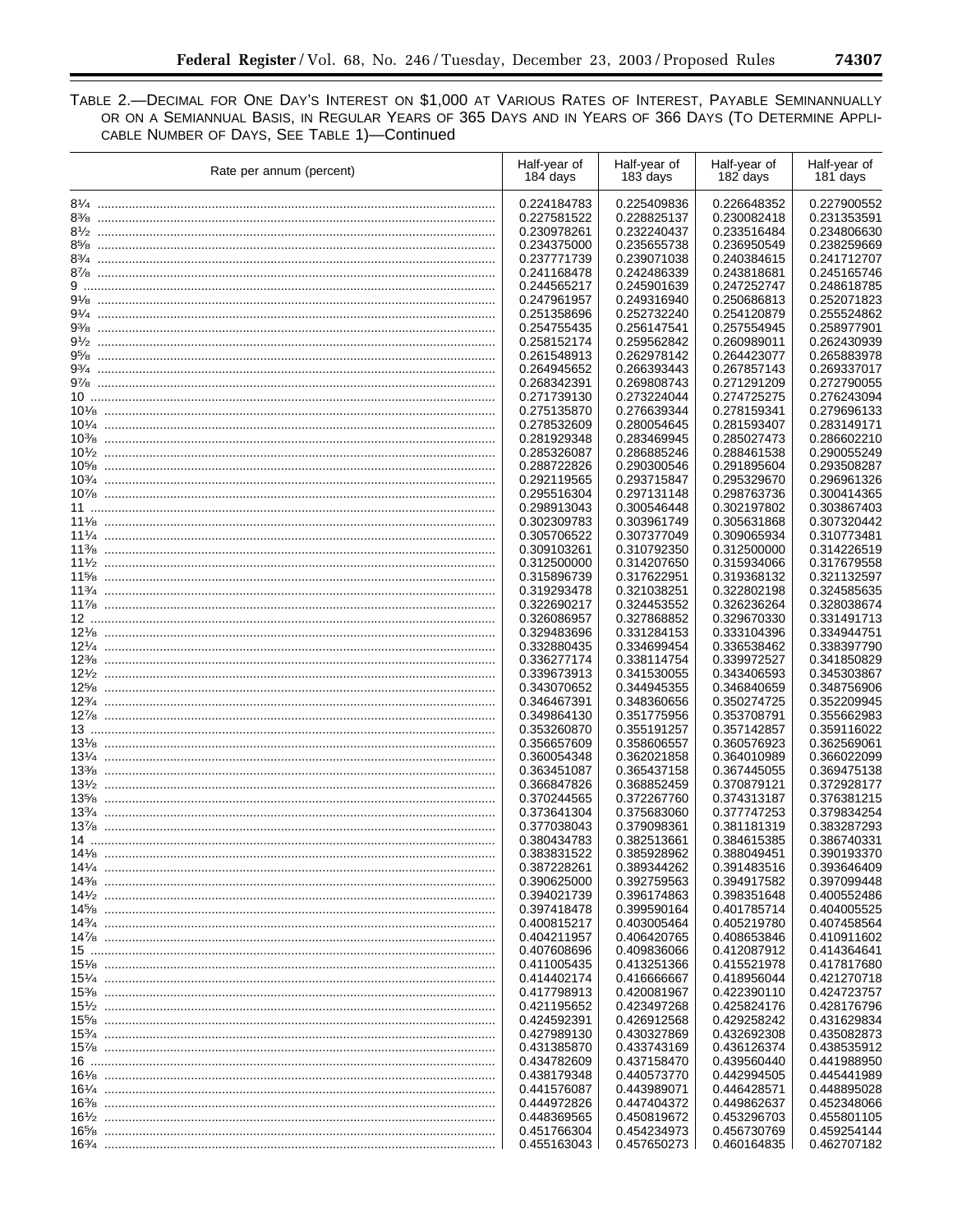$\equiv$ 

TABLE 2.-DECIMAL FOR ONE DAY'S INTEREST ON \$1,000 AT VARIOUS RATES OF INTEREST, PAYABLE SEMINANNUALLY OR ON A SEMIANNUAL BASIS, IN REGULAR YEARS OF 365 DAYS AND IN YEARS OF 366 DAYS (TO DETERMINE APPLI-CABLE NUMBER OF DAYS, SEE TABLE 1)-Continued

|        | Rate per annum (percent) | Half-year of<br>184 days | Half-year of<br>183 days | Half-year of<br>182 days | Half-year of<br>181 days |
|--------|--------------------------|--------------------------|--------------------------|--------------------------|--------------------------|
|        |                          | 0.224184783              | 0.225409836              | 0.226648352              | 0.227900552              |
|        |                          | 0.227581522              | 0.228825137              | 0.230082418              | 0.231353591              |
|        |                          | 0.230978261              | 0.232240437              | 0.233516484              | 0.234806630              |
|        |                          | 0.234375000              | 0.235655738              | 0.236950549              | 0.238259669              |
|        |                          | 0.237771739              | 0.239071038              | 0.240384615              | 0.241712707              |
|        |                          | 0.241168478              | 0.242486339              | 0.243818681              | 0.245165746              |
|        |                          | 0.244565217              | 0.245901639              | 0.247252747              | 0.248618785              |
|        |                          | 0.247961957              | 0.249316940              | 0.250686813              | 0.252071823              |
|        |                          | 0.251358696              | 0.252732240              | 0.254120879              | 0.255524862              |
|        |                          | 0.254755435              | 0.256147541              | 0.257554945              | 0.258977901              |
|        |                          | 0.258152174              | 0.259562842              | 0.260989011              | 0.262430939              |
|        |                          | 0.261548913              | 0.262978142              | 0.264423077              | 0.265883978              |
|        |                          | 0.264945652              | 0.266393443              | 0.267857143              | 0.269337017              |
|        |                          | 0.268342391              | 0.269808743              | 0.271291209              | 0.272790055              |
|        |                          | 0.271739130              | 0.273224044              | 0.274725275              | 0.276243094              |
|        |                          | 0.275135870              | 0.276639344              | 0.278159341              | 0.279696133              |
|        |                          | 0.278532609              | 0.280054645              | 0.281593407              | 0.283149171              |
|        |                          | 0.281929348              | 0.283469945              | 0.285027473              | 0.286602210              |
|        |                          | 0.285326087              | 0.286885246              | 0.288461538              | 0.290055249              |
|        |                          | 0.288722826              | 0.290300546              | 0.291895604              | 0.293508287              |
|        |                          | 0.292119565              | 0.293715847              | 0.295329670              | 0.296961326              |
|        |                          | 0.295516304              | 0.297131148              | 0.298763736              | 0.300414365              |
|        |                          | 0.298913043              | 0.300546448              | 0.302197802              | 0.303867403              |
|        |                          | 0.302309783              | 0.303961749              | 0.305631868              | 0.307320442              |
|        |                          | 0.305706522              | 0.307377049              | 0.309065934              | 0.310773481              |
|        |                          | 0.309103261              | 0.310792350              | 0.312500000              | 0.314226519              |
| $11\%$ |                          | 0.312500000              | 0.314207650              | 0.315934066              | 0.317679558              |
|        |                          | 0.315896739              | 0.317622951              | 0.319368132              | 0.321132597              |
|        |                          | 0.319293478              | 0.321038251              | 0.322802198              | 0.324585635              |
|        |                          | 0.322690217              | 0.324453552              | 0.326236264              | 0.328038674              |
|        |                          | 0.326086957              | 0.327868852              | 0.329670330              | 0.331491713              |
|        |                          | 0.329483696              | 0.331284153              | 0.333104396              | 0.334944751              |
|        |                          | 0.332880435              | 0.334699454              | 0.336538462              | 0.338397790              |
|        |                          | 0.336277174              | 0.338114754              | 0.339972527              | 0.341850829              |
|        |                          | 0.339673913              | 0.341530055              | 0.343406593              | 0.345303867              |
|        |                          | 0.343070652              | 0.344945355              | 0.346840659              | 0.348756906              |
|        |                          | 0.346467391              | 0.348360656              | 0.350274725              | 0.352209945              |
|        |                          | 0.349864130              | 0.351775956              | 0.353708791              | 0.355662983              |
|        |                          | 0.353260870              | 0.355191257              | 0.357142857              | 0.359116022              |
|        |                          | 0.356657609              | 0.358606557              | 0.360576923              | 0.362569061              |
|        |                          | 0.360054348              | 0.362021858              | 0.364010989              | 0.366022099              |
| $13\%$ |                          | 0.363451087              | 0.365437158              | 0.367445055              | 0.369475138              |
|        |                          | 0.366847826              | 0.368852459              | 0.370879121              | 0.372928177              |
|        |                          | 0.370244565              | 0.372267760              | 0.374313187              | 0.376381215              |
|        |                          | 0.373641304              | 0.375683060              | 0.377747253              | 0.379834254              |
|        |                          | 0.377038043              | 0.379098361              | 0.381181319              | 0.383287293              |
|        |                          | 0.380434783              | 0.382513661              | 0.384615385              | 0.386740331              |
|        |                          | 0.383831522              | 0.385928962              | 0.388049451              | 0.390193370              |
|        |                          | 0.387228261              | 0.389344262              | 0.391483516              | 0.393646409              |
|        |                          | 0.390625000              | 0.392759563              | 0.394917582              | 0.397099448              |
|        |                          | 0.394021739              | 0.396174863              | 0.398351648              | 0.400552486              |
|        |                          | 0.397418478              | 0.399590164              | 0.401785714              | 0.404005525              |
|        |                          | 0.400815217              | 0.403005464              | 0.405219780              | 0.407458564              |
|        |                          | 0.404211957              | 0.406420765              | 0.408653846              | 0.410911602              |
|        |                          | 0.407608696              | 0.409836066              | 0.412087912              | 0.414364641              |
|        |                          | 0.411005435              | 0.413251366              | 0.415521978              | 0.417817680              |
|        |                          | 0.414402174              | 0.416666667              | 0.418956044              | 0.421270718              |
|        |                          | 0.417798913              | 0.420081967              | 0.422390110              | 0.424723757              |
|        |                          | 0.421195652              | 0.423497268              | 0.425824176              | 0.428176796              |
|        |                          | 0.424592391              | 0.426912568              | 0.429258242              | 0.431629834              |
|        |                          | 0.427989130              | 0.430327869              | 0.432692308              | 0.435082873              |
|        |                          | 0.431385870              | 0.433743169              | 0.436126374              | 0.438535912              |
|        |                          | 0.434782609              | 0.437158470              | 0.439560440              | 0.441988950              |
|        |                          | 0.438179348              | 0.440573770              | 0.442994505              | 0.445441989              |
|        |                          | 0.441576087              | 0.443989071              | 0.446428571              | 0.448895028              |
|        |                          | 0.444972826              | 0.447404372              | 0.449862637              | 0.452348066              |
|        |                          | 0.448369565              | 0.450819672              | 0.453296703              | 0.455801105              |
|        |                          | 0.451766304              | 0.454234973              | 0.456730769              | 0.459254144              |
|        |                          | 0.455163043              | 0.457650273              | 0.460164835              | 0.462707182              |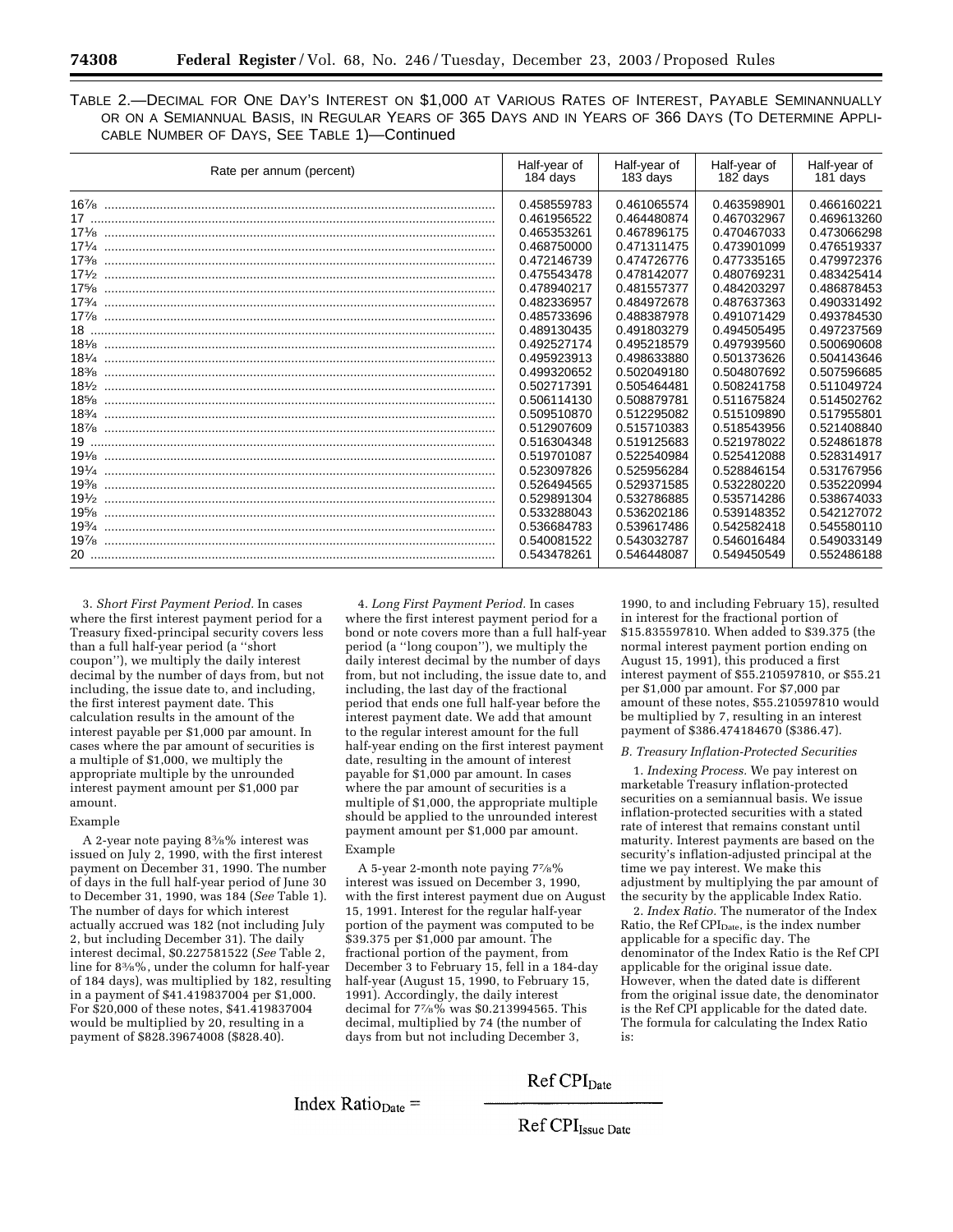TABLE 2.—DECIMAL FOR ONE DAY'S INTEREST ON \$1,000 AT VARIOUS RATES OF INTEREST, PAYABLE SEMINANNUALLY OR ON A SEMIANNUAL BASIS, IN REGULAR YEARS OF 365 DAYS AND IN YEARS OF 366 DAYS (TO DETERMINE APPLI-CABLE NUMBER OF DAYS, SEE TABLE 1)—Continued

| Rate per annum (percent) | Half-year of<br>184 days | Half-year of<br>183 days | Half-year of<br>182 days | Half-year of<br>181 days |
|--------------------------|--------------------------|--------------------------|--------------------------|--------------------------|
|                          | 0.458559783              | 0.461065574              | 0.463598901              | 0.466160221              |
|                          | 0.461956522              | 0.464480874              | 0.467032967              | 0.469613260              |
|                          | 0.465353261              | 0.467896175              | 0.470467033              | 0.473066298              |
|                          | 0.468750000              | 0.471311475              | 0.473901099              | 0.476519337              |
| $17\frac{3}{8}$          | 0.472146739              | 0.474726776              | 0.477335165              | 0.479972376              |
|                          | 0.475543478              | 0.478142077              | 0.480769231              | 0.483425414              |
| 175/8                    | 0.478940217              | 0.481557377              | 0.484203297              | 0.486878453              |
|                          | 0.482336957              | 0.484972678              | 0.487637363              | 0.490331492              |
|                          | 0.485733696              | 0.488387978              | 0.491071429              | 0.493784530              |
|                          | 0.489130435              | 0.491803279              | 0.494505495              | 0.497237569              |
|                          | 0.492527174              | 0.495218579              | 0.497939560              | 0.500690608              |
|                          | 0.495923913              | 0.498633880              | 0.501373626              | 0.504143646              |
|                          | 0.499320652              | 0.502049180              | 0.504807692              | 0.507596685              |
|                          | 0.502717391              | 0.505464481              | 0.508241758              | 0.511049724              |
| 185/8                    | 0.506114130              | 0.508879781              | 0.511675824              | 0.514502762              |
|                          | 0.509510870              | 0.512295082              | 0.515109890              | 0.517955801              |
|                          | 0.512907609              | 0.515710383              | 0.518543956              | 0.521408840              |
|                          | 0.516304348              | 0.519125683              | 0.521978022              | 0.524861878              |
|                          | 0.519701087              | 0.522540984              | 0.525412088              | 0.528314917              |
|                          | 0.523097826              | 0.525956284              | 0.528846154              | 0.531767956              |
| $19\%$                   | 0.526494565              | 0.529371585              | 0.532280220              | 0.535220994              |
|                          | 0.529891304              | 0.532786885              | 0.535714286              | 0.538674033              |
| 195/8                    | 0.533288043              | 0.536202186              | 0.539148352              | 0.542127072              |
| $19^{3}/_{4}$            | 0.536684783              | 0.539617486              | 0.542582418              | 0.545580110              |
|                          | 0.540081522              | 0.543032787              | 0.546016484              | 0.549033149              |
|                          | 0.543478261              | 0.546448087              | 0.549450549              | 0.552486188              |

3. *Short First Payment Period.* In cases where the first interest payment period for a Treasury fixed-principal security covers less than a full half-year period (a ''short coupon''), we multiply the daily interest decimal by the number of days from, but not including, the issue date to, and including, the first interest payment date. This calculation results in the amount of the interest payable per \$1,000 par amount. In cases where the par amount of securities is a multiple of \$1,000, we multiply the appropriate multiple by the unrounded interest payment amount per \$1,000 par amount.

#### Example

A 2-year note paying 83⁄8% interest was issued on July 2, 1990, with the first interest payment on December 31, 1990. The number of days in the full half-year period of June 30 to December 31, 1990, was 184 (*See* Table 1). The number of days for which interest actually accrued was 182 (not including July 2, but including December 31). The daily interest decimal, \$0.227581522 (*See* Table 2, line for 83⁄8%, under the column for half-year of 184 days), was multiplied by 182, resulting in a payment of \$41.419837004 per \$1,000. For \$20,000 of these notes, \$41.419837004 would be multiplied by 20, resulting in a payment of \$828.39674008 (\$828.40).

4. *Long First Payment Period.* In cases where the first interest payment period for a bond or note covers more than a full half-year period (a ''long coupon''), we multiply the daily interest decimal by the number of days from, but not including, the issue date to, and including, the last day of the fractional period that ends one full half-year before the interest payment date. We add that amount to the regular interest amount for the full half-year ending on the first interest payment date, resulting in the amount of interest payable for \$1,000 par amount. In cases where the par amount of securities is a multiple of \$1,000, the appropriate multiple should be applied to the unrounded interest payment amount per \$1,000 par amount. Example

A 5-year 2-month note paying 77⁄8% interest was issued on December 3, 1990, with the first interest payment due on August 15, 1991. Interest for the regular half-year portion of the payment was computed to be \$39.375 per \$1,000 par amount. The fractional portion of the payment, from December 3 to February 15, fell in a 184-day half-year (August 15, 1990, to February 15, 1991). Accordingly, the daily interest decimal for 77⁄8% was \$0.213994565. This decimal, multiplied by 74 (the number of days from but not including December 3,

1990, to and including February 15), resulted in interest for the fractional portion of \$15.835597810. When added to \$39.375 (the normal interest payment portion ending on August 15, 1991), this produced a first interest payment of \$55.210597810, or \$55.21 per \$1,000 par amount. For \$7,000 par amount of these notes, \$55.210597810 would be multiplied by 7, resulting in an interest payment of \$386.474184670 (\$386.47).

#### *B. Treasury Inflation-Protected Securities*

1. *Indexing Process.* We pay interest on marketable Treasury inflation-protected securities on a semiannual basis. We issue inflation-protected securities with a stated rate of interest that remains constant until maturity. Interest payments are based on the security's inflation-adjusted principal at the time we pay interest. We make this adjustment by multiplying the par amount of the security by the applicable Index Ratio.

2. *Index Ratio.* The numerator of the Index Ratio, the Ref CPI<sub>Date</sub>, is the index number applicable for a specific day. The denominator of the Index Ratio is the Ref CPI applicable for the original issue date. However, when the dated date is different from the original issue date, the denominator is the Ref CPI applicable for the dated date. The formula for calculating the Index Ratio is:

 $Ref$   $CPI<sub>Date</sub>$ 

Index Ratio<sub>Date</sub>  $=$ 

Ref CPI<sub>Issue</sub> Date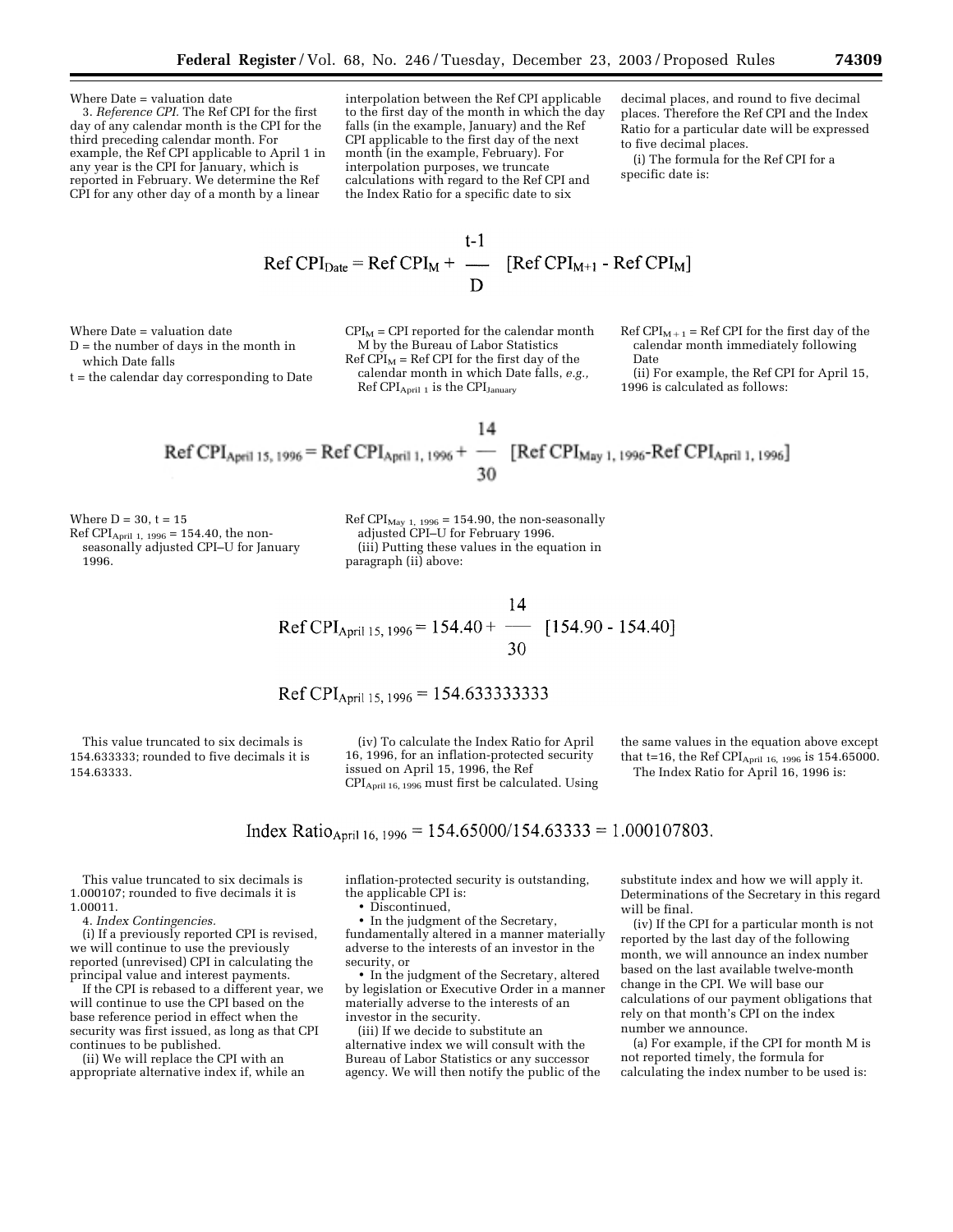Where Date = valuation date

3. *Reference CPI.* The Ref CPI for the first day of any calendar month is the CPI for the third preceding calendar month. For example, the Ref CPI applicable to April 1 in any year is the CPI for January, which is reported in February. We determine the Ref CPI for any other day of a month by a linear

interpolation between the Ref CPI applicable to the first day of the month in which the day falls (in the example, January) and the Ref CPI applicable to the first day of the next month (in the example, February). For interpolation purposes, we truncate calculations with regard to the Ref CPI and the Index Ratio for a specific date to six

decimal places, and round to five decimal places. Therefore the Ref CPI and the Index Ratio for a particular date will be expressed to five decimal places.

(i) The formula for the Ref CPI for a specific date is:

$$
Ref\,CPI_{Date} = Ref\,CPI_M + \frac{t-1}{D} \quad [Ref\,CPI_{M+1} - Ref\,CPI_M]
$$

Where Date = valuation date

which Date falls

D = the number of days in the month in

t = the calendar day corresponding to Date

 $CPI<sub>M</sub> = CPI$  reported for the calendar month M by the Bureau of Labor Statistics  $Ref CPI<sub>M</sub> = Ref CPI for the first day of the$ calendar month in which Date falls, *e.g.,* Ref CPI<sub>April</sub> 1 is the CPI<sub>January</sub>

Ref  $CPI_{M+1}$  = Ref CPI for the first day of the calendar month immediately following Date

(ii) For example, the Ref CPI for April 15, 1996 is calculated as follows:

$$
\text{Ref CPI}_{\text{April 15, 1996}} = \text{Ref CPI}_{\text{April 1, 1996}} + \frac{14}{-0} \text{ [Ref CPI}_{\text{May 1, 1996}} - \text{Ref CPI}_{\text{April 1, 1996}}]
$$

Where  $D = 30$ ,  $t = 15$  $Ref CPI<sub>April 1, 1996 = 154.40</sub>$ , the nonseasonally adjusted CPI–U for January 1996.

 $\rm{Ref~CPI_{May~1,~1996}} = 154.90,$  the non-seasonally adjusted CPI–U for February 1996. (iii) Putting these values in the equation in paragraph (ii) above:

Ref CPI<sub>April 15, 1996</sub> = 154.40 +  $\frac{11}{20}$  [154.90 - 154.40] 30

This value truncated to six decimals is 154.633333; rounded to five decimals it is 154.63333.

(iv) To calculate the Index Ratio for April 16, 1996, for an inflation-protected security issued on April 15, 1996, the Ref CPIApril 16, 1996 must first be calculated. Using the same values in the equation above except that t=16, the Ref CPI<sub>April 16, 1996</sub> is 154.65000. The Index Ratio for April 16, 1996 is:

# Index Ratio<sub>April 16, 1996</sub> = 154.65000/154.63333 = 1.000107803.

This value truncated to six decimals is 1.000107; rounded to five decimals it is 1.00011.

4. *Index Contingencies.*

(i) If a previously reported CPI is revised, we will continue to use the previously reported (unrevised) CPI in calculating the principal value and interest payments.

If the CPI is rebased to a different year, we will continue to use the CPI based on the base reference period in effect when the security was first issued, as long as that CPI continues to be published.

(ii) We will replace the CPI with an appropriate alternative index if, while an inflation-protected security is outstanding, the applicable CPI is:

• Discontinued,

• In the judgment of the Secretary, fundamentally altered in a manner materially adverse to the interests of an investor in the security, or

• In the judgment of the Secretary, altered by legislation or Executive Order in a manner materially adverse to the interests of an investor in the security.

(iii) If we decide to substitute an alternative index we will consult with the Bureau of Labor Statistics or any successor agency. We will then notify the public of the

substitute index and how we will apply it. Determinations of the Secretary in this regard will be final.

(iv) If the CPI for a particular month is not reported by the last day of the following month, we will announce an index number based on the last available twelve-month change in the CPI. We will base our calculations of our payment obligations that rely on that month's CPI on the index number we announce.

(a) For example, if the CPI for month M is not reported timely, the formula for calculating the index number to be used is: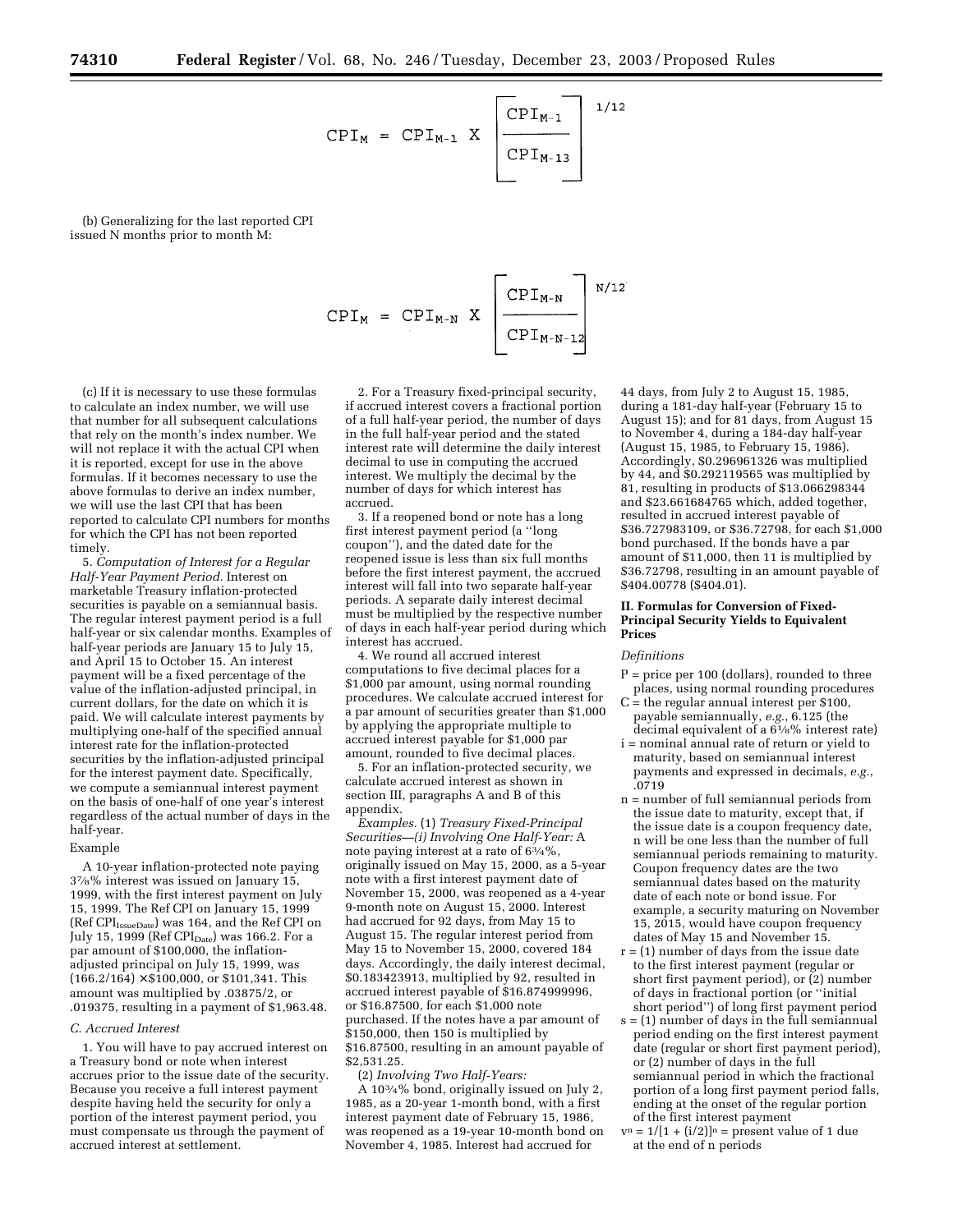$$
CPI_{M} = CPI_{M-1} \times \boxed{\frac{CPI_{M-1}}{CPI_{M-13}}}
$$
<sup>1/12</sup>

(b) Generalizing for the last reported CPI issued N months prior to month M:

(c) If it is necessary to use these formulas to calculate an index number, we will use that number for all subsequent calculations that rely on the month's index number. We will not replace it with the actual CPI when it is reported, except for use in the above formulas. If it becomes necessary to use the above formulas to derive an index number, we will use the last CPI that has been reported to calculate CPI numbers for months for which the CPI has not been reported timely.

5. *Computation of Interest for a Regular Half-Year Payment Period.* Interest on marketable Treasury inflation-protected securities is payable on a semiannual basis. The regular interest payment period is a full half-year or six calendar months. Examples of half-year periods are January 15 to July 15, and April 15 to October 15. An interest payment will be a fixed percentage of the value of the inflation-adjusted principal, in current dollars, for the date on which it is paid. We will calculate interest payments by multiplying one-half of the specified annual interest rate for the inflation-protected securities by the inflation-adjusted principal for the interest payment date. Specifically, we compute a semiannual interest payment on the basis of one-half of one year's interest regardless of the actual number of days in the half-year.

#### Example

A 10-year inflation-protected note paying 37⁄8% interest was issued on January 15, 1999, with the first interest payment on July 15, 1999. The Ref CPI on January 15, 1999 (Ref CPI<sub>IssueDate</sub>) was 164, and the Ref CPI on July 15, 1999 (Ref  $\text{CPI}_{\text{Date}}$ ) was 166.2. For a par amount of \$100,000, the inflationadjusted principal on July 15, 1999, was  $(166.2/164) \times $100,000$ , or \$101,341. This amount was multiplied by .03875/2, or .019375, resulting in a payment of \$1,963.48.

#### *C. Accrued Interest*

1. You will have to pay accrued interest on a Treasury bond or note when interest accrues prior to the issue date of the security. Because you receive a full interest payment despite having held the security for only a portion of the interest payment period, you must compensate us through the payment of accrued interest at settlement.

2. For a Treasury fixed-principal security, if accrued interest covers a fractional portion of a full half-year period, the number of days in the full half-year period and the stated interest rate will determine the daily interest decimal to use in computing the accrued interest. We multiply the decimal by the number of days for which interest has accrued.

CPI<sub>M</sub> = CPI<sub>M-N</sub> X  $\left[\begin{array}{c} \text{CPI}_{M-N} \\ \text{CPI}_{M-N-1} \end{array}\right]$ <sup>N/12</sup>

3. If a reopened bond or note has a long first interest payment period (a ''long coupon''), and the dated date for the reopened issue is less than six full months before the first interest payment, the accrued interest will fall into two separate half-year periods. A separate daily interest decimal must be multiplied by the respective number of days in each half-year period during which interest has accrued.

4. We round all accrued interest computations to five decimal places for a \$1,000 par amount, using normal rounding procedures. We calculate accrued interest for a par amount of securities greater than \$1,000 by applying the appropriate multiple to accrued interest payable for \$1,000 par amount, rounded to five decimal places.

5. For an inflation-protected security, we calculate accrued interest as shown in section III, paragraphs A and B of this appendix.

*Examples.* (1) *Treasury Fixed-Principal Securities—(i) Involving One Half-Year:* A note paying interest at a rate of 63⁄4%, originally issued on May 15, 2000, as a 5-year note with a first interest payment date of November 15, 2000, was reopened as a 4-year 9-month note on August 15, 2000. Interest had accrued for 92 days, from May 15 to August 15. The regular interest period from May 15 to November 15, 2000, covered 184 days. Accordingly, the daily interest decimal, \$0.183423913, multiplied by 92, resulted in accrued interest payable of \$16.874999996, or \$16.87500, for each \$1,000 note purchased. If the notes have a par amount of \$150,000, then 150 is multiplied by \$16.87500, resulting in an amount payable of \$2,531.25.

(2) *Involving Two Half-Years:*

A 103⁄4% bond, originally issued on July 2, 1985, as a 20-year 1-month bond, with a first interest payment date of February 15, 1986, was reopened as a 19-year 10-month bond on November 4, 1985. Interest had accrued for

44 days, from July 2 to August 15, 1985, during a 181-day half-year (February 15 to August 15); and for 81 days, from August 15 to November 4, during a 184-day half-year (August 15, 1985, to February 15, 1986). Accordingly, \$0.296961326 was multiplied by 44, and \$0.292119565 was multiplied by 81, resulting in products of \$13.066298344 and \$23.661684765 which, added together, resulted in accrued interest payable of \$36.727983109, or \$36.72798, for each \$1,000 bond purchased. If the bonds have a par amount of \$11,000, then 11 is multiplied by \$36.72798, resulting in an amount payable of \$404.00778 (\$404.01).

#### **II. Formulas for Conversion of Fixed-Principal Security Yields to Equivalent Prices**

#### *Definitions*

- P = price per 100 (dollars), rounded to three places, using normal rounding procedures
- C = the regular annual interest per \$100, payable semiannually, *e.g.*, 6.125 (the decimal equivalent of a 61⁄8% interest rate)
- i = nominal annual rate of return or yield to maturity, based on semiannual interest payments and expressed in decimals, *e.g.*, .0719
- n = number of full semiannual periods from the issue date to maturity, except that, if the issue date is a coupon frequency date, n will be one less than the number of full semiannual periods remaining to maturity. Coupon frequency dates are the two semiannual dates based on the maturity date of each note or bond issue. For example, a security maturing on November 15, 2015, would have coupon frequency dates of May 15 and November 15.
- $r = (1)$  number of days from the issue date to the first interest payment (regular or short first payment period), or (2) number of days in fractional portion (or ''initial short period'') of long first payment period
- s = (1) number of days in the full semiannual period ending on the first interest payment date (regular or short first payment period), or (2) number of days in the full semiannual period in which the fractional portion of a long first payment period falls, ending at the onset of the regular portion of the first interest payment

 $v^n = 1/[1 + (i/2)]^n$  = present value of 1 due at the end of n periods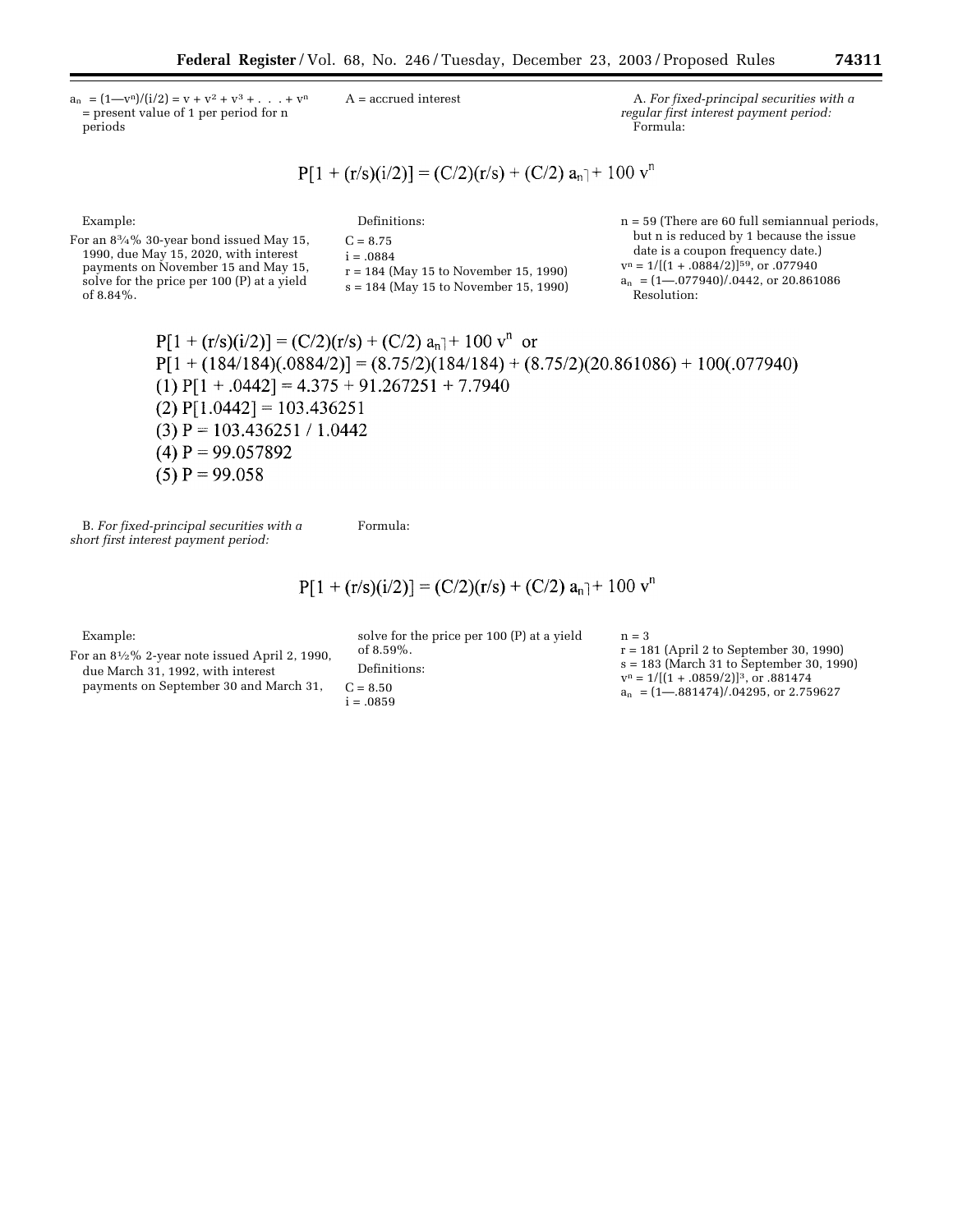$a_n$  =  $(1 - v^n)/(i/2) = v + v^2 + v^3 + ... + v^n$ = present value of 1 per period for n periods

A = accrued interest A. *For fixed-principal securities with a regular first interest payment period:* Formula:

$$
P[1 + (r/s)(i/2)] = (C/2)(r/s) + (C/2) a_n + 100 v^n
$$

Example: For an 83⁄4% 30-year bond issued May 15, 1990, due May 15, 2020, with interest payments on November 15 and May 15, solve for the price per 100 (P) at a yield of 8.84%. Definitions:  $C = 8.75$  $i = .0884$ r = 184 (May 15 to November 15, 1990) s = 184 (May 15 to November 15, 1990) n = 59 (There are 60 full semiannual periods, but n is reduced by 1 because the issue date is a coupon frequency date.)  $v^n = 1/[(1 + .0884/2)]^{59}$ , or .077940  $a_n$ ] = (1–.077940)/.0442, or 20.861086 Resolution:

> $P[1 + (r/s)(i/2)] = (C/2)(r/s) + (C/2) a_n + 100 v^n$  or  $P[1 + (184/184)(.0884/2)] = (8.75/2)(184/184) + (8.75/2)(20.861086) + 100(.077940)$  $(1)$  P[1 + .0442] = 4.375 + 91.267251 + 7.7940  $(2)$  P[1.0442] = 103.436251  $(3)$  P = 103.436251 / 1.0442 (4)  $P = 99.057892$  $(5)$  P = 99.058

B. *For fixed-principal securities with a short first interest payment period:*

Formula:

$$
P[1 + (r/s)(i/2)] = (C/2)(r/s) + (C/2) a_n + 100 v^n
$$

Example:

For an 81⁄2% 2-year note issued April 2, 1990, due March 31, 1992, with interest payments on September 30 and March 31,

solve for the price per 100 (P) at a yield of 8.59%. Definitions:  $C = 8.50$  $i = .0859$ 

 $n = 3$ r = 181 (April 2 to September 30, 1990) s = 183 (March 31 to September 30, 1990)  $v^n = 1/[(1 + .0859/2)]^3$ , or .881474  $a_n$  =  $(1 - .881474)/.04295$ , or 2.759627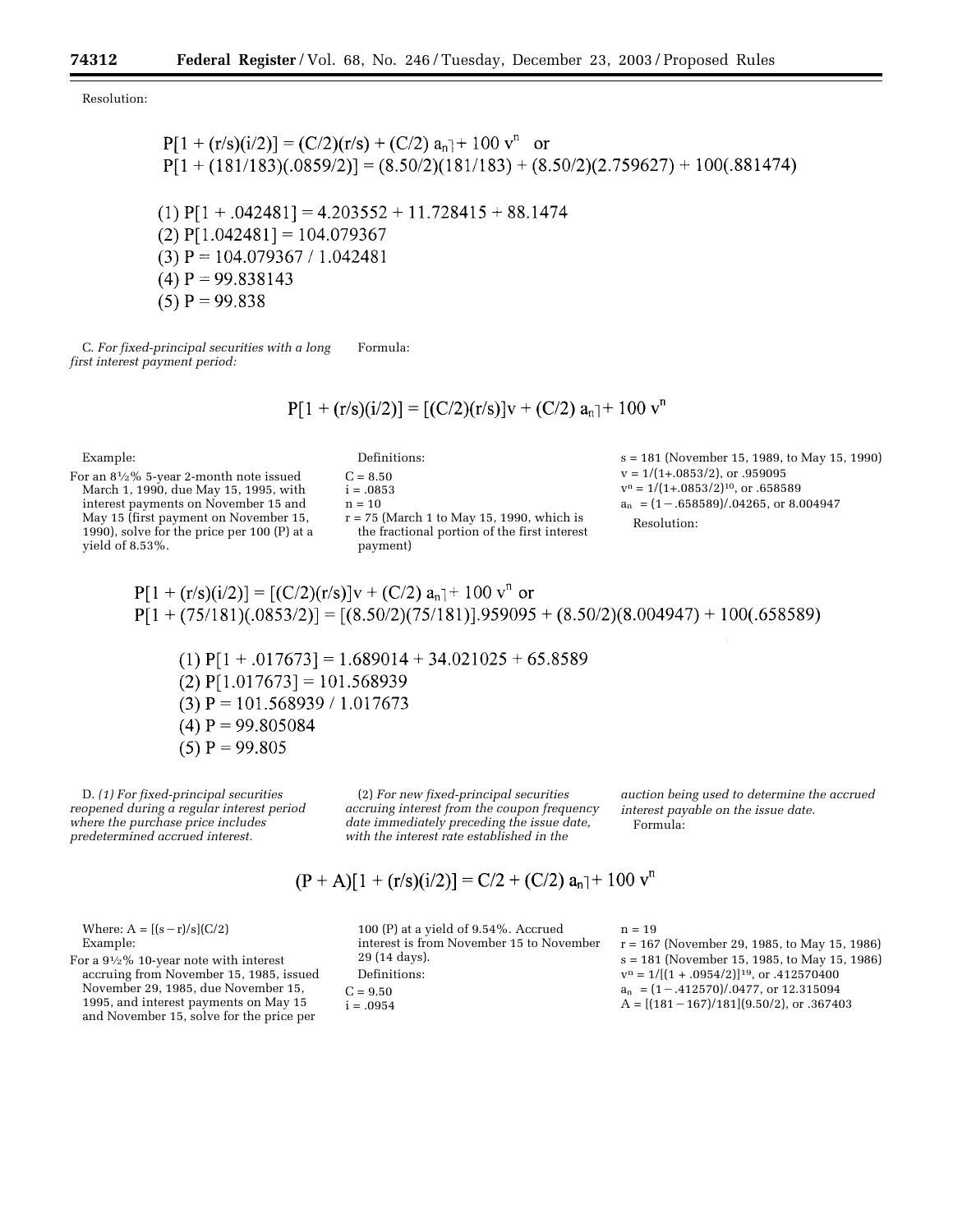Resolution:

 $(5)$  P = 99.838

C. *For fixed-principal securities with a long first interest payment period:* Formula:

$$
P[1 + (r/s)(i/2)] = [(C/2)(r/s)]v + (C/2) a_n + 100 v^n
$$

Example:

For an 81⁄2% 5-year 2-month note issued March 1, 1990, due May 15, 1995, with interest payments on November 15 and May 15 (first payment on November 15, 1990), solve for the price per 100 (P) at a yield of 8.53%.

Definitions:

 $C = 8.50$ 

 $i = .0853$  $\rm n=10$  $r = 75$  (March 1 to May 15, 1990, which is the fractional portion of the first interest payment)

s = 181 (November 15, 1989, to May 15, 1990)  $v = 1/(1+.0853/2)$ , or .959095  $v^n = 1/(1+.0853/2)^{10}$ , or .658589  $a_n$ ] = (1 – .658589)/.04265, or 8.004947 Resolution:

$$
P[1 + (r/s)(i/2)] = [(C/2)(r/s)]v + (C/2) a_n + 100 v^n
$$
 or  
 
$$
P[1 + (75/181)(.0853/2)] = [(8.50/2)(75/181)].959095 + (8.50/2)(8.004947) + 100(.658589)
$$

(1)  $P[1 + .017673] = 1.689014 + 34.021025 + 65.8589$  $(2)$  P[1.017673] = 101.568939  $(3)$  P = 101.568939 / 1.017673  $(4)$  P = 99.805084  $(5)$  P = 99.805

D. *(1) For fixed-principal securities reopened during a regular interest period where the purchase price includes predetermined accrued interest.*

(2) *For new fixed-principal securities accruing interest from the coupon frequency date immediately preceding the issue date, with the interest rate established in the* 

 $(P + A)[1 + (r/s)(i/2)] = C/2 + (C/2) a_n + 100 v^n$ 

*auction being used to determine the accrued interest payable on the issue date.* Formula:

Where:  $A = [(s - r)/s](C/2)$ Example:

For a 91⁄2% 10-year note with interest accruing from November 15, 1985, issued November 29, 1985, due November 15, 1995, and interest payments on May 15 and November 15, solve for the price per

100 (P) at a yield of 9.54%. Accrued interest is from November 15 to November 29 (14 days). Definitions:  $C = 9.50$  $i = .0954$ 

 $n = 19$ 

r = 167 (November 29, 1985, to May 15, 1986) s = 181 (November 15, 1985, to May 15, 1986)  $v^n = 1/[(1+.0954/2)]^{19}$ , or .412570400  $a_n$  =  $(1-.412570)/.0477$ , or 12.315094  $A = [(181 - 167)/181](9.50/2)$ , or .367403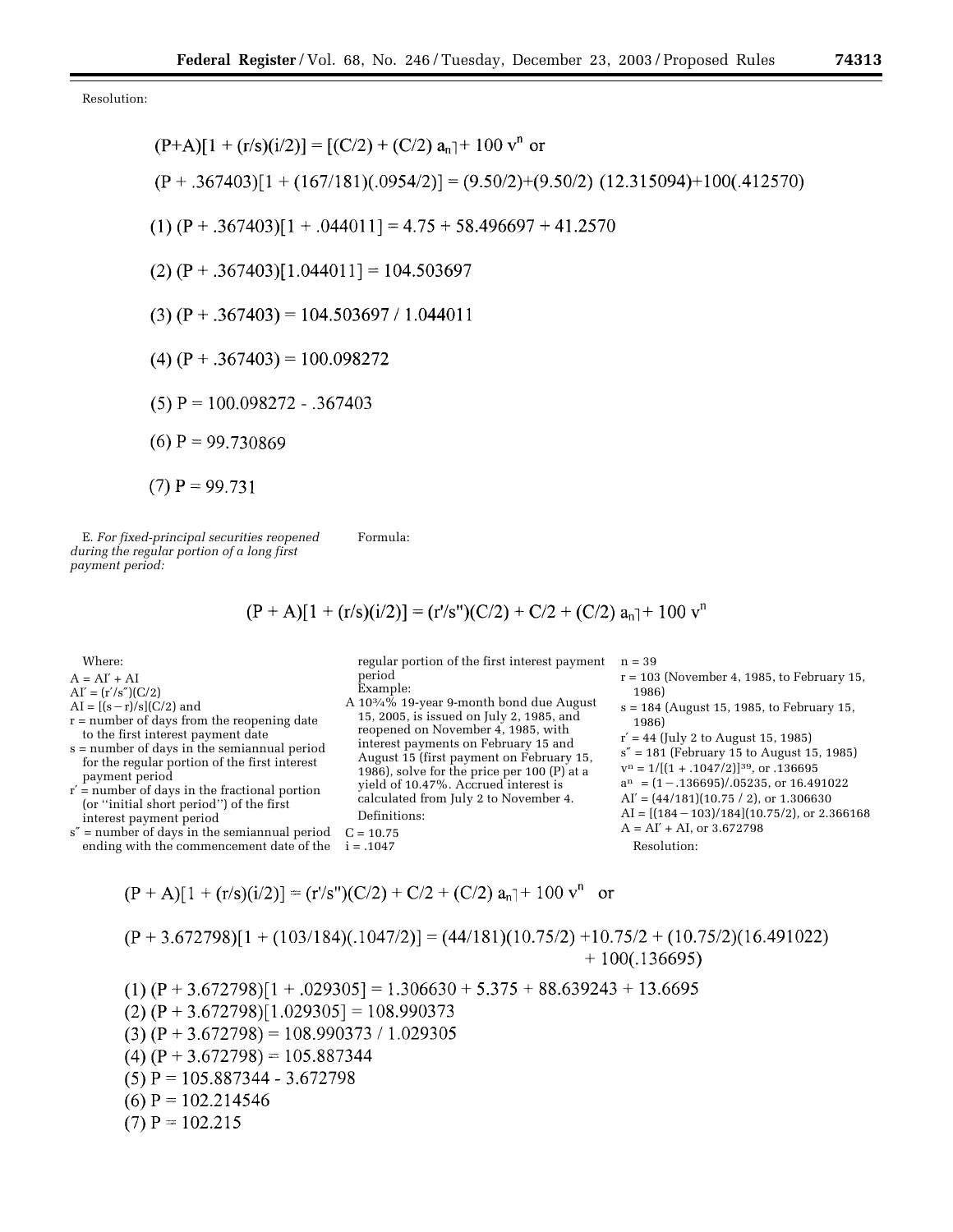Resolution:

$$
(P+A)[1 + (r/s)(i/2)] = [(C/2) + (C/2) a_n] + 100 v^n or
$$
  
\n
$$
(P + .367403)[1 + (167/181)(.0954/2)] = (9.50/2) + (9.50/2) (12.315094) + 100(.412570)
$$
  
\n
$$
(1) (P + .367403)[1 + .044011] = 4.75 + 58.496697 + 41.2570
$$
  
\n
$$
(2) (P + .367403)[1.044011] = 104.503697
$$
  
\n
$$
(3) (P + .367403) = 104.503697 / 1.044011
$$
  
\n
$$
(4) (P + .367403) = 100.098272
$$
  
\n
$$
(5) P = 100.098272 - .367403
$$
  
\n
$$
(6) P = 99.730869
$$
  
\n
$$
(7) P = 99.731
$$

E. *For fixed-principal securities reopened during the regular portion of a long first payment period:*

Formula:

$$
(P + A)[1 + (r/s)(i/2)] = (r/s") (C/2) + C/2 + (C/2) a_n] + 100 v^n
$$

Where:

- $A = AI' + AI$
- $AI' = (r'/s'')(C/2)$
- $AI = [(s r)/s](C/2)$  and

r = number of days from the reopening date to the first interest payment date

- s = number of days in the semiannual period for the regular portion of the first interest payment period
- r′ = number of days in the fractional portion (or ''initial short period'') of the first interest payment period

s″ = number of days in the semiannual period ending with the commencement date of the  $C = 10.75$  $i = .1047$ 

regular portion of the first interest payment n = 39 period Example:

A 103⁄4% 19-year 9-month bond due August 15, 2005, is issued on July 2, 1985, and reopened on November 4, 1985, with interest payments on February 15 and August 15 (first payment on February 15, 1986), solve for the price per 100 (P) at a yield of 10.47%. Accrued interest is calculated from July 2 to November 4. Definitions:

- r = 103 (November 4, 1985, to February 15, 1986)
- s = 184 (August 15, 1985, to February 15, 1986)

 $r' = 44$  (July 2 to August 15, 1985) s″ = 181 (February 15 to August 15, 1985)  $v^n = 1/[(1 + .1047/2)]^{39}$ , or .136695  $a^n$  =  $(1-.136695)/.05235$ , or 16.491022  $AI' = (44/181)(10.75 / 2)$ , or 1.306630  $AI = [(184 - 103)/184](10.75/2)$ , or 2.366168  $A = AI' + AI$ , or 3.672798 Resolution:

$$
(P + A)[1 + (r/s)(i/2)] = (r's") (C/2) + C/2 + (C/2) an + 100 vn
$$
 or

$$
(P+3.672798)[1 + (103/184)(.1047/2)] = (44/181)(10.75/2) + 10.75/2 + (10.75/2)(16.491022) + 100(.136695)
$$

 $(1)$   $(P + 3.672798)[1 + .029305] = 1.306630 + 5.375 + 88.639243 + 13.6695$  $(2) (P + 3.672798)[1.029305] = 108.990373$  $(3) (P + 3.672798) = 108.990373 / 1.029305$  $(4)$  (P + 3.672798) = 105.887344  $(5)$  P = 105.887344 - 3.672798 (6)  $P = 102.214546$  $(7)$  P = 102.215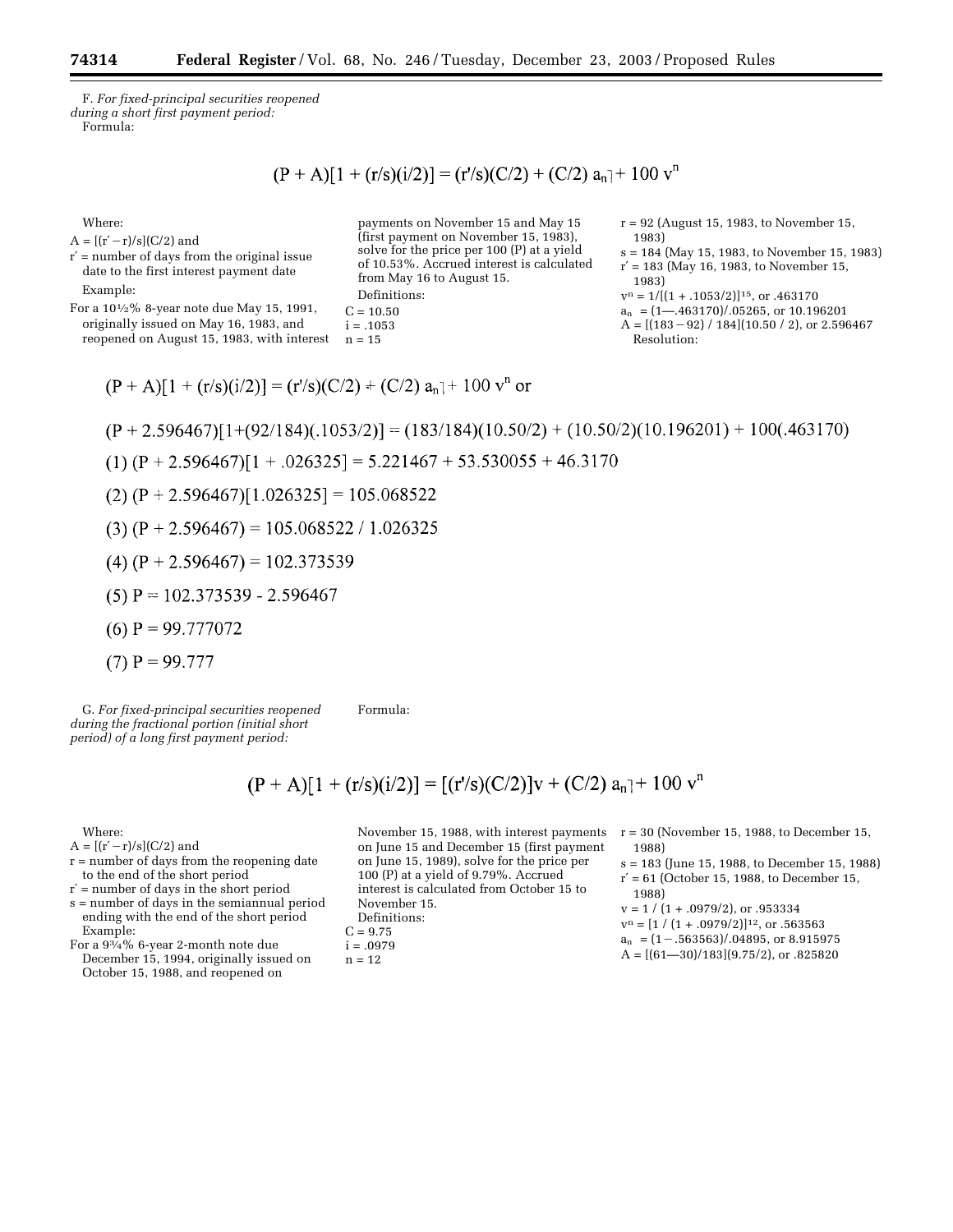F. *For fixed-principal securities reopened during a short first payment period:* Formula:

 $(P + A)[1 + (r/s)(i/2)] = (r/s)(C/2) + (C/2) a_n + 100 v^n$ 

Where:

 $A = [(r'-r)/s](C/2)$  and

r′ = number of days from the original issue date to the first interest payment date Example:

For a 101⁄2% 8-year note due May 15, 1991, originally issued on May 16, 1983, and reopened on August 15, 1983, with interest

payments on November 15 and May 15 (first payment on November 15, 1983), solve for the price per 100 (P) at a yield of 10.53%. Accrued interest is calculated from May 16 to August 15. Definitions:

 $C = 10.50$ 

```
i = .1053n = 15
```

```
r = 92 (August 15, 1983, to November 15, 
  1983)
```
s = 184 (May 15, 1983, to November 15, 1983)  $r' = 183$  (May 16, 1983, to November 15,

1983)

- $v^n = 1/[(1 + .1053/2)]^{15}$ , or .463170
- $a_n$  =  $(1 .463170)/.05265$ , or 10.196201

 $A = \left[\frac{(183 - 92)}{184}\right] \left[\frac{10.50}{2}\right]$ , or 2.596467 Resolution:

$$
(P + A)[1 + (r/s)(i/2)] = (r/s)(C/2) + (C/2) a_n + 100 v^n
$$
or

 $(P + 2.596467)[1+(92/184)(.1053/2)] = (183/184)(10.50/2) + (10.50/2)(10.196201) + 100(.463170)$ 

$$
(1) (P+2.596467)[1+.026325] = 5.221467 + 53.530055 + 46.3170
$$

- $(2)$  (P + 2.596467)[1.026325] = 105.068522
- $(3) (P + 2.596467) = 105.068522 / 1.026325$
- (4)  $(P + 2.596467) = 102.373539$
- $(5)$  P = 102.373539 2.596467
- $(6)$  P = 99.777072
- $(7)$  P = 99.777

G. *For fixed-principal securities reopened during the fractional portion (initial short period) of a long first payment period:* Formula:

 $(P + A)[1 + (r/s)(i/2)] = [(r's)(C/2)]v + (C/2) a_n + 100 v^n$ 

Where:

- $A = [(r'-r)/s](C/2)$  and
- r = number of days from the reopening date to the end of the short period
- r′ = number of days in the short period

s = number of days in the semiannual period ending with the end of the short period Example:

For a 93⁄4% 6-year 2-month note due December 15, 1994, originally issued on October 15, 1988, and reopened on

on June 15 and December 15 (first payment on June 15, 1989), solve for the price per 100 (P) at a yield of 9.79%. Accrued interest is calculated from October 15 to November 15. Definitions:

 $C = 9.75$ 

 $i = .0979$ 

 $n = 12$ 

November 15, 1988, with interest payments  $r = 30$  (November 15, 1988, to December 15, 1988)

- s = 183 (June 15, 1988, to December 15, 1988)
- $r' = 61$  (October 15, 1988, to December 15, 1988)

 $A = [(61 - 30)/183](9.75/2)$ , or  $.825820$ 

 $v = 1 / (1 + .0979/2),$  or  $.953334$  $v^n = [1 / (1 + .0979/2)]^{12}$ , or .563563

 $a_n$  =  $(1-.563563)/.04895$ , or 8.915975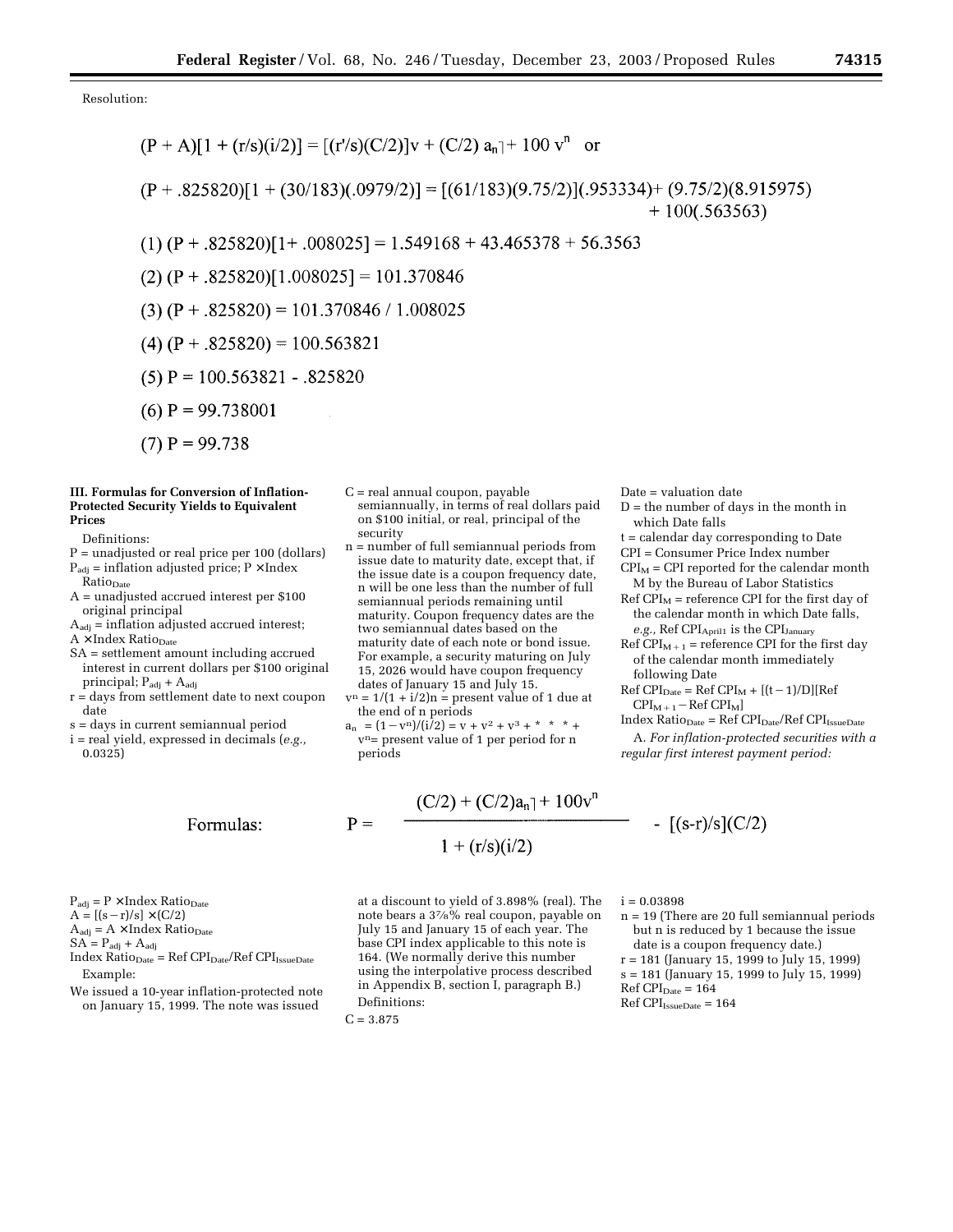Resolution:

$$
(P + A)[1 + (r/s)(i/2)] = [(r/s)(C/2)]v + (C/2) a_n] + 100 v^n \text{ or}
$$
  
\n
$$
(P + .825820)[1 + (30/183)(.0979/2)] = [(61/183)(9.75/2)](.953334) + (9.75/2)(8.915975) + 100(.563563)
$$
  
\n
$$
(1) (P + .825820)[1 + .008025] = 1.549168 + 43.465378 + 56.3563
$$
  
\n
$$
(2) (P + .825820)[1.008025] = 101.370846
$$
  
\n
$$
(3) (P + .825820) = 101.370846 / 1.008025
$$
  
\n
$$
(4) (P + .825820) = 100.563821
$$
  
\n
$$
(5) P = 100.563821 - .825820
$$

- $(6)$  P = 99.738001
- $(7)$  P = 99.738

#### **III. Formulas for Conversion of Inflation-Protected Security Yields to Equivalent Prices**

Definitions:

- P = unadjusted or real price per 100 (dollars)  $P_{\text{adj}} = \text{inflation adjusted price; } P \times \text{Index}$ Ratio<sub>Date</sub>
- A = unadjusted accrued interest per \$100 original principal
- $A_{\text{adj}}$  = inflation adjusted accrued interest;  $A \times Index Ratio_{Date}$
- SA = settlement amount including accrued interest in current dollars per \$100 original principal;  $P_{\text{adj}} + A_{\text{adj}}$
- r = days from settlement date to next coupon date
- s = days in current semiannual period
- i = real yield, expressed in decimals (*e.g.,* 0.0325)
- C = real annual coupon, payable semiannually, in terms of real dollars paid on \$100 initial, or real, principal of the security
- n = number of full semiannual periods from issue date to maturity date, except that, if the issue date is a coupon frequency date, n will be one less than the number of full semiannual periods remaining until maturity. Coupon frequency dates are the two semiannual dates based on the maturity date of each note or bond issue. For example, a security maturing on July 15, 2026 would have coupon frequency dates of January 15 and July 15.
- $v^n = 1/(1 + i/2)n$  = present value of 1 due at the end of n periods
- $a_n$  | =  $(1 v^n)/(i^7/2) = v + v^2 + v^3 +$ \* \* \* +  $v<sup>n</sup>$  present value of 1 per period for n periods

 $P_{\text{adj}} = P \times \text{Index Ratio}_{\text{Date}}$ 

$$
A = [(s-r)/s] \times (C/2)
$$

$$
A_{\rm adj} = A \times Index \; Ratio_{Date}
$$

 $SA = P_{\text{adj}} + A_{\text{adj}}$ 

- $Index Ratio<sub>Date</sub> = Ref CPI<sub>Date</sub>/Ref CPI<sub>IsueDate</sub>$ Example:
- We issued a 10-year inflation-protected note on January 15, 1999. The note was issued

$$
\mathbf{P} =
$$

$$
1 + (r/s)(i/2)
$$

 $(C/2) + (C/2)a_n$ <sup>1</sup> + 100 $v^n$ 

at a discount to yield of 3.898% (real). The note bears a 37⁄8% real coupon, payable on July 15 and January 15 of each year. The base CPI index applicable to this note is 164. (We normally derive this number using the interpolative process described in Appendix B, section I, paragraph B.) Definitions:

 $C = 3.875$ 

Date = valuation date

- $\mathbf{D}$  = the number of days in the month in which Date falls
- t = calendar day corresponding to Date
- CPI = Consumer Price Index number
- $CPI<sub>M</sub>$  = CPI reported for the calendar month M by the Bureau of Labor Statistics
- $Ref CPI<sub>M</sub> = reference CPI for the first day of$ the calendar month in which Date falls, e.g., Ref CPI<sub>April1</sub> is the CPI<sub>January</sub>

Ref  $CPI_{M+1}$  = reference CPI for the first day of the calendar month immediately following Date

- $Ref CPI<sub>Date</sub> = Ref CPI<sub>M</sub> + [(t-1)/D][Ref$  $CPI_{M+1}$  – Ref  $CPI_M$ ]
- $Index Ratio<sub>Date</sub> = Ref CPI<sub>Date</sub>/Ref CPI<sub>Is sueDate</sub>$
- A. *For inflation-protected securities with a regular first interest payment period:*

$$
f_{\rm{max}}
$$

-  $[(s-r)/s](C/2)$ 

- $i = 0.03898$ n = 19 (There are 20 full semiannual periods but n is reduced by 1 because the issue date is a coupon frequency date.)
- r = 181 (January 15, 1999 to July 15, 1999) s = 181 (January 15, 1999 to July 15, 1999)  $Ref CPI<sub>Date</sub> = 164$
- $Ref CPI_{IissueDate} = 164$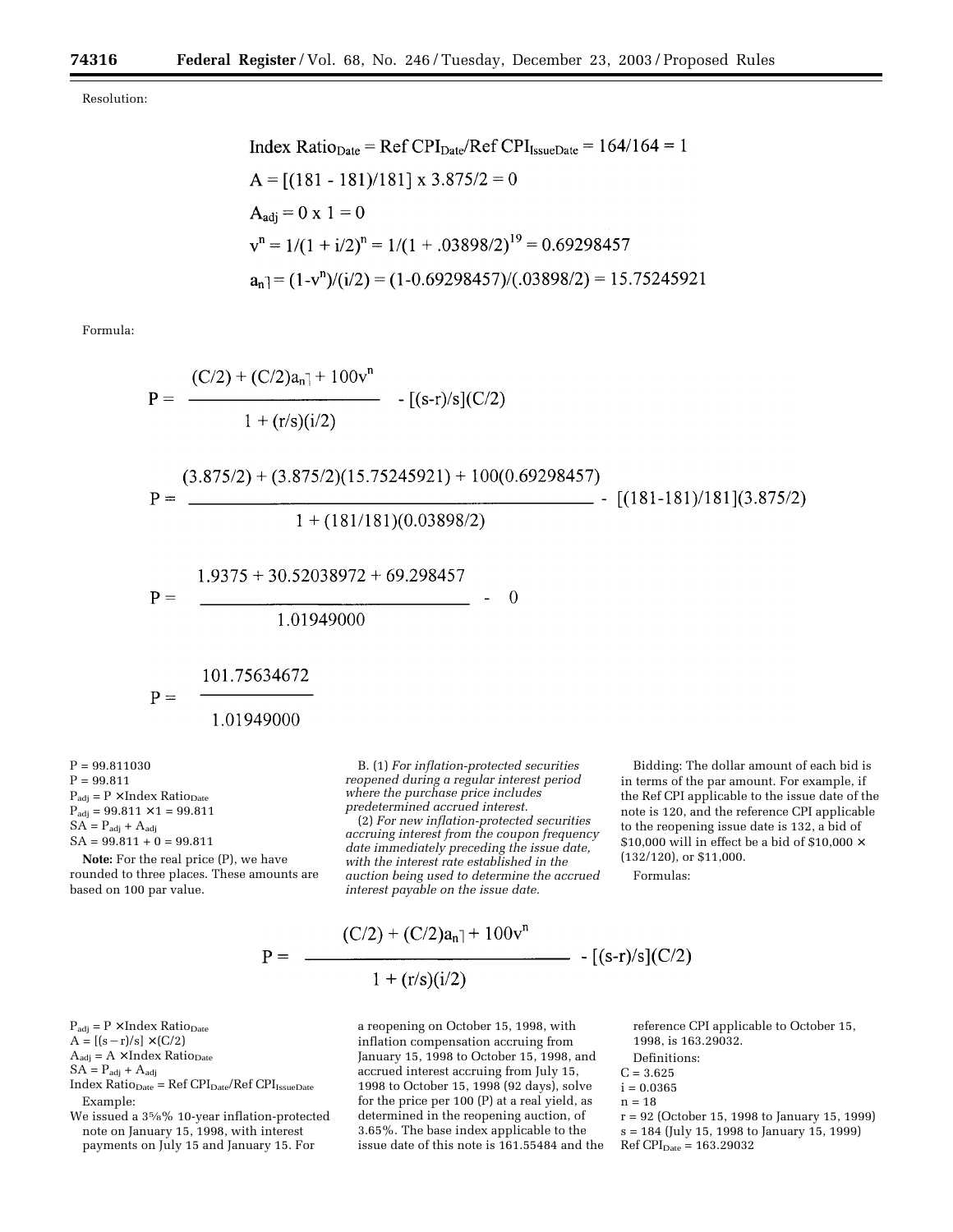Resolution:

Formula:

$$
P = \frac{(C/2) + (C/2)a_n + 100v^n}{1 + (r/s)(i/2)}
$$
  
\n
$$
P = \frac{(3.875/2) + (3.875/2)(15.75245921) + 100(0.69298457)}{1 + (181/181)(0.03898/2)}
$$
  
\n
$$
P = \frac{1.9375 + 30.52038972 + 69.298457}{1.01949000}
$$
  
\n
$$
P = \frac{101.75634672}{1.01949000}
$$

 $P = 99.811030$  $P = 99.811$  $P_{\text{adj}} = P \times \text{Index Ratio}_{\text{Date}}$  $P_{\text{adj}} = 99.811 \times 1 = 99.811$  $SA = P_{\text{adj}} + A_{\text{adj}}$  $SA = 99.811 + 0 = 99.811$ 

$$
51.6 \pm 0.011 + 0 = 0.011
$$

 $\mathrm{P_{adj} = P \times Index \; Ratio_{Date}}$  $A = [(s-r)/s] \times (C/2)$  $A_{\text{adj}} = A \times \text{Index Ratio}_{\text{Date}}$ 

 $SA = P_{\text{adj}} + A_{\text{adj}}$ 

Example:

**Note:** For the real price (P), we have rounded to three places. These amounts are based on 100 par value.

 $Index Ratio<sub>Date</sub> = Ref CPI<sub>Date</sub>/Ref CPI<sub>Is sueDate</sub>$ 

We issued a 35⁄8% 10-year inflation-protected note on January 15, 1998, with interest payments on July 15 and January 15. For

B. (1) *For inflation-protected securities reopened during a regular interest period where the purchase price includes predetermined accrued interest.*

(2) *For new inflation-protected securities accruing interest from the coupon frequency date immediately preceding the issue date, with the interest rate established in the auction being used to determine the accrued interest payable on the issue date.*

$$
P = \frac{(C/2) + (C/2)a_n + 100v^n}{1 + (r/s)(i/2)} \cdot [(s-r)/s](C/2)
$$

a reopening on October 15, 1998, with inflation compensation accruing from January 15, 1998 to October 15, 1998, and accrued interest accruing from July 15, 1998 to October 15, 1998 (92 days), solve for the price per 100 (P) at a real yield, as determined in the reopening auction, of 3.65%. The base index applicable to the issue date of this note is 161.55484 and the

Bidding: The dollar amount of each bid is in terms of the par amount. For example, if the Ref CPI applicable to the issue date of the note is 120, and the reference CPI applicable to the reopening issue date is 132, a bid of \$10,000 will in effect be a bid of \$10,000  $\times$ (132/120), or \$11,000.

Formulas:

$$
(s-r)/s](C/2)
$$

reference CPI applicable to October 15, 1998, is 163.29032.

- Definitions:
- $C = 3.625$
- $i = 0.0365$
- $n = 18$
- r = 92 (October 15, 1998 to January 15, 1999) s = 184 (July 15, 1998 to January 15, 1999)  $Ref CPI<sub>Date</sub> = 163.29032$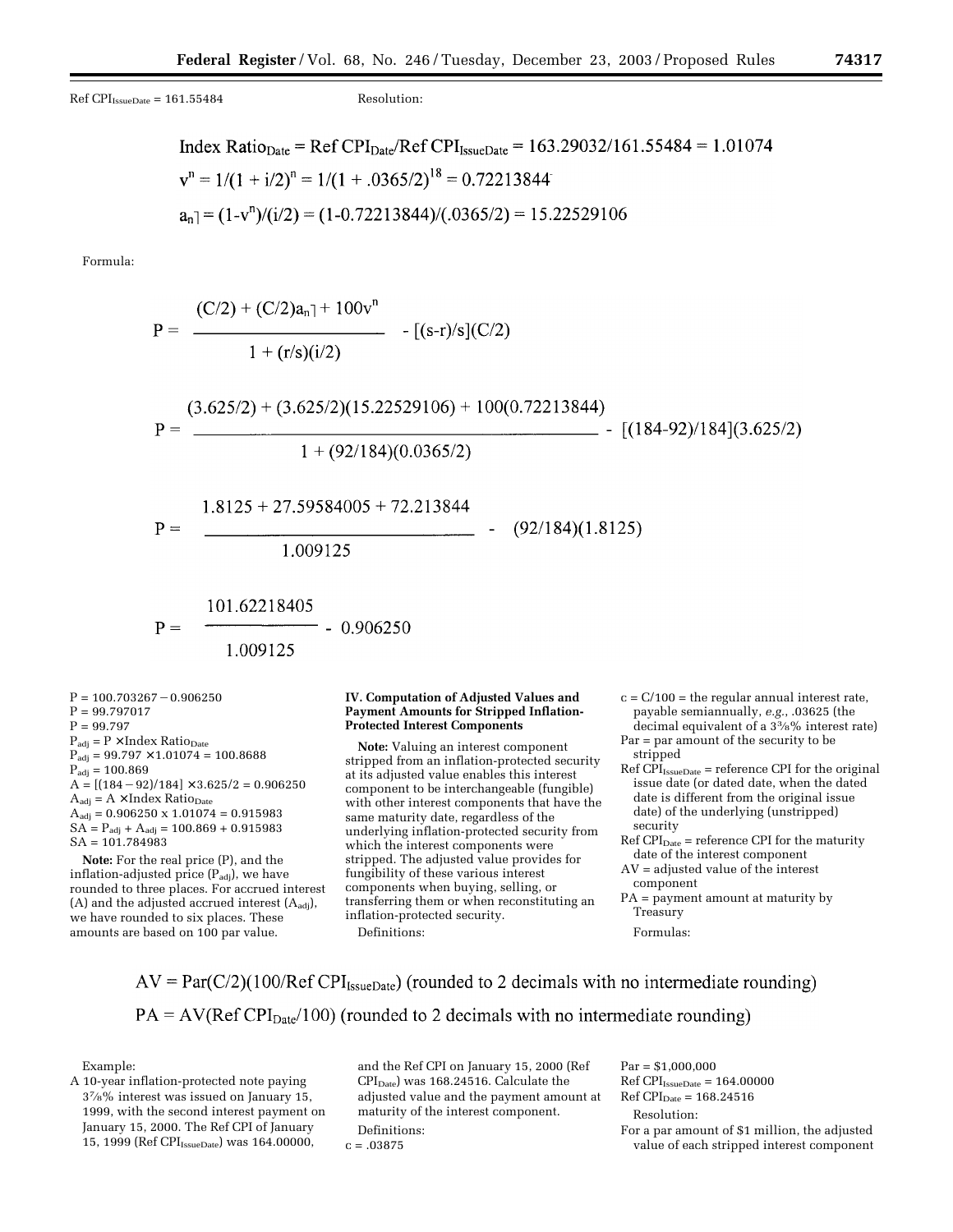$Ref CPI<sub>IsueDate</sub> = 161.55484$  Resolution:

Index Ratio<sub>Date</sub> = Ref CPI<sub>Date</sub>/Ref CPI<sub>issueDate</sub> = 163.29032/161.55484 = 1.01074  
\n
$$
vn = 1/(1 + i/2)n = 1/(1 + .0365/2)18 = 0.72213844
$$
\n
$$
an = (1 - vn)/(i/2) = (1 - 0.72213844)/(.0365/2) = 15.22529106
$$

Formula:

$$
P = \frac{(C/2) + (C/2)a_{n} + 100v^{n}}{1 + (r/s)(i/2)}
$$
\n
$$
P = \frac{(3.625/2) + (3.625/2)(15.22529106) + 100(0.72213844)}{1 + (92/184)(0.0365/2)}
$$
\n
$$
P = \frac{1.8125 + 27.59584005 + 72.213844}{1.009125}
$$
\n
$$
P = \frac{101.62218405}{1.009125}
$$
\n
$$
P = \frac{101.62218405}{1.009125}
$$
\n
$$
P = \frac{101.62218405}{1.009125}
$$
\n
$$
P = \frac{101.62218405}{1.009125}
$$
\n
$$
P = \frac{101.62218405}{1.009125}
$$
\n
$$
P = \frac{101.62218405}{1.009125}
$$
\n
$$
P = \frac{100.703267 - 0.906250}{1.009125}
$$
\n
$$
P = \frac{99.797}{1.009125}
$$
\n
$$
P_{\text{Naif}} = P \times \text{Index Ratio}_{\text{Dave}} \text{Number: The speed of the number of Stripped Inflation-} \text{logable semiangular number of a 33% of the 33% of the 33% of the 33% of the 33% of the 33% of the 33% of the 33% of the 33% of the 33% of the 33% of the 33% of the 33% of the 33% of the 33% of the 33% of the 33% of the 33% of the 33% of the 33% of the 33% of the 33% of the 33% of the 33% of the 33% of the 33% of the 33% of the 33% of the 33% of the 33% of the 33% of the 33% of the 33% of the 33% of the 33% of the 33% of the 33% of the 33% of the 33% of the
$$

 $P_{\text{adj}} = 99.797$  $P_{\text{adj}} = 100.869$  $A = [(184 - 92)/184] \times 3.625/2 = 0.906250$  $A_{\text{adj}} = A \times \text{Index Ratio}_{\text{Date}}$  $A_{\text{adj}} = 0.906250 \times 1.01074 = 0.915983$  $SA = P_{\text{adj}} + A_{\text{adj}} = 100.869 + 0.915983$ SA = 101.784983

**Note:** For the real price (P), and the inflation-adjusted price  $(P_{\text{adj}})$ , we have rounded to three places. For accrued interest (A) and the adjusted accrued interest  $(A_{\text{adj}})$ , we have rounded to six places. These amounts are based on 100 par value.

at its adjusted value enables this interest component to be interchangeable (fungible) with other interest components that have the same maturity date, regardless of the underlying inflation-protected security from which the interest components were stripped. The adjusted value provides for fungibility of these various interest components when buying, selling, or transferring them or when reconstituting an inflation-protected security.

Definitions:

est rate, payable semiannually, *e.g.*, .03625 (the erest rate)

and the control of

- Par = par amount of the security to be
- ne original issue date (or dated date, when the dated date is different from the original issue date) of the underlying (unstripped) security
- $Ref CPI<sub>Date</sub> = reference CPI for the maturity$ date of the interest component
- AV = adjusted value of the interest component
- PA = payment amount at maturity by Treasury

Formulas:

 $AV = Par(C/2)(100/Ref CPI_{IsueDate})$  (rounded to 2 decimals with no intermediate rounding)  $PA = AV(Ref CPI<sub>Date</sub>/100)$  (rounded to 2 decimals with no intermediate rounding)

Example:

 $P = 99.79701$  $P = 99.797$ 

A 10-year inflation-protected note paying 37⁄8% interest was issued on January 15, 1999, with the second interest payment on January 15, 2000. The Ref CPI of January 15, 1999 (Ref CPI<sub>IssueDate</sub>) was 164.00000,

and the Ref CPI on January 15, 2000 (Ref CPIDate) was 168.24516. Calculate the adjusted value and the payment amount at maturity of the interest component. Definitions:  $c = .03875$ 

Par = \$1,000,000  $Ref$  CPI<sub>IssueDate</sub> = 164.00000  $Ref$  CPI<sub>Date</sub> = 168.24516 Resolution: For a par amount of \$1 million, the adjusted value of each stripped interest component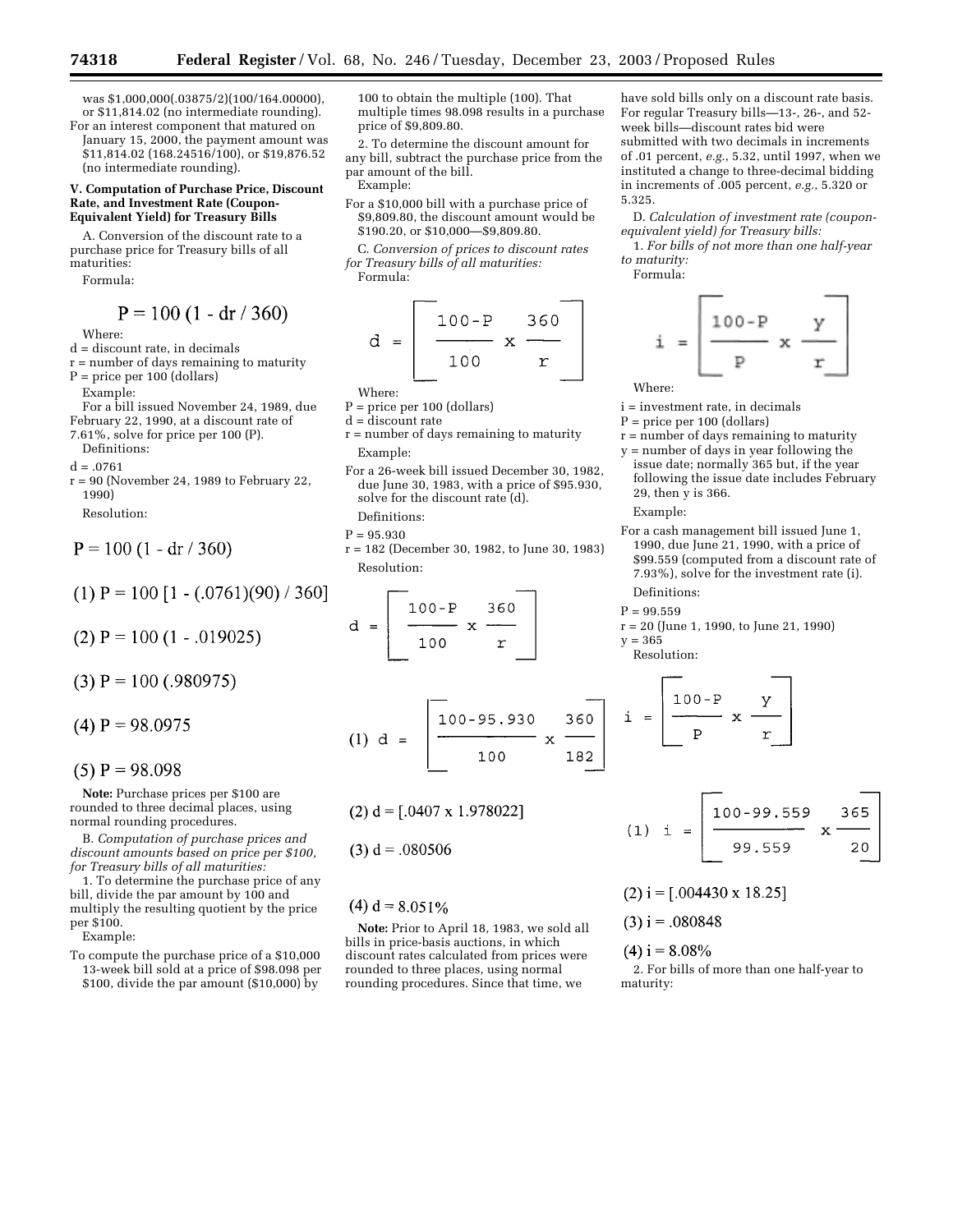was \$1,000,000(.03875/2)(100/164.00000), or \$11,814.02 (no intermediate rounding). For an interest component that matured on

January 15, 2000, the payment amount was \$11,814.02 (168.24516/100), or \$19,876.52 (no intermediate rounding).

#### **V. Computation of Purchase Price, Discount Rate, and Investment Rate (Coupon-Equivalent Yield) for Treasury Bills**

A. Conversion of the discount rate to a purchase price for Treasury bills of all maturities:

Formula:

$$
P = 100 (1 - dr / 360)
$$

Where:

- d = discount rate, in decimals
- $r =$  number of days remaining to maturity P = price per 100 (dollars)

Example:

For a bill issued November 24, 1989, due February 22, 1990, at a discount rate of

7.61%, solve for price per 100 (P). Definitions:

 $d = .0761$ 

r = 90 (November 24, 1989 to February 22, 1990)

Resolution:

$$
P = 100 (1 - dr / 360)
$$

$$
(1) P = 100 [1 - (.0761)(90) / 360]
$$

 $(2)$  P = 100 (1 - .019025)

 $(3)$  P = 100 (.980975)

$$
(4) P = 98.0975
$$

$$
(5) P = 98.098
$$

**Note:** Purchase prices per \$100 are rounded to three decimal places, using normal rounding procedures.

B. *Computation of purchase prices and discount amounts based on price per \$100, for Treasury bills of all maturities:*

1. To determine the purchase price of any bill, divide the par amount by 100 and multiply the resulting quotient by the price per \$100.

Example:

To compute the purchase price of a \$10,000 13-week bill sold at a price of \$98.098 per \$100, divide the par amount (\$10,000) by

100 to obtain the multiple (100). That multiple times 98.098 results in a purchase price of \$9,809.80.

2. To determine the discount amount for any bill, subtract the purchase price from the par amount of the bill. Example:

For a \$10,000 bill with a purchase price of \$9,809.80, the discount amount would be \$190.20, or \$10,000—\$9,809.80.

C. *Conversion of prices to discount rates for Treasury bills of all maturities:* Formula:

$$
d = \frac{100 - P}{100} \times \frac{360}{r}
$$

- Where:
- $P = price per 100 (dollars)$
- d = discount rate
- r = number of days remaining to maturity Example:
- For a 26-week bill issued December 30, 1982, due June 30, 1983, with a price of \$95.930, solve for the discount rate (d). Definitions:

#### $P = 95.930$

r = 182 (December 30, 1982, to June 30, 1983) Resolution:

$$
d = \frac{100 - P}{100} \times \frac{360}{r}
$$

$$
(1) d = \frac{100 - 95.930}{100} \times \frac{360}{182}
$$

 $(2) d = [.0407 \times 1.978022]$ 

$$
(3) d = .080506
$$

# $(4) d = 8.051\%$

**Note:** Prior to April 18, 1983, we sold all bills in price-basis auctions, in which discount rates calculated from prices were rounded to three places, using normal rounding procedures. Since that time, we

have sold bills only on a discount rate basis. For regular Treasury bills—13-, 26-, and 52 week bills—discount rates bid were submitted with two decimals in increments of .01 percent, *e.g.*, 5.32, until 1997, when we instituted a change to three-decimal bidding in increments of .005 percent, *e.g.*, 5.320 or 5.325.

D. *Calculation of investment rate (couponequivalent yield) for Treasury bills:*

1. *For bills of not more than one half-year to maturity:*

Formula:



i = investment rate, in decimals

- P = price per 100 (dollars)
- $r = number of days remaining to maturity$
- y = number of days in year following the
- issue date; normally 365 but, if the year following the issue date includes February 29, then y is 366.

#### Example:

For a cash management bill issued June 1, 1990, due June 21, 1990, with a price of \$99.559 (computed from a discount rate of 7.93%), solve for the investment rate (i).

# Definitions:

- $P = 99.559$
- r = 20 (June 1, 1990, to June 21, 1990)
- $y = 365$
- Resolution:

$$
\mathbf{i} = \begin{bmatrix} 100 - P & P \\ \hline P & X & T \end{bmatrix}
$$

(1) i = 
$$
\begin{bmatrix} 100 - 99.559 & 365 \ 99.559 & x & 20 \end{bmatrix}
$$

- $(2)$  i = [.004430 x 18.25]
- $(3)$  i = .080848

#### $(4)$  i = 8.08%

2. For bills of more than one half-year to maturity: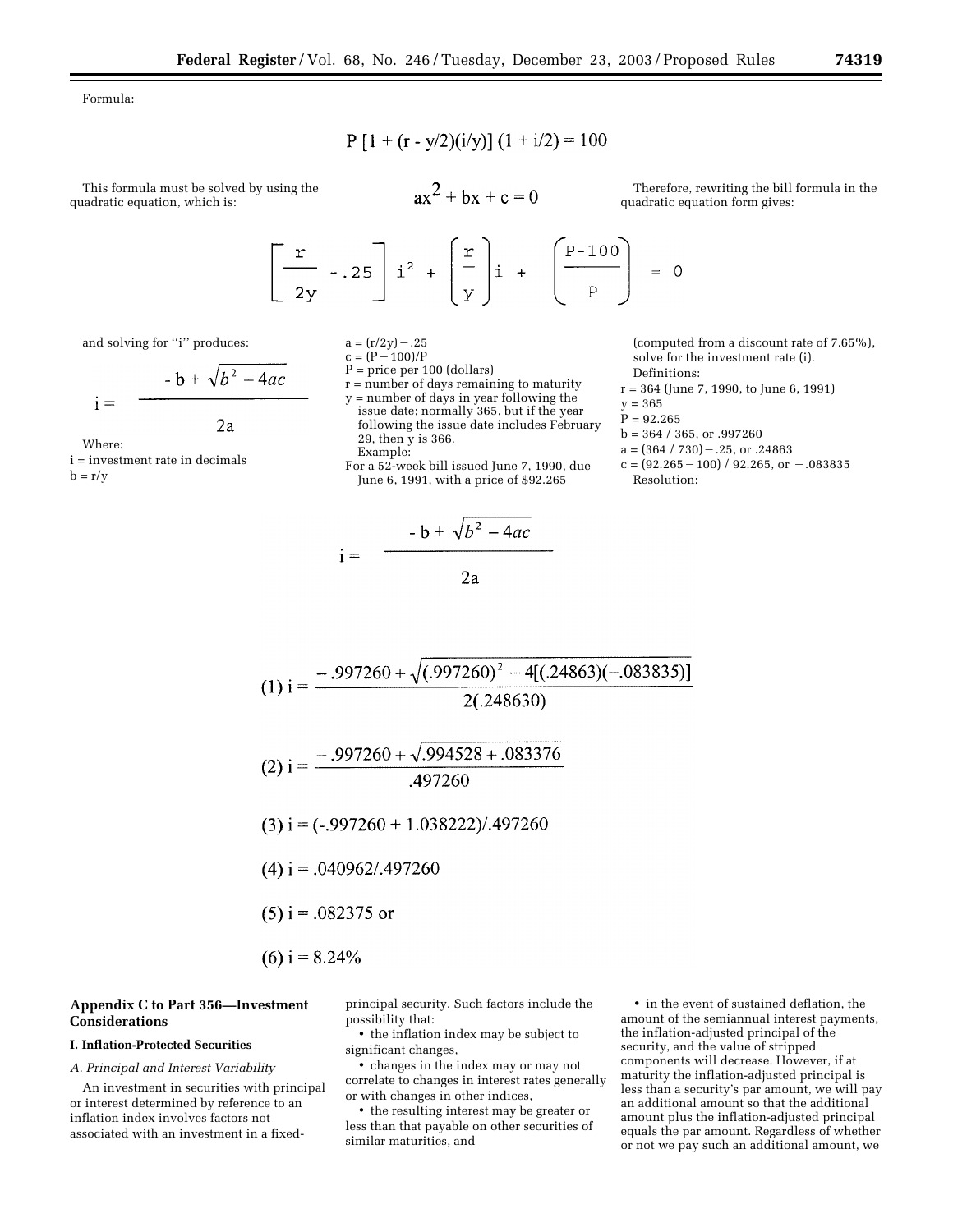Formula:

$$
P [1 + (r - y/2)(i/y)] (1 + i/2) = 100
$$

This formula must be solved by using the quadratic equation, which is:

 $ax^{2} + bx + c = 0$ 

Therefore, rewriting the bill formula in the quadratic equation form gives:

$$
\left[\begin{array}{c}\nx \\
2y\n\end{array}\right] i^2 + \left[\begin{array}{c}\nx \\
y\n\end{array}\right] i + \left[\begin{array}{c}\nP-100 \\
P\n\end{array}\right] = 0
$$

and solving for "i" produces:

$$
\frac{-b + \sqrt{b^2 - 4ac}}{2a}
$$

Where:

 $i =$ 

i = investment rate in decimals  $b = r/v$ 

 $a = (r/2y) - .25$ 

$$
c = (P - 100)/P
$$
  
D = price per 100 (deller)

$$
r =
$$
 price per 100 (uontats)  
 $r =$  number of days remaining to a

r = number of days remaining to maturity

- y = number of days in year following the issue date; normally 365, but if the year following the issue date includes February 29, then y is 366. Example:
- For a 52-week bill issued June 7, 1990, due June 6, 1991, with a price of \$92.265

 $-b + \sqrt{b^2 - 4ac}$  $i =$  $2a$ 

(computed from a discount rate of 7.65%), solve for the investment rate (i). Definitions:

- r = 364 (June 7, 1990, to June 6, 1991)
- $y = 365$
- $P = 92.265$
- b = 364 / 365, or .997260
- $a = (364 / 730) .25$ , or .24863
- $c = (92.265 100) / 92.265$ , or  $-.083835$ Resolution:

(1) i = 
$$
\frac{-.997260 + \sqrt{(.997260)^2 - 4[(.24863)(-.083835)]}}{2(.248630)}
$$

$$
(2) i = \frac{-.997260 + \sqrt{.994528 + .083376}}{.497260}
$$

$$
(3) i = (-0.997260 + 1.038222)/0.497260
$$

- $(4)$  i = .040962/.497260
- $(5)$  i = .082375 or
- $(6)$  i = 8.24%

#### **Appendix C to Part 356—Investment Considerations**

#### **I. Inflation-Protected Securities**

#### *A. Principal and Interest Variability*

An investment in securities with principal or interest determined by reference to an inflation index involves factors not associated with an investment in a fixedprincipal security. Such factors include the possibility that:

• the inflation index may be subject to significant changes,

• changes in the index may or may not correlate to changes in interest rates generally or with changes in other indices,

• the resulting interest may be greater or less than that payable on other securities of similar maturities, and

• in the event of sustained deflation, the amount of the semiannual interest payments, the inflation-adjusted principal of the security, and the value of stripped components will decrease. However, if at maturity the inflation-adjusted principal is less than a security's par amount, we will pay an additional amount so that the additional amount plus the inflation-adjusted principal equals the par amount. Regardless of whether or not we pay such an additional amount, we